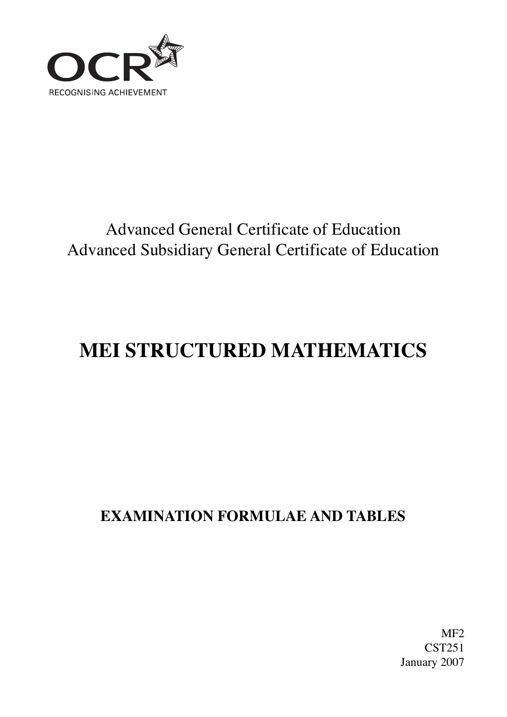

# Advanced General Certificate of Education Advanced Subsidiary General Certificate of Education

# **MEI STRUCTURED MATHEMATICS**

# **EXAMINATION FORMULAE AND TABLES**

MF2 CST251 January 2007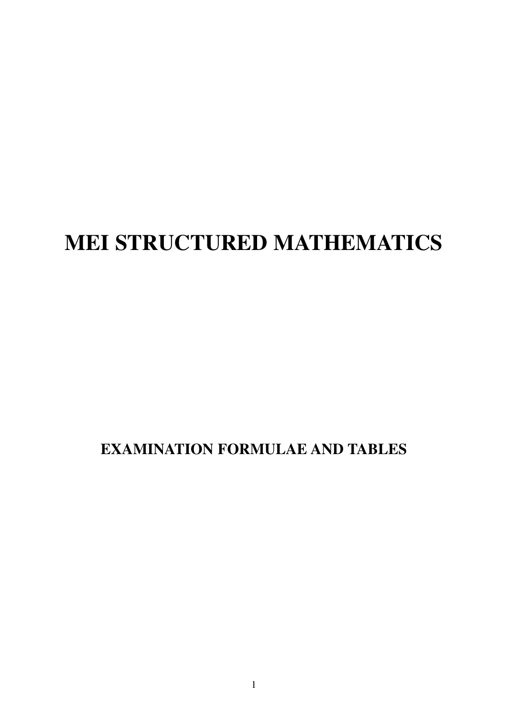# **MEI STRUCTURED MATHEMATICS**

## **EXAMINATION FORMULAE AND TABLES**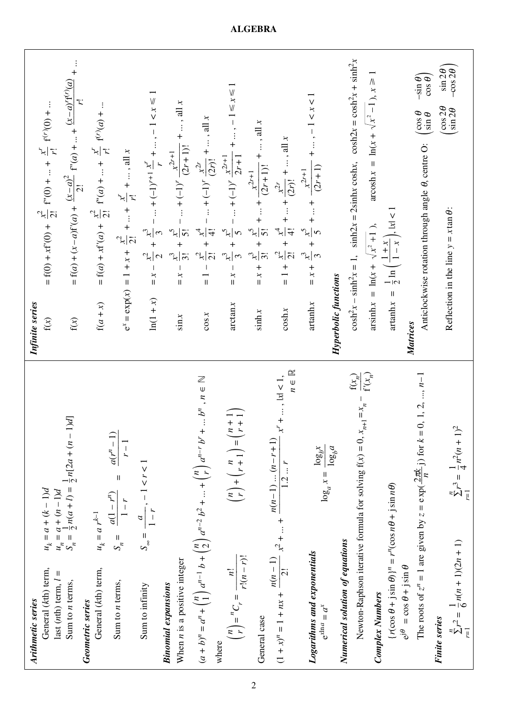| $u_k = a + (k - 1)d$<br>General (kth) term,<br>Ш<br>last (nth) term, l<br>Arithmetic series                                                        | = $f(0) + xf'(0) + \frac{x^2}{2!} f''(0) +  + \frac{x^r}{r!} f^{(r)}(0) + $<br>Infinite series<br>f(x)                                             |
|----------------------------------------------------------------------------------------------------------------------------------------------------|----------------------------------------------------------------------------------------------------------------------------------------------------|
| p(1)<br>$u_n = a + (n-1)d$<br>$S_n = \frac{1}{2}n(a+l) = \frac{1}{2}n[2a + (n-l)]$<br>Sum to $n$ terms,                                            | = f(a) + (x - a)f'(a) + $\frac{(x-a)^2}{2!}$ f"(a) +  + $\frac{(x-a)^{r}f^{(r)}(a)}{r!}$ +<br>$\mathbf{f}(\mathbf{x})$                             |
| $u_k = a r^{k-1}$<br>General (kth) term,<br>Geometric series                                                                                       | = $f(a) + xf'(a) + \frac{x^2}{2!} f''(a) +  + \frac{x^r}{r!} f^{(r)}(a) + $<br>$f(a + x)$                                                          |
| $\frac{a(1-r^n)}{a(r^n-1)}$ = $\frac{a(r^n-1)}{a(r^n-1)}$<br>$r-1$<br>$1-r$<br>$S_n =$<br>Sum to $n$ terms,                                        | $e^x = \exp(x) = 1 + x + \frac{x^2}{2!} +  + \frac{x^r}{r!} + $ , all x                                                                            |
| $S_{\infty} = \frac{a}{1-r}, -1 < r < 1$<br>Sum to infinity                                                                                        | = $x - \frac{x^2}{2} + \frac{x^3}{3} - \dots + (-1)^{r+1} \frac{x^r}{r} + \dots, -1 < x \le 1$<br>$ln(1+x)$                                        |
| When <i>n</i> is a positive integer<br><b>Binomial expansions</b>                                                                                  | -  + $(-1)^r$ $\frac{x^{2r+1}}{(2r+1)!}$ + , all x<br>$-\frac{x^5}{5!}$<br>$\overline{3}$<br>$= x -$<br>$\sin x$                                   |
| , $n \in \mathbb{N}$<br>$+ $ $bn$<br>$(a+b)^n = a^n + {n \choose 1} a^{n-1} b + {n \choose 2} a^{n-2} b^2 +  + {n \choose r} a^{n-r} b^r$          | $-+(-1)^{r}\frac{x^{2r}}{(2r)!}+$ , all x<br>्<br>सन<br>$rac{x^2}{2!}$ +<br>$\frac{1}{\pi}$<br>$\cos x$                                            |
| $r + 1$<br>$\binom{n}{r} + \binom{n}{r+1} = \binom{n+1}{r+1}$<br>$\binom{n}{r} = {}^{n}C_{r} = \frac{n!}{r!(n-r)!}$<br>where                       | $- + $ , $-1 \le x \le 1$<br>$-  + (-1)^{r} \frac{x^{2r+1}}{2r+1}$<br>$rac{x^3}{3} + \frac{x^5}{5}$ .<br>$= x -$<br>arctan x                       |
| General case                                                                                                                                       | $(2r+1)!$ + , all x<br>$x^{2r+1}$<br>$rac{x^3}{3!} + \frac{x^5}{5!} + \dots +$<br>$+\frac{1}{x}$<br>sinh x                                         |
| $n \in \mathbb{R}$<br>$x' + $ , $ x  < 1$ ,<br>$(1+x)^n = 1 + nx + \frac{n(n-1)}{2!}x^2 +  + \frac{n(n-1)(n-r+1)}{1.2r}$                           | $\frac{x^2}{2!} + \frac{x^4}{4!} + \dots + \frac{x^{2r}}{(2r)!} + \dots$ , all x<br>$\frac{+}{1}$<br>$\cosh x$                                     |
| $\log_a x = \frac{\log_b x}{\log_b a}$<br>Logarithms and exponentials<br>$e^{x \ln a} = a^x$                                                       | $- + $ , $-1 < x < 1$<br>$rac{x^3}{3} + \frac{x^5}{5} + \dots + \frac{x^{2r+1}}{(2r+1)}$<br>$+$ $x +$<br>artanh x                                  |
| Numerical solution of equations                                                                                                                    | Hyperbolic functions                                                                                                                               |
| $\mathbf{f}(x_n)$<br>Newton-Raphson iterative formula for solving $f(x) = 0$ , $x_{n+1} = x_n$                                                     | $\cosh^2 x - \sinh^2 x = 1$ , $\sinh 2x = 2\sinh x \cosh x$ , $\cosh 2x = \cosh^2 x + \sinh^2 x$                                                   |
| $\overline{\mathbf{f}^{\prime}(x_{n})}$<br><b>Complex Numbers</b>                                                                                  | $\arcsin x = \ln(x + \sqrt{x^2 - 1}, x \ge$<br>$\arcsinh x = \ln(x + \sqrt{x^2 + 1}),$                                                             |
| $\{r(\cos \theta + j \sin \theta)\}^n = r^n(\cos n\theta + j \sin n\theta)$                                                                        | artanh $x = \frac{1}{2} \ln \left( \frac{1+x}{1-x} \right),  x  < 1$                                                                               |
| The roots of $z^n = 1$ are given by $z = \exp(\frac{2\pi k}{n})$ for $k = 0, 1, 2, , n-1$<br>$\theta$ iis $\theta$ = cos $\theta$ + j sin $\theta$ | $-\sin\theta$<br>$\cos\theta$<br>$\theta$ and<br>Anticlockwise rotation through angle $\theta$ , centre O:<br><b>Matrices</b>                      |
| $\sum_{r=1}^{n} r^3 = \frac{1}{4} n^2 (n+1)^2$<br>$\sum_{r=1}^{n} r^2 = \frac{1}{6} n(n+1)(2n+1)$<br><b>Finite series</b>                          | $\sin 2\theta$<br>- $\cos 2\theta$<br>$\begin{pmatrix} \cos 2\theta \\ \sin 2\theta \end{pmatrix}$<br>Reflection in the line $y = x \tan \theta$ : |
|                                                                                                                                                    |                                                                                                                                                    |

**ALGEBRA**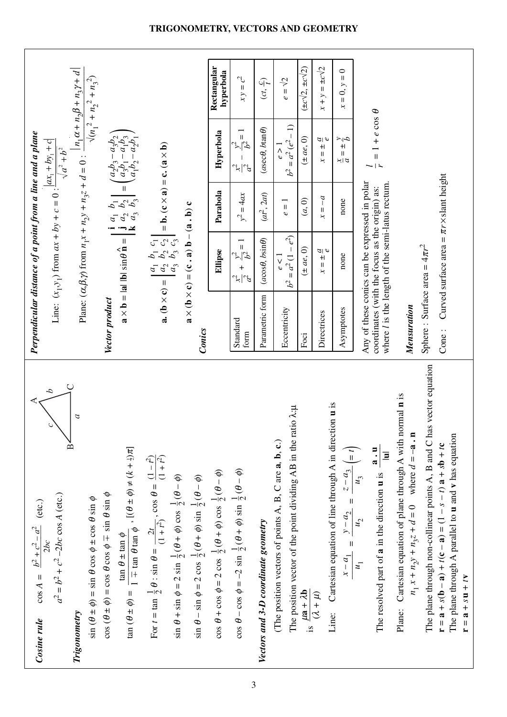| $\cos A = \frac{b^2 + c^2 - a^2}{2bc}$ (etc.)<br>Cosine rule                                                                                                                                       | Perpendicular distance of a point from a line and a plane                                                                                                |                                                                                                                                                                                                              |                                                        |                                                                                                                                                 |                                                 |
|----------------------------------------------------------------------------------------------------------------------------------------------------------------------------------------------------|----------------------------------------------------------------------------------------------------------------------------------------------------------|--------------------------------------------------------------------------------------------------------------------------------------------------------------------------------------------------------------|--------------------------------------------------------|-------------------------------------------------------------------------------------------------------------------------------------------------|-------------------------------------------------|
| Δ<br>$a^2 = b^2 + c^2 - 2bc \cos A$ (etc.)                                                                                                                                                         |                                                                                                                                                          | Line: $(x_1, y_1)$ from $ax + by_1 + c = 0$ : $\frac{ ax_1 + by_1 + c }{\sqrt{ ax_1 + by_1 + c }}$                                                                                                           |                                                        | $\sqrt{a^2+b^2}$                                                                                                                                |                                                 |
| $\sigma$<br>$\frac{1}{2}$<br>$\sin (\theta \pm \phi) = \sin \theta \cos \phi \pm \cos \theta \sin \phi$<br>Trigonometry                                                                            |                                                                                                                                                          |                                                                                                                                                                                                              |                                                        | Plane: $(\alpha, \beta, \gamma)$ from $n_1x + n_2y + n_3z + d = 0$ : $\frac{ n_1\alpha + n_2\beta + n_3y + d }{n_1\beta + n_2\beta + n_3z + d}$ | $\sqrt{(n_1^2 + n_2^2 + n_3^2)}$                |
| $\phi$ uis $\theta$ and $\phi$ = cos $\theta$ cos $\phi$ = cos $\phi$ in $\theta$ sin $\phi$                                                                                                       | Vector product                                                                                                                                           | roduct<br>$\mathbf{a} \times \mathbf{b} =  \mathbf{a}   \mathbf{b}  \sin \theta \hat{\mathbf{n}} = \begin{vmatrix} \mathbf{i} & a_1 & b_1 \\ \mathbf{j} & a_2 & b_2 \\ \mathbf{k} & a_3 & b_3 \end{vmatrix}$ |                                                        |                                                                                                                                                 |                                                 |
| $\tan (\theta \pm \phi) = \frac{\tan \theta \pm \tan \phi}{1 \mp \tan \theta \tan \phi}, [(\theta \pm \phi) \neq (k + \frac{1}{2})\pi]$                                                            |                                                                                                                                                          |                                                                                                                                                                                                              |                                                        | $\label{eq:2} \Bigg  = \begin{pmatrix} a_2b_3 - a_3b_2 \\ a_3b_1 - a_1b_3 \\ a_1b_2 - a_2b_1 \end{pmatrix}$                                     |                                                 |
| For $t = \tan \frac{1}{2}\theta$ : sin $\theta = \frac{2t}{(1+t^2)}$ , cos $\theta = \frac{(1-t^2)}{(1+t^2)}$                                                                                      |                                                                                                                                                          | <b>a.</b> ( <b>b</b> × <b>c</b> ) = $\begin{bmatrix} a_1 & b_1 & c_1 \\ a_2 & b_2 & c_2 \\ a_3 & b_3 & c_3 \end{bmatrix}$                                                                                    | $=$ <b>b.</b> $(c \times a) = c$ . $(a \times b)$      |                                                                                                                                                 |                                                 |
| $\sin \theta + \sin \phi = 2 \sin \frac{1}{2} (\theta + \phi) \cos \frac{1}{2} (\theta - \phi)$<br>$\sin \theta - \sin \phi = 2 \cos \frac{1}{2} (\theta + \phi) \sin \frac{1}{2} (\theta - \phi)$ | Conics                                                                                                                                                   | $\mathbf{a} \times (\mathbf{b} \times \mathbf{c}) = (\mathbf{c} \cdot \mathbf{a}) \mathbf{b} - (\mathbf{a} \cdot \mathbf{b}) \mathbf{c}$                                                                     |                                                        |                                                                                                                                                 |                                                 |
| $\cos \theta + \cos \phi = 2 \cos \frac{1}{2} (\theta + \phi) \cos \frac{1}{2} (\theta - \phi)$                                                                                                    |                                                                                                                                                          | Ellipse                                                                                                                                                                                                      | Parabola                                               | Hyperbola                                                                                                                                       | Rectangular<br>hyperbola                        |
| $\cos \theta - \cos \phi = -2 \sin \frac{1}{2} (\theta + \phi) \sin \frac{1}{2} (\theta - \phi)$                                                                                                   | Standard<br>form                                                                                                                                         | $rac{x^2}{a^2} + \frac{y^2}{b^2} = 1$                                                                                                                                                                        | $y^2 = 4ax$                                            | $\frac{y^2}{b^2} = 1$<br>$\frac{1}{2}$                                                                                                          | $xy = c^2$                                      |
| Vectors and 3-D coordinate geometry                                                                                                                                                                | Parametric form                                                                                                                                          | $(a\cos\theta, b\sin\theta)$                                                                                                                                                                                 | $(at^2, 2at)$                                          | $(a \sec \theta, b \tan \theta)$                                                                                                                | $(ct, \frac{c}{l})$                             |
| The position vector of the point dividing AB in the ratio $\lambda$ :µ<br>(The position vectors of points A, B, C are a, b, c.)                                                                    | Eccentricity                                                                                                                                             | $e^2$<br>$= a^2 (1 -$<br>e < 1<br>$b^2$                                                                                                                                                                      | $\overline{\mathsf{I}}$<br>C                           | $b^2 = a^2 (e^2 - 1)$<br>e > 1                                                                                                                  | $e = \sqrt{2}$                                  |
| is $\frac{\mu a + \lambda b}{(\lambda + \mu)}$                                                                                                                                                     | Foci                                                                                                                                                     | $(\pm ae, 0)$                                                                                                                                                                                                | (a, 0)                                                 | $(\pm ae, 0)$                                                                                                                                   | $(\pm c\sqrt{2}, \pm c\sqrt{2})$                |
| Cartesian equation of line through A in direction u is<br>Line:                                                                                                                                    | Directrices                                                                                                                                              | $=\pm \frac{a}{e}$                                                                                                                                                                                           | $\overline{a}$<br>$\sf II$<br>$\overline{\mathcal{X}}$ | $\frac{\partial}{\partial \rho}$<br>$\frac{+1}{11}$<br>$\star$                                                                                  | $x + y = \pm c\sqrt{2}$                         |
| $\frac{x-a_1}{u_1} = \frac{y-a_2}{u_2} = \frac{z-a_3}{u_3} = t$                                                                                                                                    | Asymptotes                                                                                                                                               | none                                                                                                                                                                                                         | none                                                   | $\frac{2}{5}$<br>$+1$<br>$\ensuremath{\mathsf{II}}$<br>$\frac{z}{z}$                                                                            | $\circ$<br>$\mathbf{II}$<br>$= 0, y$<br>$\star$ |
| The resolved part of $\bf{a}$ in the direction $\bf{u}$ is $\frac{\bf{a} \cdot \bf{u}}{ \bf{u} }$                                                                                                  | Any of these conics can be expressed in polar<br>where <i>l</i> is the length of the semi-latus rectum<br>coordinates (with the focus as the origin) as: |                                                                                                                                                                                                              |                                                        | $= 1 + e \cos \theta$                                                                                                                           |                                                 |
| Plane: Cartesian equation of plane through A with normal <b>n</b> is<br>$n_1 x + n_2 y + n_3 z + d = 0$ where $d = -a \cdot n$                                                                     | Mensuration                                                                                                                                              |                                                                                                                                                                                                              |                                                        |                                                                                                                                                 |                                                 |
| The plane through non-collinear points A, B and C has vector equation<br>$r = a + s(b - a) + t(c - a) = (1 - s - t)a + sb + tc$                                                                    | Cone : Curved surface area = $\pi r \times$ slant height<br>Sphere: Surface area = $4\pi r^2$                                                            |                                                                                                                                                                                                              |                                                        |                                                                                                                                                 |                                                 |
| The plane through A parallel to <b>u</b> and <b>v</b> has equation<br>$r = a + su + tv$                                                                                                            |                                                                                                                                                          |                                                                                                                                                                                                              |                                                        |                                                                                                                                                 |                                                 |

### **TRIGONOMETRY, VECTORS AND GEOMETRY**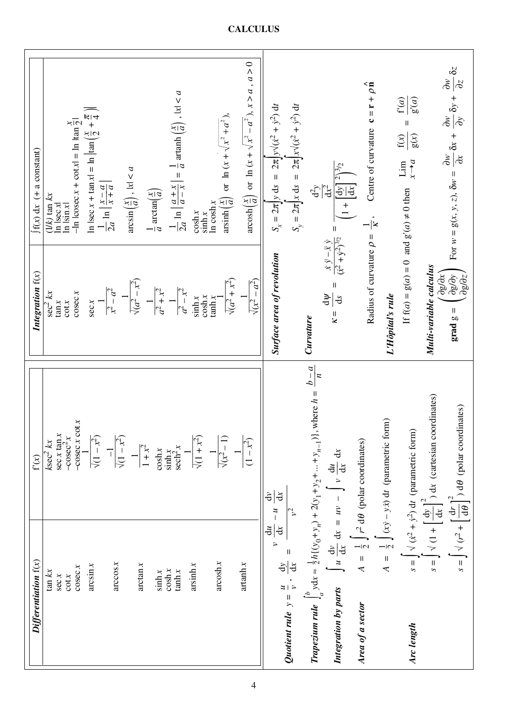| Differentiation $f(x)$                              |                   | $\mathbf{f}'(x)$                                                                                                                                  | Integration $f(x)$                                                                                             | $f(x) dx$ (+ a constant)                                                                                                                                          |
|-----------------------------------------------------|-------------------|---------------------------------------------------------------------------------------------------------------------------------------------------|----------------------------------------------------------------------------------------------------------------|-------------------------------------------------------------------------------------------------------------------------------------------------------------------|
| $\tan kx$                                           |                   | $ksec^2 kx$                                                                                                                                       | $\sec^2 kx$                                                                                                    | $(1/k)$ tan $kx$                                                                                                                                                  |
| sec x                                               |                   | sec x tan x                                                                                                                                       | $\tan x$                                                                                                       | $\ln  \sec x $                                                                                                                                                    |
| $\cot x$                                            |                   | $-cosec2x$                                                                                                                                        | $\cot x$                                                                                                       | $\ln  \sin x $                                                                                                                                                    |
|                                                     | $\csc x$          | $-cosec x cot x$                                                                                                                                  | cosec x                                                                                                        | $\frac{x}{-1}$ Islama<br>-1n lcosec x + cot x = 1n ltan $\frac{x}{2}$                                                                                             |
|                                                     | arcsin x          |                                                                                                                                                   | sec x                                                                                                          |                                                                                                                                                                   |
|                                                     |                   | $\sqrt{(1-x^2)}$                                                                                                                                  |                                                                                                                | In $ \sec x + \tan x  = \ln  \tan (\frac{x}{2} + \frac{\pi}{4}) $                                                                                                 |
|                                                     |                   |                                                                                                                                                   |                                                                                                                | $\frac{1}{2a} \ln \left  \frac{x-a}{x+a} \right $                                                                                                                 |
|                                                     | arccos x          |                                                                                                                                                   | $x^2 - a^2$                                                                                                    |                                                                                                                                                                   |
|                                                     |                   | $\sqrt{(1-x^2)}$                                                                                                                                  |                                                                                                                |                                                                                                                                                                   |
|                                                     |                   |                                                                                                                                                   | $\sqrt{a^2-x^2}$                                                                                               | $\arcsin\left(\frac{x}{a}\right)$ , $ x  < a$                                                                                                                     |
|                                                     | arctan x          | $1 + x^2$                                                                                                                                         |                                                                                                                |                                                                                                                                                                   |
|                                                     |                   |                                                                                                                                                   |                                                                                                                | $rac{1}{a}$ arctan $\left(\frac{x}{a}\right)$                                                                                                                     |
|                                                     | $\sinh x$         | $\cosh x$                                                                                                                                         | $\frac{a^2 + x^2}{a}$                                                                                          |                                                                                                                                                                   |
|                                                     | $\cosh x$         |                                                                                                                                                   |                                                                                                                |                                                                                                                                                                   |
|                                                     | tanh x            | $\frac{\sinh x}{\operatorname{sech}^2 x}$                                                                                                         | $\frac{a^2 - x^2}{a}$                                                                                          | $\frac{1}{2a} \ln \left  \frac{a+x}{a-x} \right  = \frac{1}{a} \arctan \left( \frac{x}{a} \right)$ , $ x  < a$                                                    |
|                                                     | arcsinh x         |                                                                                                                                                   |                                                                                                                |                                                                                                                                                                   |
|                                                     |                   | $\sqrt{(1 + x^2)}$                                                                                                                                | sinh x                                                                                                         | $\cosh x$                                                                                                                                                         |
|                                                     |                   |                                                                                                                                                   | $\cosh x$<br>tanh x                                                                                            | In $\cosh x$<br>sinh x                                                                                                                                            |
|                                                     | arccosh x         |                                                                                                                                                   |                                                                                                                |                                                                                                                                                                   |
|                                                     |                   | $\sqrt{x^2-1}$                                                                                                                                    | $\sqrt{a^2 + x^2}$                                                                                             | $arcsinh\left(\frac{x}{a}\right)$ or $\ln(x + \sqrt{x^2 + a^2})$ ,                                                                                                |
|                                                     |                   |                                                                                                                                                   |                                                                                                                |                                                                                                                                                                   |
|                                                     | artanh x          | $(1 - x^2)$                                                                                                                                       | $\sqrt{x^2-a^2}$                                                                                               | $\arcosh\left(\frac{x}{a}\right)$ or $\ln(x + \sqrt{x^2 - a^2})$ , $x > a$ , $a > 0$                                                                              |
|                                                     |                   |                                                                                                                                                   |                                                                                                                |                                                                                                                                                                   |
|                                                     | $\frac{du}{dx}$ . | $\vec{a}$<br>ਰੇ<br>$\frac{1}{2}$                                                                                                                  | Surface area of revolution                                                                                     | $S_x = 2\pi y \, ds = 2\pi y \sqrt{(x^2 + y^2)} \, dt$                                                                                                            |
|                                                     |                   |                                                                                                                                                   |                                                                                                                |                                                                                                                                                                   |
| Quotient rule $y = \frac{u}{v}$ , $\frac{dy}{dx}$ = |                   |                                                                                                                                                   |                                                                                                                | $S_y = 2\pi \int x \, ds = 2\pi \int x \sqrt{(x^2 + y^2)} \, dt$                                                                                                  |
|                                                     |                   |                                                                                                                                                   |                                                                                                                |                                                                                                                                                                   |
|                                                     |                   | $b-a$<br>$\overline{\mathcal{L}}$<br><b>Trapezium rule</b> $\int_{a}^{b} ydx \approx \frac{1}{2}h\{(y_0+y_n)+2(y_1+y_2++y_{n-1})\}$ , where $h =$ | Curvature                                                                                                      | $\mathrm{d}^2y$                                                                                                                                                   |
|                                                     |                   |                                                                                                                                                   | Ψp                                                                                                             | $dx^2$                                                                                                                                                            |
| Integration by parts                                |                   | $\int u \frac{dv}{dx} dx = uv - \int v \frac{du}{dx} dx$                                                                                          | $\frac{\dot{x}\,\dot{y}-\ddot{x}\,\dot{y}}{(\dot{x}^2+\dot{y}^2)^{3/2}}$<br>$\sf H$<br>$\overline{d}$<br>$K =$ | $2\sqrt{3}/2$                                                                                                                                                     |
|                                                     |                   |                                                                                                                                                   |                                                                                                                | $\left(1+\left[\frac{dy}{dx}\right]^2\right)$                                                                                                                     |
| Area of a sector                                    |                   | $A = \frac{1}{2} \int r^2 d\theta$ (polar coordinates)                                                                                            |                                                                                                                |                                                                                                                                                                   |
|                                                     |                   |                                                                                                                                                   | Radius of curvature $\rho = \frac{1}{K}$ ,                                                                     | Centre of curvature $\mathbf{c} = \mathbf{r} + \rho \hat{\mathbf{n}}$                                                                                             |
|                                                     |                   |                                                                                                                                                   |                                                                                                                |                                                                                                                                                                   |
|                                                     |                   | $A = \frac{1}{2} \int (xy - y\dot{x}) dt$ (parametric form)                                                                                       | L'Hôpital's rule                                                                                               |                                                                                                                                                                   |
|                                                     |                   |                                                                                                                                                   |                                                                                                                | f'(a)<br>f(x)<br>Lim                                                                                                                                              |
| Arc length                                          |                   | $s = \int \sqrt{(x^2 + y^2)} dt$ (parametric form)                                                                                                | If $f(a) = g(a) = 0$ and $g'(a) \neq 0$ then                                                                   | g'(a)<br>$\mathsf{I}$<br>g(x)<br>$x \rightarrow a$                                                                                                                |
|                                                     |                   |                                                                                                                                                   |                                                                                                                |                                                                                                                                                                   |
|                                                     |                   | $s = \int \sqrt{1 + \left[\frac{dy}{dx}\right]^2} dx$ (cartesian coordinates)                                                                     | Multi-variable calculus                                                                                        |                                                                                                                                                                   |
|                                                     |                   |                                                                                                                                                   |                                                                                                                |                                                                                                                                                                   |
|                                                     |                   | $s = \int \sqrt{(r^2 + \left[\frac{dr}{d\theta}\right]^2)} d\theta$ (polar coordinates)                                                           | $\begin{pmatrix} 960x \ 496x \end{pmatrix}$<br>$grad g =$                                                      | $\frac{\partial w}{\partial y} \delta y + \frac{\partial w}{\partial z} \delta z$<br>For $w = g(x, y, z)$ , $\delta w = \frac{\partial w}{\partial x} \delta x +$ |
|                                                     |                   |                                                                                                                                                   |                                                                                                                |                                                                                                                                                                   |

**CALCULUS**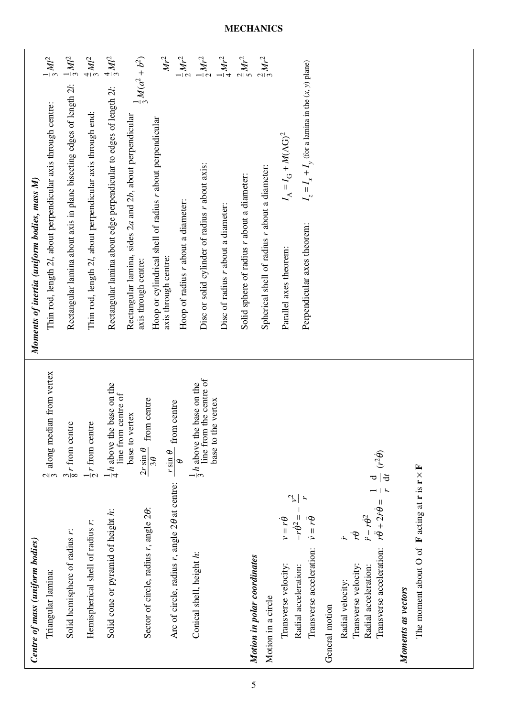$\mathit{Mr}^2$ Rectangular lamina about axis in plane bisecting edges of length  $2l$ :  $\frac{1}{2}ML^2$ Rectangular lamina about edge perpendicular to edges of length  $2l$ :  $\frac{4}{3}$   $Ml^2$ axis through centre:  $Mr^2$ Hoop of radius *r* about a diameter: Disc or solid cylinder of radius *r* about axis: Disc of radius *r* about a diameter:  $\frac{1}{2}Mr^2$ Solid sphere of radius *r* about a diameter: Spherical shell of radius *r* about a diameter: Thin rod, length 2*l*, about perpendicular axis through centre: *Ml*2 Thin rod, length 2*l*, about perpendicular axis through end: *Ml*2 *b*2) *y* (for a lamina in the (*x*, *y*) plane) axis through centre:  $\frac{1}{2}M(a^2 +$  $\sim$  $-$ |  $\infty$  $4\omega$  $4\omega$ 니아 니아 니 ฺ∾∣ท  $\omega$ Thin rod, length 2l, about perpendicular axis through centre:  $\frac{1}{3}$ Thin rod, length 2l, about perpendicular axis through end: *b*, about perpendicular Hoop or cylindrical shell of radius *r* about perpendicular Hoop or cylindrical shell of radius r about perpendicular<br>axis through centre: *M*(AG)2 Disc or solid cylinder of radius r about axis: Spherical shell of radius r about a diameter: *x* + *I* + Solid sphere of radius r about a diameter: = *I* G Moments of inertia (uniform bodies, mass M) *Moments of inertia (uniform bodies, mass M) z* = *I* A Parallel axes theorem: *I* Perpendicular axes theorem: *I*  $\emph{a}$  and 2 Hoop of radius r about a diameter: Disc of radius r about a diameter: Perpendicular axes theorem: Rectangular lamina, sides 2 Parallel axes theorem: Triangular lamina:  $\frac{2}{3}$  along median from vertex line from the centre of *h*:  $\frac{1}{4}h$  above the base on the *h*:  $h$   $\frac{1}{2}h$  above the base on the line from centre of base to the vertex θ:  $\frac{24 \text{ m/s}}{2 \text{ s}}$  from centre base to the vertex  $\theta$  at centre:  $\frac{1}{\sqrt{2}}$  from centre base to vertex base to vertex Solid hemisphere of radius *r*:  $\frac{1}{9}$  *r* from centre Hemispherical shell of radius *r*: *r* from centre  $\frac{2r\sin\theta}{3\theta}$  $\frac{1}{\theta}$ θ  $\circledast$  $\dot{\theta} = \frac{1}{r} = \frac{1}{r}$ 2*r* sin *r* sin **F** च|<del>ই</del> acting at **r** is **r** ×  $\omega$ 3 – 8 $-1$  $\sim$  $-1$ 4  $-$ l $\infty$ 1 – *r v*<sup>2</sup> –– *r*  $\dot{\theta}^2 = -$ Sector of circle, radius r, angle 20: θ + 2*r*˙ ˙ θSolid cone or pyramid of height h:  $θ_1 = r$ Sector of circle, radius *r*, angle 2  $\hat{\sigma}$ Solid cone or pyramid of height θ Hemispherical shell of radius r: Transverse acceleration:  $\dot{v} = r\ddot{\theta}$ θTransverse velocity:  $v = r\dot{\theta}$ Radial acceleration:  $\ddot{r} - r\dot{\theta}$ Arc of circle, radius *r*, angle 2 Solid hemisphere of radius r: Radial acceleration:  $-r\dot{\epsilon}$ θTransverse acceleration:  $r\ddot{\theta}$ Transverse velocity:  $r\dot{\theta}$ Radial velocity: Centre of mass (uniform bodies) *Centre of mass (uniform bodies)* **F**The moment about O of Conical shell, height h: Motion in polar coordinates *Motion in polar coordinates* Conical shell, height Transverse velocity: Transverse velocity: Triangular lamina: Radial velocity: Moments as vectors *Moments as vectors* Motion in a circle Motion in a circle General motion General motion

### **MECHANICS**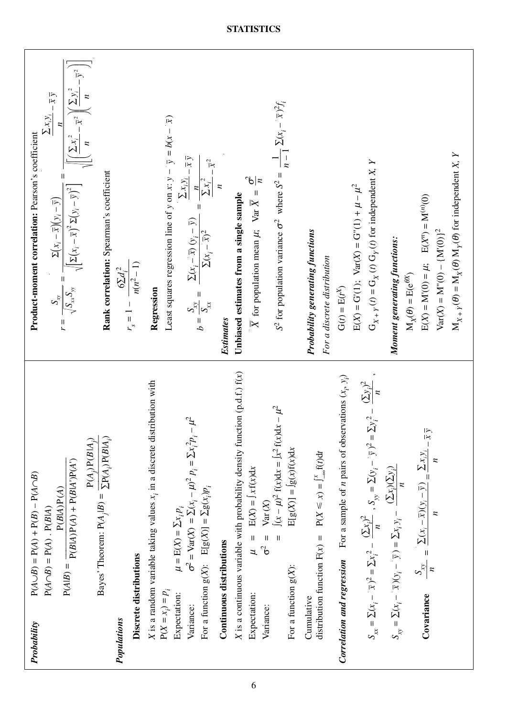| $P(A \cup B) = P(A) + P(B) - P(A \cap B)$<br>Probability                                                                                                                                                                                      | Product-moment correlation: Pearson's coefficient                                                                                                                                                                                                                                                        |
|-----------------------------------------------------------------------------------------------------------------------------------------------------------------------------------------------------------------------------------------------|----------------------------------------------------------------------------------------------------------------------------------------------------------------------------------------------------------------------------------------------------------------------------------------------------------|
| $P(A \cap B) = P(A) \cdot P(B A)$                                                                                                                                                                                                             | $\frac{\sum x_i y_i}{\cdot} = \overline{x} \ \overline{y}$                                                                                                                                                                                                                                               |
| $P(A B) = \frac{}{P(B A)P(A) + P(B A')P(A')}$<br>P(B A)P(A)                                                                                                                                                                                   | $r = \frac{S_{xy}}{\sqrt{S_{xx}S_{yy}}} = \frac{\Sigma(x_i - x_j)(y_i - y_j)}{\sqrt{[\Sigma(x_i - \bar{x})^2 \Sigma(y_i - \bar{y})^2]}} = \frac{\frac{x_i}{\sqrt{[\Sigma(x_i - \bar{x})^2} \Sigma(y_i - \bar{x})^2]}}{\sqrt{[\Sigma(x_i - \bar{x})^2 \Sigma(y_i - \bar{x})^2] \Sigma(y_i - \bar{x})^2}}$ |
| $P(A_i)P(B A_i)$                                                                                                                                                                                                                              |                                                                                                                                                                                                                                                                                                          |
| Bayes' Theorem: $P(A_j B) = \frac{1}{\sum P(A_j) P(B A_j)}$                                                                                                                                                                                   | Rank correlation: Spearman's coefficient                                                                                                                                                                                                                                                                 |
| Populations                                                                                                                                                                                                                                   | $6\Sigma d_i^2$                                                                                                                                                                                                                                                                                          |
| Discrete distributions                                                                                                                                                                                                                        | $r_s = 1 - \frac{n(n^2-1)}{n(n^2-1)}$                                                                                                                                                                                                                                                                    |
| X is a random variable taking values $x_i$ in a discrete distribution with                                                                                                                                                                    | Regression                                                                                                                                                                                                                                                                                               |
| $P(X = x_i) = p_i$                                                                                                                                                                                                                            | Least squares regression line of y on x: $y - \overline{y} = b(x - \overline{x})$                                                                                                                                                                                                                        |
| $\mathcal{L}^2$<br>$\sigma^2 = \text{Var}(X) = \sum_{i}^{i} (x_i - \mu)^2 p_i = \sum_{i}^{i} p_i - \sigma^2$<br>For a function $g(X)$ : $E[g(X)] = \sum g(x_i)p_i$<br>$\mu = \operatorname{E}(X) = \sum x_i p_i$<br>Expectation:<br>Variance: | $\frac{\sum x_i y_i}{\cdot} = \overline{x} \ \overline{y}$<br>$=\frac{1}{\sum x_i^2}$<br>$b = \frac{S_{xy}}{S_{xx}} = \frac{\sum (x_i - \bar{x}) (y_i - \bar{y})}{\sum (x_i - \bar{x})^2}$<br>$\sum (x_i - \bar{x})^2$                                                                                   |
| Continuous distributions                                                                                                                                                                                                                      | $-\bar{x}^2$<br>Estimates                                                                                                                                                                                                                                                                                |
|                                                                                                                                                                                                                                               |                                                                                                                                                                                                                                                                                                          |
| X is a continuous variable with probability density function $(p.d.f.) f(x)$<br>$\mu$ = E(X) = $Jx f(x) dx$<br>$\sigma^2$ =<br>Expectation:                                                                                                   | $\frac{1}{2}$<br>X for population mean $\mu$ ; Var $\overline{X}$ =<br>Unbiased estimates from a single sample                                                                                                                                                                                           |
| $\int (x - \mu)^2 f(x) dx = \int x^2 f(x) dx - \mu^2$<br>$E[g(X)] = \int g(x)f(x)dx$<br>Var(X)<br>$\overline{\mathbf{I}}$<br>For a function $g(X)$ :<br>Variance:                                                                             | $\frac{1}{n-1}\sum(x_i - \bar{x})^2 f_i$<br>$S^2$ for population variance $\sigma^2$ where $S^2$ =                                                                                                                                                                                                       |
|                                                                                                                                                                                                                                               |                                                                                                                                                                                                                                                                                                          |
| distribution function $F(x) = P(X \le x) = \int_{-\infty}^{x} f(t) dt$<br>Cumulative                                                                                                                                                          | <b>Probability generating functions</b><br>For a discrete distribution                                                                                                                                                                                                                                   |
| <b>Correlation and regression</b> For a sample of <i>n</i> pairs of observations $(x_i, y_i)$                                                                                                                                                 | $G(t) = E(t^X)$                                                                                                                                                                                                                                                                                          |
| $S_{xx} = \sum (x_i - \bar{x})^2 = \sum x_i^2 - \frac{(\sum x_i)^2}{n}$ , $S_{yy} = \sum (y_i - \bar{y})^2 = \sum y_i^2 - \frac{(\sum y_i)^2}{n}$ ,                                                                                           | $G_{X+Y}(t) = G_X(t) G_Y(t)$ for independent X, Y<br>$E(X) = G'(1)$ ; $Var(X) = G''(1) + \mu - \mu^2$                                                                                                                                                                                                    |
| $S_{xy} = \Sigma(x_i - \overline{x})(y_i - \overline{y}) = \Sigma x_i y_i - \frac{(\Sigma x_i)(\Sigma y_i)}{\sum_{i=1}^{n} (x_i - \Sigma y_i)}$                                                                                               | Moment generating functions:                                                                                                                                                                                                                                                                             |
|                                                                                                                                                                                                                                               | $M_X(\theta) = E(e^{\theta X})$                                                                                                                                                                                                                                                                          |
| $S_{xy}$ = $\frac{\sum (x_i - \bar{x})(y_i - \bar{y})}{\sum x_i y_i}$ = $\frac{\sum x_i y_i}{\sum x_i y_i}$<br>$\overline{\mathcal{L}}$<br>Covariance                                                                                         | $E(X) = M'(0) = \mu$ ; $E(X^n) = M^{(n)}(0)$<br>$Var(X) = M''(0) - {M'(0)}^2$                                                                                                                                                                                                                            |
|                                                                                                                                                                                                                                               | $M_{X+Y}(\theta) = M_X(\theta) M_Y(\theta)$ for independent X, Y                                                                                                                                                                                                                                         |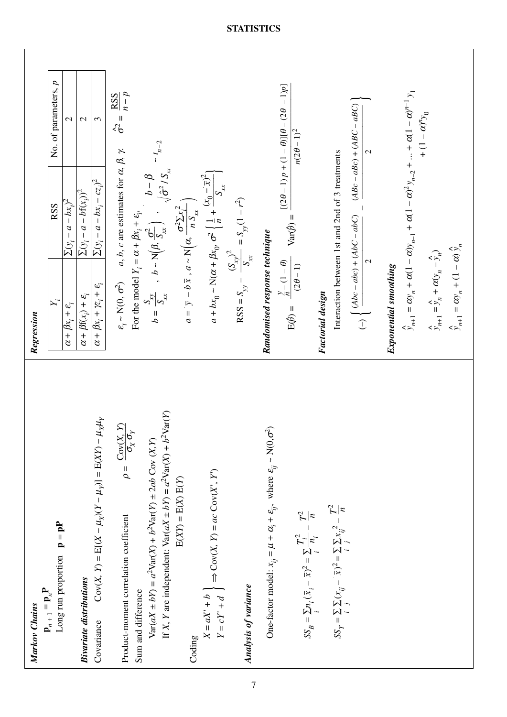| Long run proportion $\mathbf{p} = \mathbf{pP}$<br>$\mathbf{p}_{n+1} = \mathbf{p}_n \mathbf{P}$<br>Markov Chains                 | $\mathsf{X}_i$<br>Regression                                                     | <b>RSS</b>                                                                                                                                                                                                                                  | No. of parameters, p                                                                                       |  |
|---------------------------------------------------------------------------------------------------------------------------------|----------------------------------------------------------------------------------|---------------------------------------------------------------------------------------------------------------------------------------------------------------------------------------------------------------------------------------------|------------------------------------------------------------------------------------------------------------|--|
|                                                                                                                                 | $\overline{\alpha + \beta}x_i + \varepsilon_i$                                   | $\sum(y_i - a - bx_i)^2$                                                                                                                                                                                                                    | $\mathcal{L}$                                                                                              |  |
| <b>Bivariate distributions</b>                                                                                                  | $\alpha + \beta f(x_i) + \varepsilon_i$                                          | $\sum(y_i - a - bf(x_i))^2$                                                                                                                                                                                                                 | $\mathbf{C}$                                                                                               |  |
| $Cov(X, Y) = E[(X - \mu_X)(Y - \mu_Y)] = E(XY) - \mu_X \mu_Y$<br>Covariance                                                     | $\alpha + \beta x_i + \gamma z_i + \varepsilon_i$                                | $\sum(y_i - a - bx_i - cz_i)^2$                                                                                                                                                                                                             | $\epsilon$                                                                                                 |  |
| $\rho = \frac{\textrm{Cov}(X, \ Y)}{\sigma_X \, \sigma_Y}$<br>Product-moment correlation coefficient                            | $\varepsilon_{\dot{t}} \sim \text{N}(0,\,\sigma^2)$                              | $a, b, c$ are estimates for $\alpha, \beta, \gamma$ .                                                                                                                                                                                       | $\frac{RSS}{2SSE}$<br>$\sigma^2 =$                                                                         |  |
| Sum and difference                                                                                                              |                                                                                  |                                                                                                                                                                                                                                             |                                                                                                            |  |
| If X, Y are independent: $Var(aX \pm bY) = a^2Var(X) + b^2Var(Y)$<br>$Var(aX \pm bY) = a^2Var(X) + b^2Var(Y) \pm 2ab Cov(X, Y)$ |                                                                                  | $b-\underline{\beta}$ $\sim t_{n-2}$<br>For the model $Y_i = \alpha + \beta x_i + \epsilon_i$ ,<br>$b = \frac{S_{xy}}{S_{xx}}$ , $b \sim N\left(\beta, \frac{\sigma^2}{S_{xx}}\right)$ , $\frac{b - \beta}{\sqrt{\hat{\sigma}^2 / S_{xx}}}$ |                                                                                                            |  |
| $E(XY) = E(X) E(Y)$<br>Coding                                                                                                   | $=$                                                                              | = $\overline{y}$ - $b\overline{x}$ , $a \sim N(\alpha, \frac{\sigma^2 \sum x_i^2}{n S_{xx}})$                                                                                                                                               |                                                                                                            |  |
| $X = aX' + b$<br>$Y = cY' + d$ $\Rightarrow$ $Cov(X, Y) = ac$ $Cov(X', Y')$                                                     |                                                                                  | $a + bx_0 \sim N(\alpha + \beta x_0, \sigma^2 \left\{ \frac{1}{n} + \frac{(x_0 - \bar{x})^2}{S_{xx}} \right\}$                                                                                                                              |                                                                                                            |  |
| Analysis of variance                                                                                                            |                                                                                  | RSS = $S_{yy} - \frac{(S_{xy})^2}{S_{xx}} = S_{yy} (1 - r^2)$                                                                                                                                                                               |                                                                                                            |  |
| One-factor model: $x_{ij} = \mu + \alpha_i + \varepsilon_{ij}$ , where $\varepsilon_{ij} \sim N(0, \sigma^2)$                   | Randomised response technique                                                    |                                                                                                                                                                                                                                             |                                                                                                            |  |
| $SS_B = \sum_i n_i (\bar{x}_i - \bar{x})^2 = \sum_i \frac{T_i^2}{n_i} - \frac{T^2}{n}$                                          | $E(\hat{p}) = \frac{\frac{\gamma}{n} - (1 - \theta)}{\sqrt{n}}$<br>$(2\theta-1)$ |                                                                                                                                                                                                                                             | $Var(\hat{p}) = \frac{[(2\theta - 1) p + (1 - \theta)][\theta - (2\theta - 1)p]}{2}$<br>$n(2\theta - 1)^2$ |  |
|                                                                                                                                 | <b>Factorial design</b>                                                          |                                                                                                                                                                                                                                             |                                                                                                            |  |
| $SS_T = \sum_i \sum_j (x_{ij} - \bar{x})^2 = \sum_i \sum_i x_{ij}^2 - \frac{T^2}{n}$                                            |                                                                                  | Interaction between 1st and 2nd of 3 treatments                                                                                                                                                                                             |                                                                                                            |  |
|                                                                                                                                 |                                                                                  | $(-)\int \frac{(Abc - abc) + (AbC - abC)}{2} = \frac{(ABc - aBc) + (ABC - aBC)}{2}$                                                                                                                                                         |                                                                                                            |  |
|                                                                                                                                 |                                                                                  | $\mathbf{C}$                                                                                                                                                                                                                                |                                                                                                            |  |
|                                                                                                                                 | <b>Exponential smoothing</b>                                                     |                                                                                                                                                                                                                                             |                                                                                                            |  |
|                                                                                                                                 |                                                                                  | $\hat{y}_{n+1} = \alpha y_n + \alpha (1 - \alpha) y_{n-1} + \alpha (1 - \alpha)^2 y_{n-2} + \dots + \alpha (1 - \alpha)^{n-1} y_1$                                                                                                          |                                                                                                            |  |
|                                                                                                                                 | $\hat{y}_{n+1} = \hat{y}_n + \alpha(y_n - \hat{y}_n)$                            |                                                                                                                                                                                                                                             | + $(1 - \alpha)^n y_0$                                                                                     |  |
|                                                                                                                                 | $\hat{y}_{n+1} = \alpha y_n + (1 - \alpha) \hat{y}_n$                            |                                                                                                                                                                                                                                             |                                                                                                            |  |
|                                                                                                                                 |                                                                                  |                                                                                                                                                                                                                                             |                                                                                                            |  |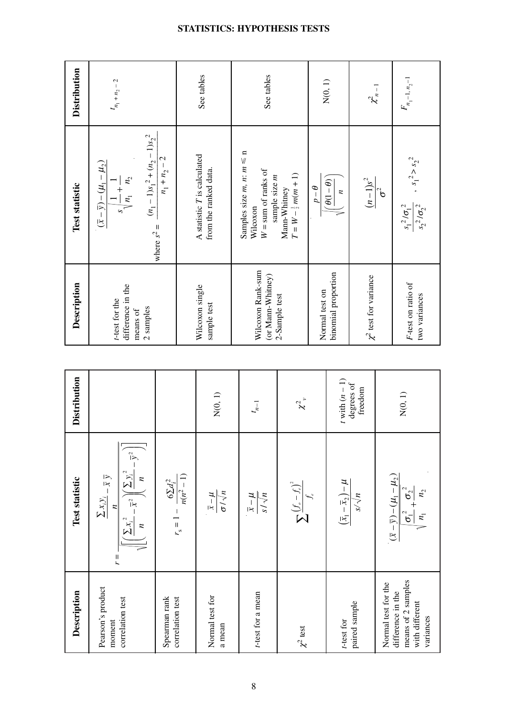| Description                                                            | Test statistic                                                                                                                                                              | Distribution          | Description                                                  | Test statistic                                                                                               | <b>Distribution</b> |
|------------------------------------------------------------------------|-----------------------------------------------------------------------------------------------------------------------------------------------------------------------------|-----------------------|--------------------------------------------------------------|--------------------------------------------------------------------------------------------------------------|---------------------|
| Pearson's product<br>correlation test<br>moment                        | $\left[\left(\frac{\sum x_i^2}{n} - \bar{x}^2\right)\left(\frac{\sum y_i^2}{n} - \bar{y}^2\right)\right]$<br>$\sum x_i y_i = \overline{x} \ \overline{y}$<br>$\overline{r}$ |                       | difference in the<br>t-test for the<br>2 samples<br>means of | $(n_1 - 1)s_1^2 + (n_2 - 1)s_2^2$<br>$(\bar{x} - \bar{y}) - (\mu_1 - \mu_2)$<br>$n_{\!\scriptscriptstyle 2}$ | $t_{n_1} + n_2 - 2$ |
| Spearman rank<br>correlation test                                      | $r_s = 1 - \frac{6\Sigma d_i^2}{n(n^2 - 1)}$                                                                                                                                |                       |                                                              | $n_1 + n_2 - 2$<br>where $s^2 =$                                                                             |                     |
| Normal test for<br>a mean                                              | $\frac{\overline{x} - \mu}{\sigma / \sqrt{n}}$                                                                                                                              | N(0, 1)               | Wilcoxon single<br>sample test                               | A statistic T is calculated<br>from the ranked data.                                                         | See tables          |
| t-test for a mean                                                      | $v/\sqrt{s}$<br>$\frac{1}{\chi} - \frac{1}{\chi}$                                                                                                                           | $t_{n-1}$             | Wilcoxon Rank-sum<br>(or Mann-Whitney)                       | Samples size $m, n: m \leq n$<br>$W = sum of ranks of$<br>sample size m<br>Wilcoxon                          | See tables          |
| $\chi^2$ test                                                          | $\sum \frac{\left(f_o - f_\epsilon\right)^2}{f_\epsilon}$                                                                                                                   | $\chi^2$ ,            | 2-Sample test                                                | $T = W - \frac{1}{2}m(m + 1)$<br>Mann-Whitney                                                                |                     |
|                                                                        |                                                                                                                                                                             |                       | Normal test on                                               | $\theta - q$                                                                                                 |                     |
| t-test for                                                             |                                                                                                                                                                             | $t$ with $(n-1)$      | binomial proportion                                          | $\left(\frac{\theta(1-\theta)}{\theta}\right)$<br>$\boldsymbol{n}$                                           | N(0, 1)             |
| paired sample                                                          | $\left(\overline{x}_1 - \overline{x}_2\right) - \mu$                                                                                                                        | degrees of<br>freedom | $\chi^2$ test for variance                                   | $\frac{(n-1)s^2}{\sigma^2}$                                                                                  | $\chi^2_{n-1}$      |
| Normal test for the                                                    |                                                                                                                                                                             |                       |                                                              |                                                                                                              |                     |
| means of 2 samples<br>difference in the<br>with different<br>variances | $(\bar{x} - \bar{y}) - (\mu_1 - \mu_2)$<br>$\sigma_1^2 + \sigma_2^2$<br>$\parallel n_{1}$                                                                                   | N(0, 1)               | F-test on ratio of<br>two variances                          | $\frac{s_1^2 / \sigma_1^2}{s_2^2 / \sigma_2^2}$ , $s_1^2 > s_2^2$                                            | $F_{n_1-1, n_2-1}$  |

**STATISTICS: HYPOTHESIS TESTS**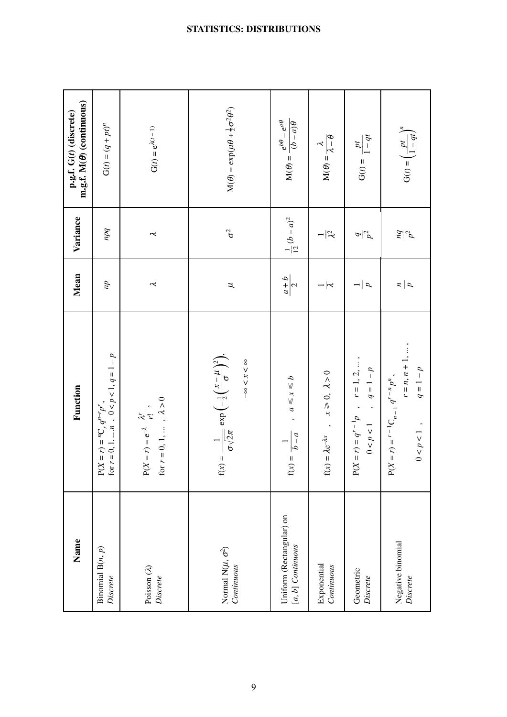| Name                                            | Function                                                                                                                          | Mean                  | Variance              | $m.g.f. M(\theta)$ (continuous)<br>p.g.f. G(t) (discrete)                 |
|-------------------------------------------------|-----------------------------------------------------------------------------------------------------------------------------------|-----------------------|-----------------------|---------------------------------------------------------------------------|
| Binomial $B(n, p)$<br>Discrete                  | $P(X = r) = {}^{n}C_{r} q^{n-r} p^{r}$ ,<br>for $r = 0, 1, , n$ , $0 < p < 1, q = 1 - p$                                          | $\overline{du}$       | pq                    | $G(t) = (q + pt)^n$                                                       |
| Poisson $(\lambda)$<br>Discrete                 | for $r=0,\,1,\,\ldots\,$ , $\,\lambda>0$<br>$P(X = r) = e^{-\lambda} \frac{\lambda^{r}}{r!}$ ,                                    | $\tilde{\mathcal{L}}$ | $\tilde{\mathcal{L}}$ | $G(t) = e^{\lambda(t-1)}$                                                 |
| Normal N( $\mu$ , $\sigma^2$ )<br>Continuous    | $f(x) = \frac{1}{\sigma \sqrt{2\pi}} \exp\left(-\frac{1}{2}\left(\frac{x-\mu}{\sigma}\right)^2\right),$<br>$-\infty < x < \infty$ | H                     | $\sigma^2$            | $M(\theta) = \exp(\mu\theta + \frac{1}{2}\sigma^2\theta^2)$               |
| Uniform (Rectangular) on<br>$[a, b]$ Continuous | $a \leq x \leq b$<br>$\hat{\phantom{a}}$<br>$f(x) = \frac{b-a}{c}$                                                                | $rac{a+b}{2}$         | $\frac{1}{12}(b-a)^2$ | $M(\theta) = \frac{e^{b\theta} - e^{a\theta}}{h}$<br>$\theta$ ( $v - q$ ) |
| Exponential<br>Continuous                       | $f(x) = \lambda e^{-\lambda x}$ , $x \ge 0$ , $\lambda > 0$                                                                       | $ \approx$            | $ \approx$            | $M(\theta) = \frac{\lambda}{\lambda - \theta}$                            |
| Geometric<br>Discrete                           | $P(X = r) = q^{r-1}p$ , $r = 1, 2, $<br>$q = 1 - p$<br>$0 < p < 1$                                                                | a                     | $\frac{q}{p^2}$       | $\mathbf{G}(t)=\frac{pt}{1-qt}$                                           |
| Negative binomial<br>Discrete                   | $r = n, n + 1, \ldots,$<br>$q = 1 - p$<br>$P(X = r) = r - {}^{1}C_{n-1} q^{r-n} p^{n},$<br>$0 < p < 1$ ,                          | $\frac{a}{p}$         | $\frac{d}{d}$         | $\label{eq:G} \mathbf{G}(t) = \left(\frac{pt}{1-qt}\right)^n$             |

### **STATISTICS: DISTRIBUTIONS**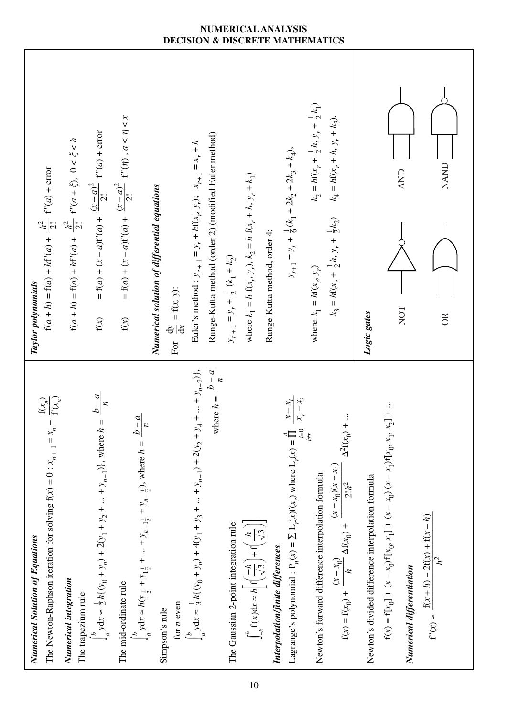

### **NUMERICAL ANALYSIS DECISION & DISCRETE MATHEMATICS**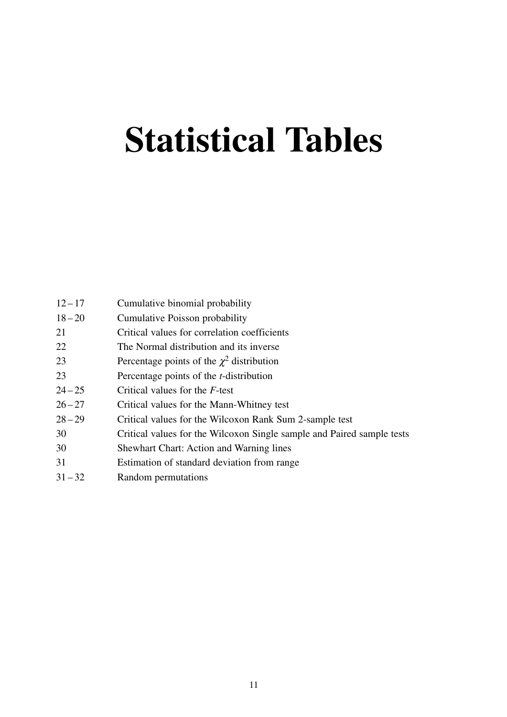# **Statistical Tables**

| $12 - 17$ | Cumulative binomial probability                                        |
|-----------|------------------------------------------------------------------------|
| $18 - 20$ | Cumulative Poisson probability                                         |
| 21        | Critical values for correlation coefficients                           |
| 22        | The Normal distribution and its inverse                                |
| 23        | Percentage points of the $\chi^2$ distribution                         |
| 23        | Percentage points of the <i>t</i> -distribution                        |
| $24 - 25$ | Critical values for the F-test                                         |
| $26 - 27$ | Critical values for the Mann-Whitney test                              |
| $28 - 29$ | Critical values for the Wilcoxon Rank Sum 2-sample test                |
| 30        | Critical values for the Wilcoxon Single sample and Paired sample tests |
| 30        | <b>Shewhart Chart: Action and Warning lines</b>                        |
| 31        | Estimation of standard deviation from range                            |
| $31 - 32$ | Random permutations                                                    |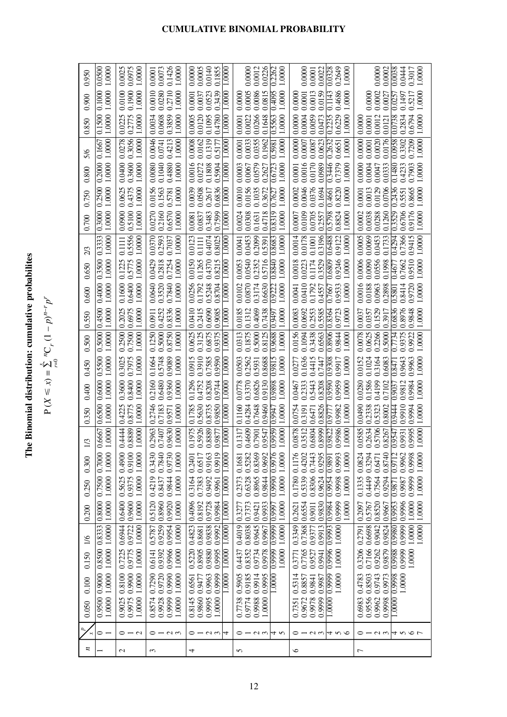The Binomial distribution: cumulative probabilites **The Binomial distribution: cumulative probabilites**

P (*X* - $\leqslant x$ ) =  $\sum_{r=0}^{x}$ *n*C *r* $p^{r}$  $p^{n-r}p^{r}$ 

| 0.950               | 1.0000<br>0.0500                         | 0.0975<br>0.0025<br>1,0000                          | 0.1426<br>0.0073<br>1.0000<br>0.0001                                                                     | 0.0005<br>0.1855<br>0.0000<br>0.0140<br>.0000                                                          | 0.0226<br>0.0012<br>2262<br>0.0000<br>.0000                                                                                               | 0.0022<br>0.0328<br>0.2649<br>0.0000<br>$0000$ .<br>0.0001                                                                                    | 0.0002<br>0.0038<br>0.0444<br>0.3017<br>0.0000<br>1.0000                                                                                                       |
|---------------------|------------------------------------------|-----------------------------------------------------|----------------------------------------------------------------------------------------------------------|--------------------------------------------------------------------------------------------------------|-------------------------------------------------------------------------------------------------------------------------------------------|-----------------------------------------------------------------------------------------------------------------------------------------------|----------------------------------------------------------------------------------------------------------------------------------------------------------------|
| 0.900               | 0.1000<br>1.0000                         | 0.1900<br>0.0100<br>1.0000                          | 0.2710<br>0.0280<br>0.0010<br>1.0000                                                                     | 0.0523<br>0.0037<br>0.3439<br>0.0001<br>0000                                                           | 0.0086<br>0.0005<br>0.0815<br>0.4095<br>1.0000<br>0.0000                                                                                  | 0.4686<br>0.0013<br>0.0159<br>0.1143<br>0.0001<br>1.0000<br>0.0000                                                                            | 0.0002<br>0.1497<br>0.5217<br>1.0000<br>0.0000<br>0.0027<br>0.0257                                                                                             |
| 0.850               | 0.1500<br>1.0000                         | 0.2775<br>0.0225<br>1.0000                          | 0.3859<br>1.0000<br>0.0034<br>0.0608                                                                     | 0.0005<br>0.0120<br>0.1095<br>.4780<br>1.0000                                                          | 0.0266<br>0.0022<br>0.1648<br>0.5563<br>1.0000<br>0.0001                                                                                  | 0.0000<br>0.0004<br>0.0059<br>0.6229<br>0.2235<br>1.0000<br>0.0473                                                                            | 0.0012<br>0.0738<br>0.2834<br>0.6794<br>1.0000<br>0.0000<br>0.0001<br>0.0121                                                                                   |
| 5/6                 | 1.0000<br>0.1667                         | 0.3056<br>0.0278<br>1.0000                          | 0.4213<br>1.0000<br>0.0046<br>0.0741                                                                     | 0.0008<br>0.0162<br>0.1319<br>0.5177<br>0000.1                                                         | 0.0033<br>0.0355<br>0.1962<br>1.0000<br>0.0001<br>0.5981                                                                                  | 0.0000<br>0.0007<br>0.0087<br>0.0623<br>0.2632<br>1.0000<br>0.6651                                                                            | 0.0000<br>0.3302<br>0.7209<br>0.0020<br>0.0176<br>0.0958<br>1.0000<br>0.0001                                                                                   |
| 0.800               | 1.0000<br>0.2000                         | 0.3600<br>1.0000<br>0.0400                          | 0.4880<br>0.0080<br>0.1040<br>1.0000                                                                     | 0.0016<br>0.0272<br>0.1808<br>0.5904<br>1.0000                                                         | 0.0003<br>0.0579<br>0.0067<br>0.6723<br>1.0000<br>0.2627                                                                                  | 0.0170<br>0.0016<br>0.3446<br>0.0989<br>0.7379<br>0.0001<br>1.0000                                                                            | 0.0000<br>0.0004<br>0.7903<br>0.0333<br>0.1480<br>0.4233<br>0.0047<br>1.0000                                                                                   |
| 0.750               | 1.0000<br>0.2500                         | 0.4375<br>1.0000<br>0.0625                          | 0.0156<br>0.1563<br>1.0000<br>0.5781                                                                     | 0.0039<br>0.0508<br>0.2617<br>0.6836<br>0000                                                           | 0.0156<br>0.0010<br>0.1035<br>0.3672<br>1.0000<br>0.7627                                                                                  | 0.0046<br>0.0376<br>0.8220<br>0.0002<br>0.1694<br>1.0000<br>0.4661                                                                            | 0.0706<br>0.2436<br>0.0129<br>0.8665<br>0.0013<br>0.0001<br>0.5551<br>1.0000                                                                                   |
| 0.700               | 1.0000<br>0.3000                         | 0.5100<br>1.0000<br>0.0900                          | 0.6570<br>0.2160<br>1.0000<br>0.0270                                                                     | 0.3483<br>0.7599<br>0.0837<br>1.0000<br>0.0081                                                         | 0.0308<br>0.0024<br>0.8319<br>0.4718<br>1.0000<br>0.1631                                                                                  | 0.0109<br>0.5798<br>0.8824<br>0.0705<br>1.0000<br>0.0007<br>0.2557                                                                            | 0.9176<br>0.0038<br>0.3529<br>0.6706<br>0.0002<br>0.0288<br>0.1260<br>1.0000                                                                                   |
| 2/3                 | 1.0000<br>0.3333                         | 0.5556<br>1.0000<br>0.1111                          | 0.2593<br>0.7037<br>1.0000<br>0.0370                                                                     | 0.0123<br>0.4074<br>0.8025<br>0.1111<br>$\frac{0000}{1000}$                                            | 0.0453<br>0.2099<br>0.8683<br>1.0000<br>0.0041<br>0.5391                                                                                  | 0.0014<br>0.0178<br>0.3196<br>0.6488<br>0.9122<br>1.0000<br>0.1001                                                                            | 0.0005<br>0.0069<br>0.7366<br>0.9415<br>0.0453<br>0.1733<br>0.4294<br>1.0000                                                                                   |
| 0.650               | 1.0000<br>0.3500                         | 1.0000<br>0.1225<br>0.5775                          | 1.0000<br>0.7254<br>0.0429<br>0.2818                                                                     | 0.0150<br>0.1265<br>0.4370<br>0.8215<br>0000.1                                                         | 0.0540<br>0.5716<br>0.2352<br>0.8840<br>0.0053<br>1.0000                                                                                  | 0.0223<br>0.6809<br>0.9246<br>0.1174<br>0.0018<br>0.3529<br>1.0000                                                                            | 0.0090<br>0.0006<br>0.0556<br>0.9510<br>0.1998<br>0.7662<br>1.0000<br>0.4677                                                                                   |
| 0.600               | 1.0000<br>0.4000                         | 0.6400<br>1.0000<br>0.1600                          | 0.3520<br>0.7840<br>1.0000<br>0.0640                                                                     | 0.0256<br>0.1792<br>0.5248<br>0.8704<br>0000.1                                                         | 0.0870<br>0.3174<br>0.0102<br>1.0000<br>0.6630<br>0.9222                                                                                  | 0.0410<br>0.1792<br>0.9533<br>1.0000<br>0.0041<br>0.4557<br>0.7667                                                                            | 0.0016<br>0.0188<br>0.0963<br>0.8414<br>0.9720<br>0.2898<br>1.0000<br>0.5801                                                                                   |
| 0.550               | 1.0000<br>0.4500                         | 0.2025<br>0.6975<br>1.0000                          | 0.4252<br>0.8336<br>1.0000<br>0.0911                                                                     | 0.0410<br>0.2415<br>0.6090<br>0.9085<br>0000                                                           | 0.0185<br>0.1312<br>0.4069<br>0.7438<br>1.0000<br>0.9497                                                                                  | 0.0083<br>0.0692<br>0.2553<br>5585<br>0.8364<br>0.9723<br>1.0000<br>ö                                                                         | 0.1529<br>0.6836<br>0.8976<br>0.0037<br>0.0357<br>0.9848<br>0.3917<br>1.0000                                                                                   |
| 0.500               | 1.0000<br>0.5000                         | 0.7500<br>0.2500<br>1.0000                          | 0.8750<br>0.5000<br>1.0000<br>0.1250                                                                     | 0.0625<br>0.3125<br>0.6875<br>0.9375<br>1.0000                                                         | 0.0313<br>0.1875<br>0.5000<br>0.8125<br>0.9688<br>1.0000                                                                                  | 0.0156<br>0.1094<br>0.3438<br>0.9844<br>0.8906<br>1.0000<br>0.6563                                                                            | 0.0078<br>0.0625<br>0.2266<br>0.9375<br>0.5000<br>0.7734<br>0.9922<br>1.0000                                                                                   |
| 0.450               | 0.5500<br>1.0000                         | 0.7975<br>0.3025<br>1.0000                          | 0.1664<br>0.5748<br>0.9089<br>1.0000                                                                     | 0.3910<br>0.7585<br>0.0915<br>0.9590<br>1,0000                                                         | 0.2562<br>0.0503<br>0.8688<br>0.9815<br>1.0000<br>0.5931                                                                                  | 0.1636<br>0.4415<br>0.9308<br>0.0277<br>0.9917<br>1.0000<br>0.7447                                                                            | 0.1024<br>0.0152<br>0.3164<br>0.9643<br>0.6083<br>0.9963<br>1.0000<br>0.8471                                                                                   |
| 0.400               | 1.0000<br>0.6000                         | 0.8400<br>0.3600<br>1.0000                          | 0.9360<br>0.6480<br>1.0000<br>0.2160                                                                     | 0.1296<br>0.4752<br>0.8208<br>0.9744<br>0000.1                                                         | 0.3370<br>0.6826<br>0.0778<br>1.0000<br>0.9130<br>0.9898                                                                                  | 0.2333<br>0.5443<br>0.9590<br>0.9959<br>0.0467<br>0.8208<br>1.0000                                                                            | 0.0280<br>0.1586<br>0.4199<br>0.9812<br>0.9984<br>0.7102<br>1,0000<br>0.9037                                                                                   |
| 0.350               | $0000$   $1,0000$<br>0.6500              | 0.8775<br>1.0000<br>0.4225                          | 1.0000<br>0.2746<br>0.7183<br>0.9571                                                                     | 0.5630<br>0.1785<br>0.8735<br>0.9850<br>1.0000                                                         | 0.4284<br>0.1160<br>0.7648<br>1.0000<br>0.9460<br>0.9947                                                                                  | 0.9982<br>0.0754<br>0.8826<br>1.0000<br>0.3191<br>0.6471<br>0.9777                                                                            | 0.0490<br>0.2338<br>0.9910<br>0.8002<br>0.9444<br>0.9994<br>1.0000<br>0.5323                                                                                   |
| $\Xi$               | 1990<br>$\frac{1}{1}$<br>$\breve{\circ}$ | 44<br>889<br>1.0000<br>$\tilde{c}$<br>$\frac{8}{2}$ | <b>630</b><br><b>DOO</b><br>2963<br>$-407$<br>$\mathcal{S}$<br>$\overline{0}$<br>$\ddot{\circ}$<br>$\Xi$ | 5926<br>975<br>889<br>1877<br>000<br>$\overline{c}$<br>$\frac{5}{2}$<br>$\frac{8}{2}$<br>$\frac{5}{2}$ | 609<br>317<br>000<br>547<br>959<br>500<br>$\overline{5}$<br>$\overline{0}$<br>$\frac{5}{2}$<br>$\frac{5}{2}$<br>$\Xi$<br>$\ddot{\bullet}$ | 804<br>878<br>512<br>986<br>8999<br>000<br>822<br>$\frac{3}{2}$<br>66<br>$\frac{8}{2}$<br>$\frac{5}{2}$<br>$\ddot{\circ}$<br>$\leq$<br>$\geq$ | 585<br>634<br>0.5706<br>995<br>1267<br>931<br>8000<br>547<br>$\overline{0}$<br>$\overline{0}$<br>$\frac{8}{2}$<br>$\frac{5}{2}$<br>$\frac{5}{2}$<br>$\Xi$<br>ĕ |
| 0.300               | 1.0000 1.0000                            | 0.9100<br>1.0000<br>0.4900                          | 0.9730<br>0.7840<br>1.0000<br>0.3430                                                                     | 0.9919<br>0.9163<br>0.6517<br>1.0000<br>0.2401                                                         | 0.9976<br>0.8369<br>0.9692<br>0.5282<br>1.0000<br>0.1681                                                                                  | 0.7443<br>0.4202<br>0.9295<br>0.9993<br>0.1176<br>1.0000<br>0.9891                                                                            | 0.9962<br>0.3294<br>0.9712<br>0.9998<br>1.0000<br>0.0824<br>0.8740<br>0.6471                                                                                   |
| 0.250               | 0.7500 0.7000                            | 1.0000<br>0.9375<br>0.5625                          | 1.0000<br>0.9844<br>0.4219<br>0.8437                                                                     | 0.7383<br>0.3164<br>0.9492<br>0000.1<br>0.9961                                                         | 0.6328<br>0.9990<br>0.2373<br>0.8965<br>0.9844<br>1.0000                                                                                  | 0.5339<br>0.8306<br>0.9954<br>0.9624<br>0.9998<br>1.0000<br>0.1780                                                                            | 0.4449<br>0.1335<br>0.7564<br>0.9294<br>0.9999<br>1.0000<br>0.9987<br>0.9871                                                                                   |
| 0.200               | 1.0000 1.0000 1.0000<br>0.8000           | 0.9600<br>1.0000<br>0.6400                          | 0.9920<br>1.0000<br>0.8960<br>0.5120                                                                     | 0.4096<br>0.8192<br>0.9728<br>0.9984<br>1.0000                                                         | 0.7373<br>0.9933<br>1.0000<br>0.3277<br>0.9421<br>0.9997                                                                                  | 0.9999<br>1.0000<br>0.6554<br>0.9984<br>0.9830<br>0.2621<br>0.9011                                                                            | 0.9996<br>1.0000<br>0.8520<br>0.9953<br>1.0000<br>0.2097<br>0.5767<br>0.9667                                                                                   |
| $\frac{1}{6}$       |                                          | 1.0000<br>0.6944                                    | 1.0000<br>0.9954<br>0.9259<br>0.5787                                                                     | 0.4823<br>0.9838<br>0.9992<br>0.8681<br>1.0000                                                         | 0.8038<br>0.4019<br>0.9645<br>1.0000<br>0.9967                                                                                            | 0.3349<br>0.7368<br>1.0000<br>0.9913<br>0.9377                                                                                                | 1.0000<br>0.9999<br>1.0000<br>0.6698<br>0.9824<br>0.9042<br>0.9980<br>0.2791                                                                                   |
| 0.150               | 0.8500 0.8333                            | 0.9775 0.9722<br>0.7225<br>1.0000                   | 0.9392<br>1.0000<br>0.6141                                                                               | 0.8905<br>1.0000<br>0.5220<br>0.9880<br>0.9995                                                         | 0.9999 0.9999<br>0.9734<br>0.8352<br>1.0000<br>0.4437<br>0.9978                                                                           | 0.9996 0.9993<br>0.7765<br>1.0000<br>0.9527<br>0.3771<br>0.9941                                                                               | 0.7166<br>0.3206<br>0.9262<br>0.9999<br>0.9879<br>0.9988<br>1.0000                                                                                             |
| 0.100               | 1.0000                                   | 1.0000<br>0.9975 0.9900<br>0.8100                   | 0.9990<br>1.0000<br>0.9720<br>0.7290                                                                     | 0.9999<br>1.0000<br>0.9963<br>0.9477<br>0.6561                                                         | 0.9185<br>0.9914<br>0.5905<br>0.9995<br>1.0000                                                                                            | 0.9999<br>0.5314<br>1.0000<br>0.8857<br>0.9987<br>0.9841                                                                                      | 0.8503<br>0.9998<br>0.4783<br>0.9743<br>0.9973<br>1.0000                                                                                                       |
| 0.050               | 0.9500 0.9000<br>1.0000                  | 1.0000<br>0.9025                                    | 0.9999<br>1.0000<br>0.8574<br>0.9928                                                                     | 0.8145<br>0.9860<br>0.9995<br>1.0000                                                                   | 0.9774<br>0.9988<br>0.7738<br>1.0000                                                                                                      | 0.9672<br>0.9978<br>0.9999<br>1.0000<br>0.7351                                                                                                | 0.9556<br>0.6983<br>0.9962<br>0.9998<br>1.0000                                                                                                                 |
| $\overline{a}$<br>× | $\circ$ $\overline{\phantom{0}}$         | $0 - 0$                                             | $0 - 0.5$                                                                                                | $0 - 0.0$<br>4                                                                                         | $0 - 0.0$<br>4 N                                                                                                                          | $0 - u \omega   4 \omega$                                                                                                                     | 01214567                                                                                                                                                       |
| z                   |                                          | $\mathcal{L}$                                       | $\mathfrak{c}$                                                                                           | 4                                                                                                      | 5                                                                                                                                         | $\circ$                                                                                                                                       | $\overline{ }$                                                                                                                                                 |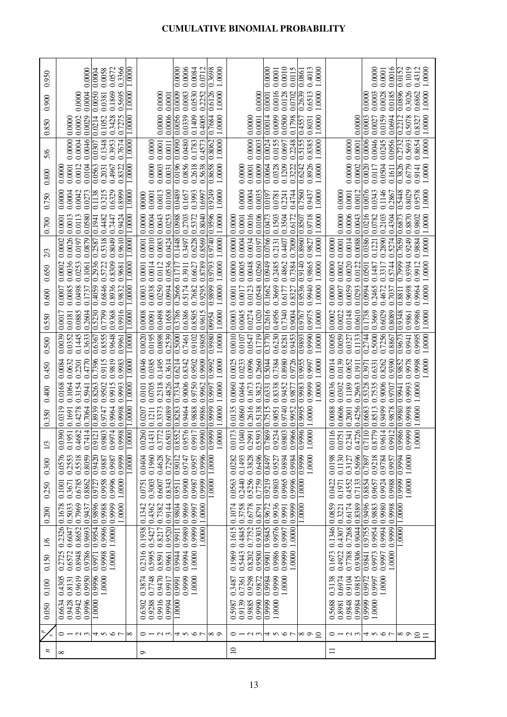| 0.950            | 0.3366<br>0.0572<br>1.0000<br>0.0000<br>0.0058<br>0.0004                                                                                | 0.0006<br>0.0084<br>0.0712<br>0.3698<br>1.0000<br>0.0000                                                                                                      | 0.0010<br>0.0115<br>0.4013<br>1.0000<br>0.0001<br>$\overline{0.0000}$<br>0.0861                                                    | 0.0016<br>0.1019<br>0.4312<br>1.0000<br>0.0000<br>0.0152<br>0.0001                                                                                                                                              |
|------------------|-----------------------------------------------------------------------------------------------------------------------------------------|---------------------------------------------------------------------------------------------------------------------------------------------------------------|------------------------------------------------------------------------------------------------------------------------------------|-----------------------------------------------------------------------------------------------------------------------------------------------------------------------------------------------------------------|
| 0.900            | 0.0050<br>0.1869<br>0.0004<br>0.5695<br>1,0000<br>0.0381<br>0.0000                                                                      | 0.0530<br>0.6126<br>0.0009<br>0.0083<br>0.2252<br>1.0000<br>0.0000<br>0.0001                                                                                  | 0.0016<br>0.2639<br>1.0000<br>0.0128<br>0.0702<br>0.6513<br>0.0000<br>$\overline{0.0001}$                                          | 0.0003<br>0.0028<br>0.0185<br>0.0896<br>0.3026<br>0.6862<br>1.0000<br>0.0000                                                                                                                                    |
| 0.850            | 1.0000<br>0.0029<br>0.0214<br>0.7275<br>0.0002<br>0.3428<br>0.1052<br>0.0000                                                            | 0.0006<br>0.0056<br>0.1409<br>0.4005<br>0.0000<br>0.0339<br>1.0000<br>0.7684                                                                                  | 0.0500<br>0.0014<br>0.0099<br>0.0001<br>0.1798<br>1.0000<br>0.4557<br>0.0000<br>0.8031                                             | 0.0159<br>0.0694<br>0.0003<br>0.2212<br>0.5078<br>0.8327<br>1.0000<br>0.0000<br>0.0027                                                                                                                          |
| 5/6              | 0.0046<br>0.0000<br>0.0004<br>0.3953<br>0.7674<br>1.0000<br>0.1348<br>0.0307                                                            | 0.0480<br>0.0090<br>0.1783<br>0.4573<br>0.8062<br>1.0000<br>0.0001<br>0.0000<br>0.0011                                                                        | 0.0000<br>0.0003<br>0.0024<br>0.0155<br>0.2248<br>0.5155<br>0.8385<br>1.0000<br>0.0697                                             | 0.0006<br>0.0046<br>0.0956<br>0.5693<br>0.8654<br>0.0000<br>0.0245<br>0.2732<br>1.0000<br>0.0001                                                                                                                |
|                  | 1.0000<br>0.0104<br>0.0563<br>0.0012<br>0.2031<br>0.4967<br>0.8322<br>0.0001<br>0.0000                                                  | 0.0196<br>0.0856<br>0.5638<br>1.0000<br>0.0000<br>0.8658<br>0.0003<br>0.2618<br>0.0031                                                                        | $\frac{0.0064}{$<br>0.1209<br>0.8926<br>1.0000<br>0.3222<br>0.6242<br>0.0001<br>0.0009<br>0.0328<br>0.0000                         | 0.0000<br>0.0020<br>0.3826<br>0.6779<br>0.0002<br>1.0000<br>0.0504<br>0.1611<br>0.9141<br>0.0117                                                                                                                |
| 0.800            |                                                                                                                                         |                                                                                                                                                               |                                                                                                                                    |                                                                                                                                                                                                                 |
| 0.750            | 0.3215<br>0.6329<br>0.8999<br>0.0000<br>0.0004<br>0.0042<br>1.0000<br>0.0273<br>0.1138                                                  | 0.9249<br>1.0000<br>0.0013<br>0.0100<br>0.0489<br>0.3993<br>0.0001<br>0.1657<br>0.6997<br>00000                                                               | 0.0000<br>0.0004<br>0.0035<br>0.4744<br>0.7560<br>1.0000<br>0.9437<br>0.2241<br>0.0781<br>$\sqrt{6197}$                            | 0.0076<br>0.0343<br>0.1146<br>0.5448<br>0.8029<br>0.9578<br>1.0000<br>0.0000<br>0.0012<br>0.0001<br>0.2867                                                                                                      |
| 0.700            | 1.0000<br>0.0580<br>0.9424<br>0.0002 0.0001<br>0.4482<br>0.0013<br>0.0113<br> 0.7447                                                    | 0.8040<br>0.9596<br>1.0000<br>0.0000<br>0.0988<br>0.2703<br>0.5372<br>0.0004<br>0.0043<br>0.0253                                                              | 0.0106<br>0.0016<br>1.0000<br>0.0001<br>$\frac{6.0473}{2}$<br>0.1503<br>0.3504<br>0.6172<br>0.9718<br>0.8507<br>0.0000             | 0.0000<br>0.0006<br>0.0386 0.0216<br>0.8870<br>0.9802<br>1.0000<br>0.0043<br>0.0782<br> 0.2103<br>0.6873<br>0.4304                                                                                              |
| 2/3              | 0.2936 0.2587 0.1941<br>1.0000 1.0000<br>0.0879<br>0.9610<br>0.0026<br>0.8049<br> 1610.0<br>0.5318                                      | 0.8569<br>0.9740<br>0.0010<br>0.1448<br>1.0000<br>0.0083<br>0.6228<br>0.0424<br>0.3497<br>0.0001                                                              | 0.0000<br>0.0766<br>0.2131<br>0.7009<br>0.8960<br>1.0000<br>0.0004<br>0.0034<br>0.4407<br>0.0197<br>0.9827                         | 0.2890<br>0.5274<br>0.9884<br>1.0000<br>0.0088<br>0.1221<br>0.7659<br>0.9249<br>0.0001<br>0.0014<br>0.0000                                                                                                      |
| 0.650            | 0.1061<br>0.0036<br>0.0002<br>0.0253<br>0.8309<br>0.5722<br>0.9681                                                                      | 1.0000<br>0.0536<br>0.8789<br>0.9793<br>0.0014<br>0.0112<br>0.1717<br>0.0001<br>0.6627<br>0.3911                                                              | 0.0000<br>0.0949<br>1.0000<br>0.0048<br>0.0260<br>0.0005<br>0.9140<br>0.2485<br>0.4862<br>0.7384<br>0.9865                         | 0.0000<br>0.0020<br>0.0002<br>0.7999<br>0.0122<br>0.9394<br>0.9912<br>0.5744<br>1.0000<br>0.1487<br>0.3317<br>0.0501                                                                                            |
| 0.600            | 1.0000<br>0.4059<br>0.6846<br>0.8936<br>0.9832<br>0.0007<br>0.0085<br>0.0498<br>0.1737                                                  | 0.2666<br>1.0000<br>0.9295<br>0.9899<br>0.0038<br>0.0250<br>0.0003<br>0.0994<br>0.5174<br>0.7682                                                              | 0.9536<br>1.0000<br>0.9940<br>0.3669<br>0.0001<br>0.1662<br>0.0017<br>0.0548<br>0.6177<br>0.0123<br>0.8327                         | 0.0000<br>0.0007<br>0.0059<br>0.0293<br>0.0994<br>0.4672<br>0.9698<br>0.9964<br>1.0000<br>0.2465<br>0.7037<br>0.8811                                                                                            |
| 0.550            | 0.9916<br>1,0000<br>0.5230<br>0.7799<br>0.9368<br>0.2604<br>0.0885<br>0.0017<br>0.0181                                                  | 0.3786<br>0.6386<br>0.0008<br>0.0498<br>0.1658<br>0.8505<br>0.9615<br>1.0000<br>0.0091<br>09954                                                               | $\frac{0.2616}{2}$<br>0.0045<br>0.1020<br>0.7340<br>0.4956<br>0.9975<br>1.0000<br>0.0003<br>0.0274<br>0.9004<br>0.9767             | 0.1738<br>0.3669<br>0.6029<br>0.9348<br>0.9986<br>0.0002<br>0.0022<br>0.0148<br>0.0610<br>0.8089<br>1.0000<br>0.9861                                                                                            |
| 0.500            | 1.0000<br>0.0039<br>0.3633<br>0.8555<br>0.9648<br>0.0352<br>0.1445<br>0.9961<br>0.6367                                                  | 1.0000<br>0.0020<br>0.9980<br>0.0195<br>0.0898<br>0.2539<br>0.5000<br>0.9805<br>0.9102<br>0.7461                                                              | 0.0010<br>1.0000<br>$\frac{0.3770}{2}$<br>0.6230<br>0.0107<br>0.0547<br>0.1719<br>0.9990<br>0.9453<br>0.9893<br>0.8281             | 0.0005<br>0.0059<br>0.5000<br>0.7256<br>0.0327<br>0.1133<br>0.9995<br>1.0000<br>0.2744<br>0.8867<br>0.9673<br>0.9941                                                                                            |
| 0.450            | 0.7396<br>0.4770<br>0.0084<br>0.9819<br>1.0000<br>0.0632<br>0.9983<br>0.9115<br>0.2201                                                  | 0.0046<br>0.0385<br>0.1495<br>0.3614<br>0.9909<br>1.0000<br>0.6214<br>0.9502<br>0.9992<br>0.8342                                                              | 0.0996<br>0.8980<br>0.9726<br>0.9955<br>0.0025<br>0.0233<br>0.2660<br>$\frac{0.5044}{2}$<br>0.7384<br>1.0000<br>0.9997             | 0.0014<br>0.0139<br>0.9390<br>0.9852<br>0.9978<br>1.0000<br>0.0652<br>0.8262<br>0.9998<br>0.1911<br>0.6331<br>0.3971                                                                                            |
| 0.400            | 1.0000<br>0.0168<br>0.1064<br>0.8263<br>0.9915<br>0.9993<br>0.3154<br>0.9502<br>0.5941                                                  | 1.0000<br>0.4826<br>0.7334<br>0.9006<br>0.9962<br>0.0705<br>0.2318<br>0.9750<br>0.9997<br>0.0101                                                              | 1.0000<br>0.9983<br>0.9999<br>0.0060<br>0.0464<br>0.1673<br>0.9452<br>0.3823<br>0.8338<br>0.9877<br>$\frac{0.6331}{2}$             | 0.0036<br>0.0302<br>0.5328<br>0.1189<br>0.2963<br>0.7535<br>0.9006<br>0.9993<br>1.0000<br>0.9707<br>0.9941                                                                                                      |
| 0.350            | 0.8939<br> 1.0000 <br>0.0319<br>0.7064<br>0.9998<br>0.4278<br>0.9747<br>0.9964<br>0.1691                                                | 0.9986<br>1.0000<br>0.8283<br>0.9999<br>0.6089<br>0.9464<br>88860<br>0.3373<br>0.0207<br>0.1211                                                               | 0.0860<br>0.2616<br>$\frac{0.7515}{2}$<br>$\sqrt{0.9995}$<br>0.9740<br>0.0135<br>0.9952<br>0.5138<br>1.0000<br>0.9051              | 1.0000<br>0.4256<br>0.9980<br>0.0606<br>0.6683<br>0.0088<br> 0.9499<br>0.9878<br>86660<br>0.2001<br>0.8513                                                                                                      |
| 1/3              | $\frac{1}{2}$<br>0.7414<br> 00 <br>0.1951<br>0.9974<br>0.9803<br>0.9998<br>0.4682<br>$\overline{c}$<br>0.91<br>$\overline{100}$<br>0.03 | $\overline{\odot}$<br>0.6503<br>0.8552<br>0.9990<br>0.1431<br>0.9576<br>0.9917<br>0.9999<br>$\mathcal{S}$<br>$\tilde{z}$<br>0.37<br>0.02<br>$\overline{1.00}$ | 0.9966<br>0.1040<br>0.2991<br>$\overline{0.7869}$<br>0.9234<br>0.9803<br>0.9996<br>73<br>$\overline{60}$<br>0.5593<br>00.1<br>0.01 | $ 9\zeta $<br> 00 <br>0.2341<br>$\overline{\mathsf{D}}$<br>$\overline{5}$<br>0.9614<br>0.9986<br>0.9999<br>0.9912<br>$\frac{6}{2}$<br>$\overline{51}$<br>0.47<br>0.87<br>0.01<br>0.07<br>0.71<br>$\overline{0}$ |
| 0.300            | 0.9420<br>0.0576<br>0.2553<br>0.5518<br>0.8059<br>0.9999<br>0.9887<br>1.0000<br>0.9987                                                  | 0.1960<br>0.4628<br>0.9996<br>0.0404<br>0.9012<br>0.9747<br>0.9957<br>0.7297<br>1.0000                                                                        | 0.0282<br>0.1493<br>0.3828<br>0.6496<br>0.9999<br>1.0000<br>0.9894<br>0.9984<br>0.8497<br>0.9527                                   | 0.1130<br>0.5696<br>0.9994<br>0.0198<br>0.3127<br>0.9218<br>0.9784<br>1,0000<br>0.9957<br>0.7897                                                                                                                |
| 0.250            | 0.9727<br>0.9996<br>0.9958<br>0.6785<br>0.8862<br>1.0000<br>0.3671<br>0.1001                                                            | 0.9999<br>0.3003<br>0.8343<br>0.9900<br>0.6007<br>0.9987<br>1.0000<br>0.9511<br>0.0751                                                                        | 0.2440<br>$\frac{0.9219}{0.9219}$<br>0.5256<br>0.7759<br>0.9996<br>0.9803<br>0.9965<br>0.0563<br>1.0000                            | 0.8854<br>0.9999<br>1.0000<br>0.7133<br>0.9988<br>0.1971<br>0.9924<br>0.0422<br>0.4552<br>0.9657                                                                                                                |
| 0.200            | 0.7969<br>0.9999<br>1.0000<br>0.1678<br>0.5033<br>0.9437<br>0.9988                                                                      | 0.4362<br>0.7382<br>0.9144<br>0.9804<br>0.9969<br>0.1342<br>1,0000<br>0.9997                                                                                  | 0.1074<br>0.6778<br>0.9672<br>0.9936<br>0.3758<br>0.9999<br>0.9991<br>1.0000<br>0.8791                                             | 0.9496<br>0.6174<br>0.9980<br>0.0859<br>0.8389<br>0.9883<br>0.9998<br> 1.0000<br>0.3221                                                                                                                         |
| $\frac{1}{6}$    | 0.9954 0.9896<br>0.2326<br>0.9693<br>0.8652<br>0.9996<br>0.6047<br>1.0000                                                               | 0.9520<br>0.9989<br>0.999<br>0.1938<br>0.8217<br>0.9911<br>0.5427<br>1.0000                                                                                   | 0.7752<br>0.4845<br>0.9303<br>0.9845<br>0.9976<br>1.0000<br>0.1615<br>0.9997                                                       | 0.9954<br>$\sqrt{0.9755}$<br>0.7268<br>0.9044<br>0.1346<br>0.4307<br>0.9994<br>0.9999<br>1.0000                                                                                                                 |
| 0.150            | 0.9786<br>1.0000<br>0.6572<br>0.8948<br>0.9998<br>0.2725<br>0.9971                                                                      | 0.2316<br>0.5995<br>0.9944<br>0.9994<br>1.0000<br>0.8591<br>0.9661                                                                                            | 0.9500<br>0.9986<br>0.9999<br>$\frac{1066}{10}$<br>1.0000<br>0.1969<br>0.5443<br>0.8202                                            | 0.9306<br>0.4922<br>0.7788<br>0.9841<br>0.9973<br>0.1673<br>0.9997<br>1.0000                                                                                                                                    |
| 0.100            | 0.9950<br>0.9619<br>0.4305<br>1,0000<br>0.8131                                                                                          | 0.7748<br>0.9470<br>0.9999<br>0.3874<br>1.0000<br>0.9917<br>0.9991                                                                                            | $\frac{1}{2}9984$<br>0.9872<br>0.9999<br>0.9298<br>0.7361<br>1.0000<br>0.3487                                                      | 0.9972<br>0.3138<br>0.6974<br>0.9104<br>0.9815<br>1.0000<br>0.9997                                                                                                                                              |
|                  | 1.0000 0.9996<br>0.9996<br>0.6634<br>0.9428<br>0.9942                                                                                   | 0.9916<br>0.9288<br>1.0000<br>0.9994<br>0.6302                                                                                                                | 0.9139<br>0.9990<br>0.999<br>0.9885<br>1.0000<br>0.5987                                                                            | 0.9999<br>0.5688<br>0.9848<br>0.9984<br>0.8981<br>1.0000                                                                                                                                                        |
| 0.050            |                                                                                                                                         |                                                                                                                                                               |                                                                                                                                    |                                                                                                                                                                                                                 |
| ₽<br>$\star$     | $U = 0$<br>∣∞                                                                                                                           | 01234567<br>$^\infty$                                                                                                                                         | 01234567<br>$\infty$ $\circ$ $\circ$                                                                                               | $ \alpha$ $\alpha$ $\beta$ $\alpha$ $\beta$ $\alpha$ $\beta$ $\gamma$<br>$\circ$ $\circ$ $\circ$<br>Ξ                                                                                                           |
| $\boldsymbol{z}$ | $\infty$                                                                                                                                | ๑                                                                                                                                                             | $\supseteq$                                                                                                                        | $\equiv$                                                                                                                                                                                                        |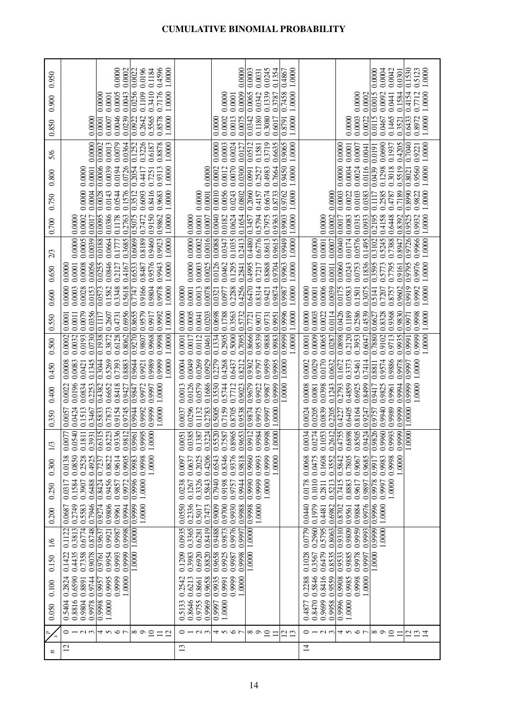| 0.950            | 0.4596<br>1.0000<br>0.0000<br>0.0002<br>0.0022<br>0.0196<br>0.1184                                                                                                                                                                     | 0.0000<br>0.0003<br>0.0245<br>1.0000<br>0.0042<br>0.1530<br>0.5123<br>1.0000<br>0.1354<br>0.0004<br>0.4867<br>0.0000<br>0.0301<br>0.0031                                                                                                                                                                                                                                               |  |
|------------------|----------------------------------------------------------------------------------------------------------------------------------------------------------------------------------------------------------------------------------------|----------------------------------------------------------------------------------------------------------------------------------------------------------------------------------------------------------------------------------------------------------------------------------------------------------------------------------------------------------------------------------------|--|
| 0.900            | 0.3410<br>0.0256<br>0.7176<br>0.1109<br>0.0005<br>1.0000<br>0.0043<br>0.0000<br>0.0001                                                                                                                                                 | 0.1339<br>0.1584<br>1.0000<br>0.0065<br>0.7458<br>0.4154<br>0.0009<br>0.0342<br>1.0000<br>0.3787<br>0.0092<br>0.7712<br>0.0015<br>0.0000<br>0.0002<br>0.0441<br>0.0000<br>0.0001                                                                                                                                                                                                       |  |
| 0.850            | 0.5565<br>0.0922<br>0.0046<br>0.0239<br>0.8578<br>1.0000<br>0.2642<br>0.0001<br>0.0007<br>0.0000                                                                                                                                       | 0.6433<br>1.0000<br>1.0000<br>0.0342<br>0.3080<br>0.8791<br>0.1180<br>0.0003<br>0.1465<br>0.3521<br>0.8972<br>0.0002<br>0.0013<br>0.0075<br>0.6017<br>0.0115<br>0.0467<br>0.0022<br>0.0000<br>0.0000                                                                                                                                                                                   |  |
| 5/6              | 0.0000<br>0.0002<br>0.0079<br>0.3226<br>0.0013<br>0.0364<br>0.1252<br>0.8878<br>1.0000<br>0.6187                                                                                                                                       | 0.3719<br>0.6635<br>0.9065<br>0.7040<br>1.0000<br>0.0024<br>0.0512<br>1.0000<br>0.0690<br>0.1937<br>0.4205<br>0.0000<br>0.0003<br>0.1581<br>0.0001<br>0.0127<br>0.0000<br>0.0007<br>0.9221<br>0.0041<br>0.0191                                                                                                                                                                         |  |
| 0.800            | 0.0006<br>0.2054<br>0.0726<br>0.0039<br>0.0194<br>1.0000<br>0.0001<br>0.9313<br>0.4417<br>0.7251<br>0.0000                                                                                                                             | 0.9450<br>0.5519<br>0.0002<br>1.0000<br>0.0300<br>1.0000<br>0.0000<br>0.0070<br>0.7664<br>0.0439<br>0.9560<br>0.4983<br>0.1298<br>0.8021<br>0.0991<br>0.0004<br>0.0024<br>0.0116<br>0.3018<br>0.0012<br>0.0000<br>0.2527                                                                                                                                                               |  |
| 0.750            | 0.0004<br>0.0000<br>0.0028<br>0.1576<br>0.3512<br>0.0544<br>0.8416<br>0.0143<br>0.6093<br>0.9683<br>1.0000                                                                                                                             | 0.0010<br>0.8990<br>0.0003<br>0.7189<br>1.0000<br>0.0056<br>0.2060<br>0.9762<br>0.6674<br>1.0000<br>0.0001<br>0.0243<br>0.0802<br>0.8733<br>0.0000<br>0.0022<br>0.0383<br>0.2585<br>0.4787<br>0.9822<br>0.0000<br>0.0103<br>0.4157<br>0.1117                                                                                                                                           |  |
| 0.700            | 0.0002<br>0.0095<br>0.0386<br>0.9150<br>0.2763<br>0.5075<br>0.9862<br>0.1178<br>0.7472<br>1.0000<br>0.0017<br>0.0000                                                                                                                   | 0.9903<br>0.2195<br>1.0000<br>0.0040<br>0.0624<br>0.0002<br>0.9525<br>0.5794<br>0.7975<br>1.0000<br>0.0315<br>0.0933<br>0.4158<br>0.6448<br>0.8392<br>0.9932<br>0.0001<br>0.0182<br>0.1654<br>0.9363<br>0.0083<br>0.0000<br>0.0017<br>0.0000<br>0.0007<br>0.3457                                                                                                                       |  |
| 2/3              | 0.0005<br>0.0039<br>0.9460<br>0.0000<br>0.6069<br>0.8189<br>1.0000<br>0.0188<br>0.3685<br>0.0664<br>0.9923<br>0.1777                                                                                                                   | 0.9726<br>1.0000<br>0.0000<br>0.0002<br>0.0016<br>0.4480<br>0.6776<br>0.9615<br>0.9949<br>1.0000<br>0.0040<br>0.0576<br>0.7388<br>0.9966<br>0.1035<br>0.2413<br>0.8613<br>0.0001<br>0.0174<br>0.1495<br>0.3102<br>0.5245<br>0.0088<br>0.8947<br>0.0347<br>0.0007<br>0.0000                                                                                                             |  |
| 0.650            | 0.0255<br>0.0056<br>0.0846<br>0.6533<br>0.0008<br>0.9576<br>1.0000<br>0.9943<br>0.0001<br>0.2127<br>0.8487<br>0.4167<br>0.0000                                                                                                         | 0.0000<br>0.0025<br>0.0126<br>0.4995<br>0.0000<br>1.0000<br>0.0003<br>0.9963<br>1.0000<br>0.0060<br>0.1836<br>0.3595<br>0.9795<br>0.9704<br>0.0753<br>0.9161<br>0.9976<br>0.0462<br>0.1295<br>0.2841<br>0.8868<br>0.0001<br>0.0243<br>0.5773<br>0.7217<br>0.7795<br>0.0011                                                                                                             |  |
| 0.600            | 0.0573<br>0.0153<br>0.7747<br>0.3348<br>0.5618<br>0.9804<br>1.0000<br>0.0028<br>0.1582<br>0.9166<br>0.0000<br>0.9978<br>0.0003                                                                                                         | 0.0001<br>0.6470<br>0.0001<br>1.0000<br>0.0078<br>0.9987<br>0.0175<br>0.4256<br>0.0013<br>0.0321<br>0.9421<br>0.0006<br>0.0039<br>0.9602<br>0.9919<br>0.2288<br>0.8314<br>0.9874<br>1.0000<br>0.0977<br>0.0583<br>0.9992<br>0.1501<br>0.3075<br>0.8757<br>0.5141<br>0.7207<br>0.0000<br>0.0000                                                                                         |  |
| 0.550            | 0.0356<br>0.6956<br>0.8655<br>0.9579<br>0.9992<br>0.9917<br>1.0000<br>0.0079<br>0.4731<br>0.1938 0.1117<br>0.2607<br>0.0001<br>0.0011                                                                                                  | 0.2586<br>0.9830<br>0.9999 0.9996<br>0.0000<br>0.4539<br>1.0000 1.0000<br>0.0000<br>0.0005<br>1.0000<br>0.0898 0.0426<br>0.1189<br>0.9991 0.9971<br>0.0203<br>0.0698<br>0.1788<br>0.3563<br>0.5732<br>0.0003<br>0.0022<br>0.7880 0.6627<br>0.8328<br>0.9368<br>0.9998<br>0.0041<br>0.0114<br>0.9951<br>0.9071<br>0.9731<br>0.8666 0.7721                                               |  |
| 0.500            | 0.0730<br>0.9270<br>0.6128<br>1.0000<br>0.0193<br>0.9968<br>0.0002<br>0.0032<br>0.3872<br>0.8062<br>0.9807<br>0.9998                                                                                                                   | 0.5000<br>1,0000<br>0.9935<br>0.7095<br>0.9539<br>0.9888<br>0.9983<br>0.0009<br>0.2120<br>0.9999<br>0.2905<br>0.0065<br>0.3953<br>0.9713<br>0.1334<br>0.9102<br>0.0112<br>0.0001<br>0.6047<br>0.0017<br>0.0461<br>0.0287<br>0.0001                                                                                                                                                     |  |
| 0.450            | 0.3044<br>0.5269<br>0.9644<br>0.9989<br>0.9999<br>1.0000<br>0.1345<br>0.8883<br>0.0008<br>0.0083<br>0.7393<br>0.0421<br>0.9921                                                                                                         | 0.0269<br>0.0929<br>0.9959<br>0.0170<br>0.0049<br>0.2279<br>0.0029<br>0.9886<br>0.0004<br>0.4268<br>0.6437<br>0.8212<br>0.9302<br>0.9995<br>1.0000 1.0000<br>0.0002<br>0.0632<br>0.1672<br>0.3373<br>0.7414<br>0.9574<br>0.9978<br>1.0000 1.0000<br>0.9797<br>0.9999 0.9997<br>0.5461<br>0.8811                                                                                        |  |
| 0.400            | 0.0196<br>0.0022<br>0.0834<br>0.2253<br>0.4382<br>0.6652<br>0.8418<br>1.0000<br>0.9972<br>0.9997<br>0.9847<br>0.9427                                                                                                                   | 0.0579<br>0.1686<br>0.3530<br>0.9679<br>0.2793<br>0.0126<br>0.9999<br>0.0008<br>0.0081<br>0.9994<br>0.0013<br>0.5744<br>0.4859<br>0.7712<br>0.1243<br>0.6925<br>0.8499<br>0.9417<br>0.9023<br>0.9922<br>0.0398<br>0.9825<br>0.9987<br>0.9961                                                                                                                                           |  |
| 0.350            | 15 0.5833<br>0.9999<br>1.0000<br>0.9944<br>0.9992<br>0.0424<br>0.7873<br>0.9154<br>0.9745<br>0.0057<br>0.1513<br>0.3467                                                                                                                | 000011000<br>0.9999 0.9999<br>0.9989<br>0.7159<br>0.9874<br>1.0000<br>26 0.9757<br>0.0296<br>0.8705<br>0.0839<br>0.9940<br>0.3224 0.2783<br>0.5520 0.5005<br>0.9538<br>0.9975<br>0.0024<br>0.0205<br>0.8164<br>0.1132<br>0.9997<br>0.2205<br>55 0.4227<br>0.6405<br>0.0037<br>0.9247                                                                                                   |  |
| 1/3              | $\overline{5}$<br>$\overline{36}$<br>$\overline{51}$<br>$\overline{23}$<br>$\overline{5}$<br>$\overline{2}$<br>0.9995<br>$\overline{\mathsf{S}}$<br>0.996<br>0.054<br>0.393<br>0.822<br>0.631<br>1.000<br>0.18<br>0.00<br>0.93<br>0.98 | $\overline{5}$<br>0.1387<br>$\overline{4}$<br>0.1053<br>$\overline{c}$<br>$\overline{5}$<br>0.9653<br>0.9984<br>$\overline{\mathsf{S}}$<br>$\frac{1}{24}$<br>0.6898<br>$\overline{4}$<br>$\overline{3}$<br>0.0051<br>0.0385<br>0.8965<br>$\overline{2}$<br>0.7587<br>0.9998<br>0.475<br>0.999<br>0.850<br>1.000<br>0.027<br>0.261<br>0.996<br>0.991<br>0.982<br>1.000<br>0.003<br>0.94 |  |
| 0.300            | 0.2528<br>0.9614<br>0.9983<br>0.0138<br>0.4925<br>0.7237<br>0.8822<br>0.9998<br>1.0000<br>0.0850<br>0.9905                                                                                                                             | 0.4206<br>0.8346<br>0.9376<br>0.6543<br>0.9818<br>0.9960<br>0.9999<br>0.5842<br>0.2025<br>0.9993<br>0.0475<br>0.1608<br>0.3552<br>0.7805<br>0.9685<br>0.9983<br>0.9998<br>1.0000<br>0.0068<br>0.9067<br>0.9917<br>1.0000<br>0.0637<br>0.0097                                                                                                                                           |  |
| 0.250            | 0.9996<br>1.0000<br>0.1584<br>0.8424<br>0.9456<br>0.6488<br>0.9857<br>0.9972<br>0.0317<br>0.3907                                                                                                                                       | 0.7940<br>0.1010<br>0.5843<br>0.9990<br>0.9999<br>1.0000<br>0.7415<br>0.9978<br>0.3326<br>0.9198<br>0.0178<br>0.2811<br>0.5213<br>0.8883<br>1.0000<br>0.0238<br>0.1267<br>0.9757<br>0.9944<br>0.9617<br>0.9997<br>0.9897                                                                                                                                                               |  |
| 0.200            | 0.2749<br>0.7946<br>0.9274<br>0.9806<br>0.5583<br>0.9999<br>1.0000<br>0.9994<br>0.0687<br>0.9961                                                                                                                                       | 0.9996<br>0.2336<br>0.9700<br>0.9930<br>0.1979<br>0.9976<br>0.0550<br>0.9009<br>0.9998<br>0.0440<br>0.9884<br>1.0000<br>0.7473<br>0.9988<br>0.6982<br>0.8702<br>0.5017<br>1.0000<br>0.4481<br>0.9561                                                                                                                                                                                   |  |
| 1/6              | 0.8748<br>0.3813<br>0.6774<br>0.9998<br>0.1122<br>0.9987<br>0.9637<br>1.0000 1.0000<br>0.9921                                                                                                                                          | 0.9873<br>0.2960<br>0.9310<br>0.9959<br>0.8419<br>0.9488<br>0.9976<br>0.5795<br>0.9809<br>0.9993<br>0.0935<br>0.3365<br>0.8063<br>0.9999<br>1.0000<br>0.6281<br>1.0000<br>0.0779<br>0.9997                                                                                                                                                                                             |  |
| 0.150            | 0.7358<br>0.9078<br>0.1422<br>0.4435<br>0.9999<br>0.9954<br>0.9993<br>0.9761                                                                                                                                                           | 0.8820<br>0.9658<br>0.6920<br>0.9533<br>1.0000<br>0.1028<br>0.6479<br>0.8535<br>0.9978<br>0.9925<br>0.9885<br>1.0000<br>0.1209<br>0.3983<br>0.9998<br>0.9987<br>0.3567<br>0.9997                                                                                                                                                                                                       |  |
| 0.100            | 0.9999<br>0.2824<br>0.6590<br>0.9744<br>0.9995<br>0.9957<br>1.0000<br>0.8891                                                                                                                                                           | 0.5846<br>0.9658<br>0.9935<br>0.9999<br>0.8416<br>0.9559<br>0.9908<br>0.6213<br>0.2288<br>0.9985<br>0.9998<br>0.8661<br>1.0000<br>1.0000<br>0.2542<br>0.9991                                                                                                                                                                                                                           |  |
| 0.050            | 0.9998<br>0.5404<br>0.8816<br>0.9804<br>0.9978<br>1.0000                                                                                                                                                                               | 0.9969<br>0.8470<br>0.9996<br>0.8646<br>0.9755<br>0.9997<br>0.9699<br>0.5133<br>0.9958<br>1.0000<br>0.4877<br>1.0000                                                                                                                                                                                                                                                                   |  |
| $\star$          | $\infty$ $\circ$ $\sim$<br>$\Xi$<br>$\overline{c}$                                                                                                                                                                                     | $0 - 0.5$<br>4567<br>$\circ$ $\sim$ $\sim$ $\sim$<br>4567<br>$\infty$ $\infty$<br>$\supseteq$<br>$\infty$<br>$\supseteq$<br><u>¤ ¤</u><br>7<br>$\Xi$<br>Ξ<br>$\equiv$<br>그                                                                                                                                                                                                             |  |
| $\boldsymbol{z}$ | $\overline{c}$                                                                                                                                                                                                                         | $\mathfrak{D}$<br>$\overline{4}$                                                                                                                                                                                                                                                                                                                                                       |  |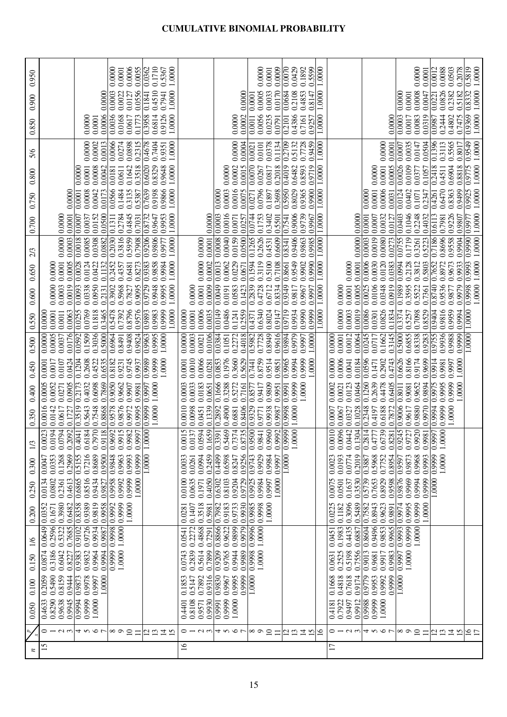| 0.950  |                                                                                             | 0.0006<br>0.0055<br>0.0000<br>0.0001                                        | 0.1710<br>0.0362<br>0.5367<br>1.0000  |                                                               |                                                                                            | 0.0000<br>0.0009<br>0.0001                                                            | 0.0429<br>0.0070<br>0.1892<br>0.5599             | 1.0000 |                                                                                                                                                | 0.0000<br>0.0001                                                                     | 0.0088<br>0.0012<br>0.0503<br>0.2078                                    | 1.0000<br>$\frac{61850}{20}$    |
|--------|---------------------------------------------------------------------------------------------|-----------------------------------------------------------------------------|---------------------------------------|---------------------------------------------------------------|--------------------------------------------------------------------------------------------|---------------------------------------------------------------------------------------|--------------------------------------------------|--------|------------------------------------------------------------------------------------------------------------------------------------------------|--------------------------------------------------------------------------------------|-------------------------------------------------------------------------|---------------------------------|
| 0.900  | 0.0000                                                                                      | 0.0556<br>0.0003<br>0.0022<br>0.0127                                        | 0.4510<br>1.0000<br>0.7941<br>0.1841  |                                                               | 0.0000                                                                                     | 0.0170<br>0.0005<br>0.0033<br>0.0001                                                  | 0.0684<br>0.2108<br>0.4853<br>0.8147             | 1.0000 |                                                                                                                                                | 0.0008<br>0.0047<br>0.0001<br>0.0000                                                 | 0.0826<br>0.5182<br>0.2382<br>0.0221                                    | 1.0000<br>0.8332                |
| 0.850  | 0.0006<br>0.0000<br>0.0001                                                                  | 0.1773<br>0.0036<br>0.0168<br>0.0617                                        | 0.9126<br>1.0000<br>0.3958<br>0.6814  |                                                               | 0.0002<br>0.0000                                                                           | 0.0056<br>0.0011<br>0.0235<br>0.0791                                                  | 0.2101<br>0.4386<br>0.9257<br>0.7161             | 1.0000 | 0.0000                                                                                                                                         | 0.0003<br>0.0319<br>0.0017<br>0.0083                                                 | 0.2444<br>0.0987<br>0.4802<br>0.7475                                    | 1.0000<br>$\frac{69560}{2}$     |
| 5/6    | 0.0013<br>0.0000<br>0.0002                                                                  | 0.0066<br>0.0898<br>0.2315<br>0.0274                                        | 0.4678<br>0.7404<br>1.0000<br>0.9351  |                                                               | 0.0000<br>0.0004                                                                           | 0.0378<br>0.1134<br>0.0021<br>0.0101                                                  | 0.7728<br>0.9459<br>$\frac{0.2709}{2}$<br>0.5132 | 1.0000 | 0.0000<br>0.0001                                                                                                                               | 0.0035<br>0.0504<br>0.0007<br>0.0147                                                 | 0.1396<br>0.5565<br>0.3113<br>0.8017                                    | $1.0000\,$<br>$\frac{6549}{25}$ |
| 0.800  | 0.0001<br>0.0008<br>0.0042<br>0.0000                                                        | 0.1642<br>0.3518<br>0.0181<br>0.0611                                        | 0.6020<br>0.8329<br>0.9648<br>1.0000  |                                                               | 0.0002<br>0.0015<br>0.0000                                                                 | 0.0070<br>0.2018<br>0.0267<br>0.0817                                                  | 0.4019<br>0.9719<br>0.8593<br>0.6482             | 1.0000 | 0.0001<br>0.0005<br>0.0000                                                                                                                     | 0.0026<br>0.0109<br>0.0377<br>0.1057                                                 | 0.2418<br>0.6904<br>0.8818<br>0.4511                                    | $\frac{0.9775}{1.0000}$         |
| 0.750  | 0.0173<br>0.0000<br>0.0008<br>0.0042<br>0.0001                                              | 0.0566<br>0.1484<br>0.3135<br>0.5387                                        | 0.7639<br>1.0000<br>0.9198<br>0.9866  |                                                               | 0.0003<br>0.0016<br>0.0075<br>0.0000                                                       | 0.0271<br>0.0796<br>0.3698<br>0.1897                                                  | 0.5950<br>0.8029<br>0.9365<br>0.9900             | 1.0000 | 0.0001<br>0.0006<br>0.0000<br>0.0031                                                                                                           | 0.0124<br>0.0402<br>0.1071<br>0.2347                                                 | 0.6470<br>0.8363<br>0.9499<br>0.4261                                    | 1,0000<br>0.9925                |
| 0.700  | 0.0500<br>0.0001<br>0.0152<br>0.0007<br>0.0037<br>0.000                                     | 0.4845<br>0.7031<br>0.2784<br>0.1311                                        | 1,0000<br>0.8732<br>0.9953<br>0.9647  | 0.0000                                                        | 0.0003<br>0.0016<br>0.0257<br>0.0071                                                       | 0.0744<br>0.1753<br>0.5501<br>0.3402                                                  | 0.7541<br>0.9006<br>0.9739<br>0.9967             | 1.0000 | 0.0032<br>0.0007<br>0.0127                                                                                                                     | 0.0403<br>0.1046<br>0.2248<br>0.4032                                                 | 0.9226<br> 0.6113<br>0.7981<br>0.9807                                   | $\frac{1}{2}$                   |
|        | 0.0000<br>0.0018<br>0.0085<br>0.0003<br>0.0308<br>0.0882                                    | 0.5959<br>0.7908<br>0.3816<br>0.2030                                        | 0.9206<br>0.9806<br>0.9977<br>1.0000  | 0.0001<br>0.0000                                              | 0.0008<br>0.0159<br>0.0500<br>0.0040                                                       | 0.1265<br>0.2626<br>0.6609<br>0.4531                                                  | 0.9406<br>0.8341<br>0.9863<br>0.9985             | 1.0000 | 0.0003   0.0001<br>0.0000100000<br>0.0019<br>0.0080<br>0.0273                                                                                  | 0.0755<br>0.1719<br>0.5223<br>0.3261                                                 | 0.7186<br>0.8696<br>0.9558<br>0.9904                                    | 1.0000 1.0000                   |
| 2/3    |                                                                                             |                                                                             |                                       |                                                               |                                                                                            |                                                                                       |                                                  |        |                                                                                                                                                |                                                                                      |                                                                         | 1.0000                          |
| 0.650  | 0.0005<br>0.0028<br>0.0001<br>0.0124<br>0.1132<br>0.0000<br>0.0422                          | 0.2452<br>0.8273<br>0.4357<br>0.6481                                        | 1.0000<br>0.9383<br>0.9858<br>0.9984  | 0.0000<br>0.0002                                              | 0.0013<br>0.0229<br>0.0062<br>0.0671                                                       | 0.1594<br>0.5100<br>0.3119<br>0.7108                                                  | 0.9549<br>0.8661<br>0.9990<br>0.9902             | 1.0000 | 0.0025 0.0006<br>0.0030<br>0.0120<br>0.0001<br>0.0383<br>0.0000                                                                                | 0.0994<br>0.2128<br>0.3812<br>0.5803                                                 | 0.7652<br>0.8972<br>0.9673<br>0.9933                                    | 0.993<br>1.0000                 |
| 0.600  | 0.0093<br>0.0950<br>0.0000<br>0.0019<br>0.2131<br>0.0003<br>0.0338                          | 0.3902<br>0.9095<br>0.5968<br>0.7827                                        | 0.9729<br>1.0000<br>0.9948<br>0.9995  | 0.0009<br>0.0001<br>0.0000                                    | 0.0049<br>0.1423<br>0.0191<br>0.0583                                                       | 0.2839<br>0.8334<br>0.4728<br>0.6712                                                  | 0.9349<br>0.9817<br>0.9997<br>0.9967             | 1.0000 | 0.0106<br>0.0919<br>0.0001<br>0.0005<br>0.0348<br>0.0000                                                                                       | 0.1989<br>0.3595<br>0.7361<br>0.5522                                                 | 0.8740<br>0.9979<br>0.9536<br>0.9877                                    | $\frac{8666}{10}$               |
| 0.550  | 0.0769<br>0.0063<br>0.0255<br>0.1818<br>0.0001<br>0.3465<br>0.0000100000<br>0.0011          | 0.8796<br>0.9576<br>0.5478<br>0.7392                                        | 0.9999<br>0.9983<br>1.0000<br>0.9893  | 0.0006<br>0.0001<br>0.0035<br>0.0000                          | 0.0149<br>0.0486<br>0.2559<br>0.1241                                                       | 0.6340<br>0.4371<br>0.8024<br>0.9147                                                  | 0.9990<br>0.9719<br>0.9934<br>0.9999             | 1.0000 | 0.0000<br>0.0086<br>0.0019<br>0.0826<br>0.0003<br>0.1834<br>0.0301                                                                             | 0.3374<br>0.8529<br>0.7098<br>0.5257                                                 | 0.9404<br>0.9816<br>0.9959<br>0.9994                                    | 1.0000                          |
| 0.500  | 0.0176<br>0.0592<br>0.1509<br>0.3036<br>0.5000<br>0.0005<br>0.0037                          | 0.9408<br>0.9824<br>0.6964<br>0.8491                                        | 0.9963<br>1.0000<br>0.9995            | 0.0106<br>0.0000<br>0.0003<br>0.0021                          | 0.0384<br>0.4018<br>0.2272<br>0.1051                                                       | 0.5982<br>0.8949<br>0.9616<br>0.7728                                                  | 0.9894<br>0.9979<br>1.0000<br>0.9997             |        | 0.0245<br>0.3145<br>0.0001<br>0.0064<br>0.0012<br>0.1662<br>0.0717<br>0.0000                                                                   | 0.9283<br>0.5000<br>0.6855<br>0.8338                                                 | 0.9755<br>0.9936<br>0.9988<br>0.9999                                    | 1.0000                          |
| 0.450  | 0.0424<br>0.2608<br>0.6535<br>0.0001<br>0.1204<br>0.4522<br>0.0017<br>0.0107                | 0.8182<br>0.9745<br>0.9231<br>0.9937                                        | 0.9999<br>1.0000<br>0.9989            | 0.0010<br>0.0066<br>0.0281<br>0.0001                          | 0.1976<br>0.3660<br>0.5629<br>0.0853                                                       | 0.8759<br>0.9514<br>0.7441<br>0.9851                                                  | 0.9965<br>0.9999<br>1.0000<br>0.9994             |        | 0.0596<br>0.0000<br>0.0006<br>0.4743<br>0.0184<br>0.1471<br>0.2902<br>0.0041                                                                   | 0.6626<br>0.8166<br>0.9699<br>0.9174                                                 | 0.9914<br>1.0000<br>0.9981<br>0.9997                                    |                                 |
| 0.400  | 0.0005<br>0.7869<br>0.0905<br>0.2173<br>0.4032<br>0.6098<br>0.0052<br>0.0271                | 0.9050<br>0.9662<br>0.9907<br>0.9981                                        | 1.0000<br>0.997                       | 0.0183<br>0.0651<br>0.0033<br>0.0003                          | 0.1666<br>0.3288<br>0.5272<br>0.7161                                                       | 0.9809<br>0.8577<br>0.9417<br>0.9951                                                  | 0.9999<br>0.9991<br>1.0000                       |        | 0.1260<br>0.2639<br>0.0002<br>0.0464<br>0.0021<br>0.0123<br>0.4478<br>0.6405                                                                   | 0.9894<br>0.9652<br>0.8011<br>0.9081                                                 | 0.9975<br>1.0000<br>0.9999<br>0.9995                                    |                                 |
| 0.350  | 0.3519<br>0.8868<br>0.0016<br>0.7548<br>0.5643<br>0.1727<br>0.0142<br>0.0617                | 0.9578<br>0.9995<br>0.9876<br>0.9972                                        | 1.0000<br>0.9999                      | 0.1339<br>0.0010<br>0.0098<br>0.0451                          | 0.2892<br>0.8406<br>0.4900<br>0.6881                                                       | 0.9329<br>0.9938<br>0.9771<br>0.9987                                                  | 0.9998<br>1.0000                                 |        | 0.2348<br>0.6188<br>0.7872<br>0.0007<br>0.0067<br>0.0327<br>0.1028<br>0.4197                                                                   | 0.9970<br>0.9006<br>0.9880<br>0.9617                                                 | 0.9994<br>1.0000<br>0.9999                                              |                                 |
| 1/3    | 0.7970<br>$\overline{18}$<br>0.6184<br>0.0194<br>0.0794<br>0.2092<br>0.4041<br>0.00<br>0.91 | $\overline{56}$<br>0.9982<br>$\overline{15}$<br>50<br>0.99<br>0.965<br>0.99 | $\overline{\Xi}$<br>$\overline{1.00}$ | 59<br>15<br>0.0137<br>54<br>0.05<br>0.16 <sup>2</sup><br>0.00 | $\overline{5}$<br>$\mathcal{S}$<br>35<br>$\overline{7}$<br>0.546<br>0.335<br>0.737<br>0.87 | 0.9500<br>$\overline{\circ}$<br>0.9992<br>$\frac{1}{4}$<br>0.98 <sub>4</sub><br>0.996 | 1.0000<br> 66600                                 |        | $\overline{\mathsf{D}}$<br>0.0096<br>Å<br>$\overline{4}$<br>39<br>42<br>81<br>77<br>ğ.<br>0.13(<br>0.281<br>$_{0.00}$<br>0.825<br>0.67<br>0.47 | $\overline{\mathrm{SO}}$<br>$\overline{45}$<br>27<br>0.9981<br>0.924<br>6.99<br>0.97 | 8<br>0.9997<br>$\sum_{i=1}^{n}$                                         |                                 |
| 0.300  | 0.9500<br>0.5155<br>0.8689<br>0.1268<br>0.2969<br>0.7216<br>0.0047<br>0.0353                | 0.9848<br>0.9963<br>0.9993<br>0.9999                                        | 1.0000                                | 0.0994<br>0.2459<br>0.0033<br>0.0261                          | 0.9256<br>0.4499<br>0.6598<br>0.8247                                                       | 0.9743<br>0.9929<br>0.9984<br>0.9997                                                  | 1.0000                                           |        | 0.0774<br>0.8954<br>0.0193<br>0.2019<br>0.5968<br>0.7752<br>0.0023<br>0.3887                                                                   | 0.9968<br>0.9993<br>0.9597<br>0.9873                                                 | 0.9999<br>1.0000                                                        |                                 |
| 0.250  | 0.6865<br>0.8516<br>0.0134<br>0.4613<br>0.9434<br>0.0802<br>0.2361<br>0.9827                | 0.9999<br>00001<br>0.9958<br>0.9992                                         |                                       | 0.4050<br>0.0100<br>0.0635<br>0.1971                          | 0.6302<br>0.9729<br>0.8103<br>0.9204                                                       | 0.9925<br>0.9984<br>0.9997<br>1.0000                                                  |                                                  |        | 0.5739<br>0.8929<br>0.7653<br>0.9598<br>0.0075<br>0.3530<br>0.1637<br>0.0501                                                                   | 0.9876<br>0.9969<br>0.9999<br>0.9994                                                 | 1.0000                                                                  |                                 |
| 0.200  | 0.3980<br>0.9389<br>0.9819<br>0.0352<br>0.8358<br>0.9958<br>0.6482<br>0.1671                | 0.9992<br>0.9999<br>1.0000                                                  |                                       | 0.3518<br>0.1407<br>0.5981<br>0.0281                          | 0.9930<br>0.7982<br>0.9183<br>0.9733                                                       | 0.9985<br>0.9998<br>1.0000                                                            |                                                  |        | 0.0225<br>0.3096<br>0.5489<br>0.7582<br>0.8943<br>0.9623<br>0.1182<br>0.9891                                                                   | 0.9974<br>0.9999<br>0.9995<br>1.0000                                                 |                                                                         |                                 |
| $\geq$ | 0.0649<br>0.2596<br>0.7685<br>0.9102<br>0.9726<br>0.9934<br>0.5322<br>0.9987                | 0.9998<br>1.0000                                                            |                                       | 0.4868<br>0.7291<br>0.2272<br>0.0541                          | 0.8866<br>0.9979<br>0.9622<br>0.9899                                                       | 0.9996<br>1,0000                                                                      |                                                  |        | 0.8604<br>0.9496<br>0.9853<br>0.9965<br>0.1983<br>0.4435<br>0.6887<br>0.0451                                                                   | 0.9993<br>0.9999<br>1.0000                                                           |                                                                         |                                 |
| 0.150  | 0.0874<br>0.9994<br>0.3186<br>0.9383<br>0.9832<br>0.9964<br>0.6042<br>0.8227                | 1.0000<br>0.9999                                                            |                                       | 0.7899<br>0.0743<br>0.2839<br>0.5614                          | 0.9989<br>0.9209<br>0.9765<br>0.9944                                                       | 1.0000<br>0.9998                                                                      |                                                  |        | 0.9013<br>0.7556<br>0.9983<br>0.2525<br>0.5198<br>0.9681<br>0.9917<br>0.0631                                                                   | 1.0000<br>0.9997                                                                     |                                                                         |                                 |
| 0.100  | 0.2059<br>0.5490<br>0.8159<br>0.9444<br>0.9873<br>1,0000<br>0.9978<br>0.9997                |                                                                             |                                       | 0.9316<br>0.1853<br>0.7892<br>0.5147                          | 0.9830<br>0.9999<br>0.9995<br>0.9967                                                       | 1.0000                                                                                |                                                  |        | 0.9779<br>0.4818<br>0.9953<br>0.9999<br>0.1668<br>0.7618<br>0.9174<br>0.9992                                                                   | 1.0000                                                                               |                                                                         |                                 |
| 0.050  | 0.9994<br>0.4633<br>0.8290<br>0.9638<br>0.9945<br>0.9999<br>1.0000                          |                                                                             |                                       | 0.9930<br>0.8108<br>0.9571<br>0.4401                          | 0.9991<br>0.9999<br>1.0000                                                                 |                                                                                       |                                                  |        | 0.9988<br>0.9999<br>0.7922<br>0.9912<br>0.9497<br>1,0000<br>0.4181                                                                             |                                                                                      |                                                                         |                                 |
|        |                                                                                             |                                                                             |                                       |                                                               |                                                                                            |                                                                                       |                                                  |        |                                                                                                                                                |                                                                                      |                                                                         |                                 |
|        | $\sim$<br>$\epsilon$<br>4567<br>0                                                           | $\infty$ $\circ$ $\sim$<br>$\equiv$                                         | $\frac{20}{2}$<br>ᅺ                   | $\circ$ $\sim$ $\sim$ $\circ$                                 | 4565                                                                                       | $\infty$<br>$\supseteq$<br>$\equiv$                                                   | $\overline{c}$<br>$\mathbf{C}$<br>호<br>N         | ≘      | $\omega$<br>4567<br>0<br>$\overline{\phantom{0}}$                                                                                              | $\infty$ $\infty$<br>$\Xi$<br>$\equiv$                                               | $\overline{\omega}$<br>$\mathbf{C}$<br>$\overline{4}$<br>$\overline{5}$ | $\frac{16}{11}$                 |
| z      | 15                                                                                          |                                                                             |                                       | $\frac{6}{1}$                                                 |                                                                                            |                                                                                       |                                                  |        | $\Box$                                                                                                                                         |                                                                                      |                                                                         |                                 |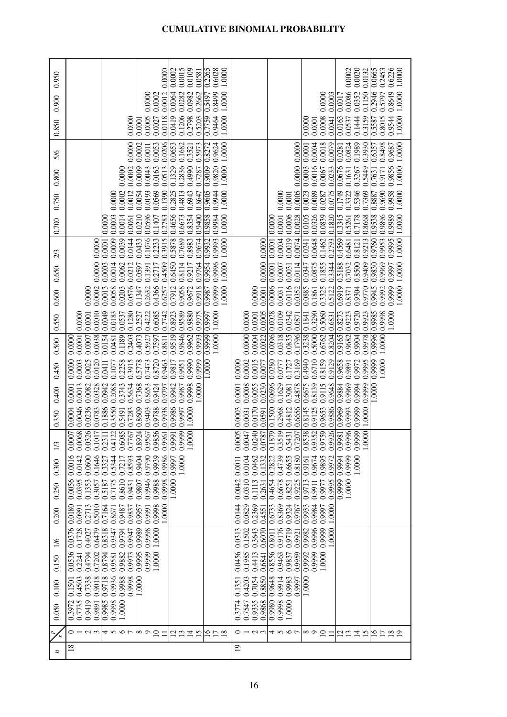| 0.950   |                                                                                                                    |                                                                                                            | 0.0000                                      | 0.0015<br>0.0109<br>0.0002<br>0.0581       | 0.2265<br>0.6028<br>1.0000               | 0.0020<br>0.2453<br>0.6226<br>0.0002<br>0.0665<br>1.0000<br>0.0132                                                                                                                                                   |
|---------|--------------------------------------------------------------------------------------------------------------------|------------------------------------------------------------------------------------------------------------|---------------------------------------------|--------------------------------------------|------------------------------------------|----------------------------------------------------------------------------------------------------------------------------------------------------------------------------------------------------------------------|
| 0.900   |                                                                                                                    |                                                                                                            | 0.0012<br>0.0000<br>0.0002                  | 0.0982<br>0.2662<br>0.0282<br>0.0064       | 0.8499<br>1.0000                         | 0.1150<br>0.0086<br>0.0352<br>0.5797<br>0.0000<br>0.0003<br>0.0017                                                                                                                                                   |
| 0.850   |                                                                                                                    | 0.0000                                                                                                     | 0.0005<br>0.0118<br>0.0027<br>0.0001        | 0.0419<br>0.5203<br>0.1206<br>0.2798       | 0.7759 0.5497<br>0.9464<br>1.0000        | 0.5587 0.2946<br>1.0000 1.0000<br>0.9544 0.8649<br>0.1444<br>0.3159<br>0.8015<br>0.0008<br>0.0163<br>0.0537<br>0.0000<br>0.0041<br>0.0001                                                                            |
| 5/6     |                                                                                                                    | 0.0000                                                                                                     | 0.0206<br>0.0002<br>0.0053<br>0.0011        | 0.1682<br>0.0653<br>0.5973<br>0.3521       | 0.9624<br>1.0000                         | 0.1989<br>0.3930<br>0.8498<br>1.0000<br>0.0018<br>0.0079<br>0.0824<br>0.9687<br>0.0004<br>0.6357<br>0.0281                                                                                                           |
| 0.800   |                                                                                                                    | 0.0002<br>0.0000                                                                                           | 0.0009<br>0.0043<br>0.0163<br>0.0513        | 0.1329<br>0.2836<br>0.4990<br>0.7287       | 0.9605 0.9009 0.8272<br>0.9820<br>1.0000 | 0.0000 0.0000<br>0.0023 0.0003 0.0001<br>1.0000<br>0.9856<br>0.0016<br>0.0233<br>0.0676<br>0.8887 0.7631<br>0.5449<br>0.9171<br>0.0067<br>0.3267<br>0.1631                                                           |
| 0.750   |                                                                                                                    | 0.0002<br>0.0012<br>0.0000                                                                                 | 0.0569<br>0.1390<br>0.0193<br>0.0054        | 0.2825<br>0.4813<br>0.6943<br>0.8647       | 0.9944<br>1.0000                         | 0.9690<br>0.9958<br>0.1749<br>1.0000<br>0.0005<br>0.3322<br>0.7369<br>0.0089<br>0.0775<br>0.5346<br>0.0287<br>0.0000<br>0.0001                                                                                       |
| 0.700   |                                                                                                                    | 0.0003<br>0.0014<br>0.0000<br>0.0061                                                                       | 0.0433 0.0210<br>0.0596<br>0.2783<br>0.1407 | 0.9400<br>0.4656<br>0.8354<br>0.6673       | 0.9858<br>0.9984<br>1.0000               | 0.0028<br> 0.0105<br>1.0000 1.0000<br>0.0326<br>0.1820<br>0.9896<br>0.9989<br>0.0006<br>0.0839<br> 0.3345<br>0.8668<br>0.7178<br>0.0001<br>0.0000<br>0.5261                                                          |
| 2/3     | 0.0000 0.0000                                                                                                      | 0.0039<br>0.0144<br>0.0009<br>0.0003 0.0001                                                                | 0.1076<br>0.2233<br>0.3915                  | 0.9674<br>0.64500.5878<br>0.7689<br>0.8983 | 0.9954 0.9932<br>0.9993<br>1.0000        | 0.9830 0.9760 0.9538<br>0.0074<br>0.9213<br>0.9995<br>0.0019<br>0.2793<br>0.9953<br>0.0648<br>0.4569<br>0.1462<br>0.0004<br>0.6481<br>0.8121<br>0.0001<br>0.0241                                                     |
| 0.650   |                                                                                                                    | 0.0062<br>0.0014<br>0.0212                                                                                 | 0.0597<br>0.4509<br>0.1391<br>0.2717        | 0.9764<br>0.8114<br>0.9217                 | 1.0000<br>0.9996                         | 0.0001 0.0000 0.0000<br>0.5188<br>0.9969<br>1.0000<br>0.9409<br>0.0347<br>0.8500<br>0.0875<br>0.3344<br>0.9997<br>0.1855<br>0.7032<br>0.0006 0.0001<br>0.0114<br>0.0007<br>0.0031                                    |
| 0.600   | 0.0002<br>0.0000                                                                                                   | 0.0013<br>0.0576<br>0.0203<br>0.0058                                                                       | 0.1347<br>0.4366<br>0.2632<br>0.6257        | 0.7912<br>0.9672<br>0.9058<br>0.9918       | 1.0000<br>0.9999<br>0.9987               | 1.0000<br>0.0885<br>0.9945<br>0.9999<br>0.0116<br>0.0352<br>0.6919<br>0.9770<br>0.9992<br>0.0031<br>0.1861<br>0.5122<br>0.9304<br>0.3325<br>0.8371<br>0.0000                                                         |
| 0.550   | 0.0010<br>0.0001<br>0.0000                                                                                         | 0.1280<br>0.0049<br>0.0183<br>0.0537                                                                       | 0.6085<br>0.7742<br>0.4222<br>0.2527        | 0.9589<br>0.9880<br>0.8923<br>0.9975       | 1.0000<br>0.997                          | 0.9996 0.9985<br>0.0005<br>0.0109<br>0.3290<br>0.9720<br>0.9923<br>0.9998<br>1.0000<br>0.0001<br>0.0096 0.0028<br>0.0342<br>0.5060<br>0.9223<br>0.8273<br>0.6831<br>0.0000 0.0000<br>0.1796 0.0871<br>0.3238 0.1841  |
| 0.500   | 0.0001<br>0.0007<br>0.0038<br>0.0000                                                                               | 0.0154<br>0.1189<br>0.2403<br>0.0481                                                                       | 0.5927<br>0.4073<br>0.7597<br>0.8811        | 0.9846<br>0.9993<br>0.9962<br>0.9519       | 0.9999<br>1.0000                         | 0.5000<br>0.0004<br>0.0022<br>0.0835<br>0.6762<br>0.8204<br>0.9165<br>0.9978<br>0.0318<br>0.9904<br>1.0000<br>0.9682                                                                                                 |
| 0.450   | 0.0003<br>0.0025<br>0.0120<br>0.0000                                                                               | 0.2258<br>0.3915<br>0.1077<br>0.0411                                                                       | 0.5778<br>0.7473<br>0.8720<br>0.9463        | 0.9990<br>0.9999<br>0.9951<br>0.9817       | 1.0000                                   | 1.0000<br>0.0002<br>0.4940<br>0.8159<br>0.6710<br>0.9129<br>0.9999<br>0.0015<br>0.0280<br>0.3169<br>0.9658<br>0.9995<br>0.0777<br>0.9972<br>0.1727<br>0.0077<br>0.9891<br>0.0000                                     |
| 0.400   | 0.0013<br>0.0082<br>0.0328<br>0.0001                                                                               | 0.0942<br>0.5634<br>0.3743<br>0.2088                                                                       | 0.7368<br>0.8653<br>0.9424<br>0.9797        | 0.9998<br>1.0000<br>0.9942<br>0.9987       |                                          | 0.0008<br>0.6675<br>0.0696<br>0.9999<br>0.0055<br>0.0230<br>0.4878<br>0.8139<br>0.9648<br>1.0000<br>0.1629<br>0.9115<br>0.9884<br>0.9969<br>0.9994<br>0.3081<br>0.0001                                               |
| 0.350   | 0.0046<br>0.0236<br>0.0783<br>0.0004                                                                               | 0.1886<br>0.3550<br>0.7283<br>0.5491                                                                       | 0.8924 0.8609<br>0.9403<br>88660<br>0.9938  | 0.9986<br>00011,0000<br>99 0.9997          |                                          | 0.8538 0.8145<br>0.1879   0.1500<br>0.6656<br>0.9926 0.9886<br>352 0.9125<br>759 0.9653<br>0.9981 0.9969<br>0.4812<br>99 0.9999<br>000 1.000<br>240 0.0170<br>0.2968<br>996 0.9993<br>0.0003<br>147 0.0031<br>0.0591 |
| 1/3     | $\overline{326}$<br>117<br>$\overline{50}$<br>$\overline{0}$<br>$\tilde{\circ}$<br>$\tilde{0}$<br>$\overline{0}$ . | <br>767<br>$\overline{11}$<br>$\overline{22}$<br>$\overline{0.2}$<br>$\widetilde{6}$<br>0.4<br>$\tilde{0}$ | 0.9856<br>567<br>0.9961<br>0.95             | 0.9991<br>$\tilde{6}$<br>$\tilde{\Xi}$     |                                          | 787<br>0.3519<br>0.5431<br>207<br>0.97<br>$\frac{5}{20}$<br>$\tilde{\rm e}$<br>$\overline{0.0}$<br>$\overline{0.9}$<br>$\Xi$<br>$\tilde{\rm e}$<br>$\tilde{0}$<br>0.7<br>$\tilde{6}$                                 |
| 0.300   | 0.0600<br>0.1646<br>0.0142<br>0.001                                                                                | 0.5344<br>0.8593<br>0.7217<br>0.3327                                                                       | 0.9404<br>0.9939<br>0.9790<br>0.9986        | 1.0000<br>0.9997                           |                                          | 0.4739<br>0.6655<br>0.9674<br>0.2822<br>0.0462<br>0.1332<br>0.8180<br>0.9895<br>0.9972<br>0.994<br>0.9999<br>0.0104<br>$.0000$ .<br>0.9161<br>0.0011                                                                 |
| 0.250   | 0.0395<br>0.1353<br>0.3057<br>0.0056                                                                               | 0.7175<br>0.8610<br>0.5187<br>0.9431                                                                       | 0.9946<br>0.9988<br>0.9807<br>0.9998        | $0000$ .                                   |                                          | 0.0310<br>0.6678<br>0.9225<br>0.9713<br>0.9995<br>0.9999<br>0.0042<br>0.4654<br>0.9977<br>1.0000<br>0.1113<br>0.8251<br>0.9911<br>0.2631                                                                             |
| 0.200   | 0.5010<br>0.2713<br>0.0180<br>0.0991                                                                               | 0.7164<br>0.9487<br>0.9837<br>0.8671                                                                       | 0.9998<br>0.9957<br>$0000$ .<br>0.9991      |                                            |                                          | 0.0829<br>0.6733<br>0.9324<br>0.9933<br>0.9984<br>0.2369<br>0.8369<br>0.9767<br>0.9997<br>1.0000<br>0.0144<br>0.4551                                                                                                 |
| 1/6     | 0.1728<br>0.4027<br>0.6479<br>0.0376                                                                               | 0.8318<br>0.9794<br>0.9347<br>0.9947                                                                       | 0.9989<br>1.0000<br>0.9998                  |                                            |                                          | 0.9999<br>0.1502<br>0.3643<br>0.6070<br>0.9176<br>0.9719<br>0.9996<br>0.0313<br>0.8011<br>0.9982<br>0000<br>0.9921                                                                                                   |
| 0.150   | 0.2241<br>0.4794<br>0.7202<br>0.0536                                                                               | 0.8794<br>0.9581<br>0.9882<br>0.9973                                                                       | 0.9995<br>0.9999<br>1.0000                  |                                            |                                          | 0.1985<br>0.8556<br>0.4413<br>0.9959<br>0.9992<br>0.0456<br>0.6841<br>0.9463<br>0.9999<br>1.0000<br>0.9837                                                                                                           |
| 0.100   | 0.7338<br>0.9018<br>0.4503<br>0.1501                                                                               | 0.9936<br>0.9718<br>0.9988<br>0.9998                                                                       | 1.0000                                      |                                            |                                          | 0.9914<br>0.7054<br>0.8850<br>0.9648<br>1.0000<br>0.4203<br>0.9983<br>0.9997<br>0.1351                                                                                                                               |
| 0.050   | 0.3972<br>0.7735<br>0.9419<br>0.9891                                                                               | 0.9985<br>0.9998<br>1.0000                                                                                 |                                             |                                            |                                          | 0.9335<br>0.9980<br>0.7547<br>0.9868<br>0.9998<br>1.0000<br>0.3774                                                                                                                                                   |
| $\star$ | 0123年567                                                                                                           |                                                                                                            | $\infty$ $\circ$ $\approx$<br>$\equiv$      | ロロコロ                                       | 278                                      | $0 - 0.5$<br>4567<br>$\infty$ $\circ$ $\approx$<br>$\Xi \Xi \Xi$<br>2 2 1 2 1<br>$\Xi$                                                                                                                               |
| z       | $\frac{8}{18}$                                                                                                     |                                                                                                            |                                             |                                            |                                          | $\overline{0}$                                                                                                                                                                                                       |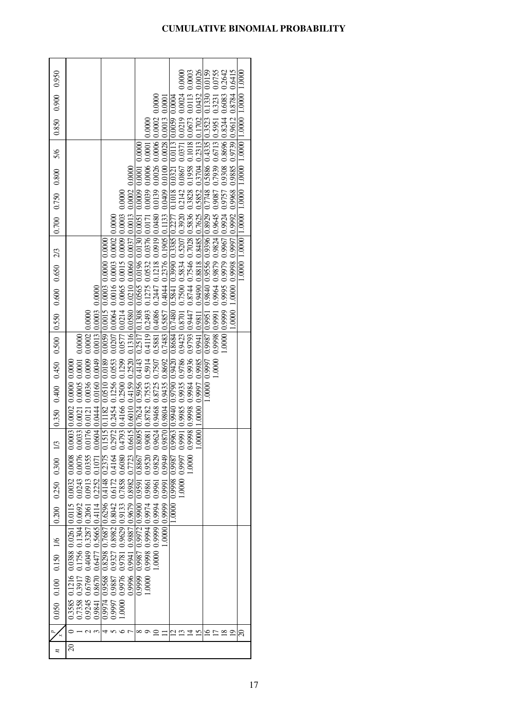|                                                              |                                                                                                                                                                                |                                                                                                                                                                                                                                              |                                                                                                                                                                                                                                                                                                                                                                          | 0.0026<br>0.0003                                                                                                                                                                                                                                                                                                                                                                                                                                                                                                                                                                                                                                                                                                       |                                                                                                                                                                                                                                                       |
|--------------------------------------------------------------|--------------------------------------------------------------------------------------------------------------------------------------------------------------------------------|----------------------------------------------------------------------------------------------------------------------------------------------------------------------------------------------------------------------------------------------|--------------------------------------------------------------------------------------------------------------------------------------------------------------------------------------------------------------------------------------------------------------------------------------------------------------------------------------------------------------------------|------------------------------------------------------------------------------------------------------------------------------------------------------------------------------------------------------------------------------------------------------------------------------------------------------------------------------------------------------------------------------------------------------------------------------------------------------------------------------------------------------------------------------------------------------------------------------------------------------------------------------------------------------------------------------------------------------------------------|-------------------------------------------------------------------------------------------------------------------------------------------------------------------------------------------------------------------------------------------------------|
| 0.850 0.900 0.950                                            |                                                                                                                                                                                |                                                                                                                                                                                                                                              |                                                                                                                                                                                                                                                                                                                                                                          |                                                                                                                                                                                                                                                                                                                                                                                                                                                                                                                                                                                                                                                                                                                        |                                                                                                                                                                                                                                                       |
|                                                              |                                                                                                                                                                                |                                                                                                                                                                                                                                              |                                                                                                                                                                                                                                                                                                                                                                          |                                                                                                                                                                                                                                                                                                                                                                                                                                                                                                                                                                                                                                                                                                                        |                                                                                                                                                                                                                                                       |
|                                                              |                                                                                                                                                                                |                                                                                                                                                                                                                                              |                                                                                                                                                                                                                                                                                                                                                                          |                                                                                                                                                                                                                                                                                                                                                                                                                                                                                                                                                                                                                                                                                                                        |                                                                                                                                                                                                                                                       |
|                                                              |                                                                                                                                                                                |                                                                                                                                                                                                                                              |                                                                                                                                                                                                                                                                                                                                                                          |                                                                                                                                                                                                                                                                                                                                                                                                                                                                                                                                                                                                                                                                                                                        |                                                                                                                                                                                                                                                       |
|                                                              |                                                                                                                                                                                |                                                                                                                                                                                                                                              |                                                                                                                                                                                                                                                                                                                                                                          |                                                                                                                                                                                                                                                                                                                                                                                                                                                                                                                                                                                                                                                                                                                        |                                                                                                                                                                                                                                                       |
| $0.700$ $0.750$ $0.800$ $5/6$                                |                                                                                                                                                                                |                                                                                                                                                                                                                                              |                                                                                                                                                                                                                                                                                                                                                                          |                                                                                                                                                                                                                                                                                                                                                                                                                                                                                                                                                                                                                                                                                                                        |                                                                                                                                                                                                                                                       |
|                                                              |                                                                                                                                                                                |                                                                                                                                                                                                                                              |                                                                                                                                                                                                                                                                                                                                                                          |                                                                                                                                                                                                                                                                                                                                                                                                                                                                                                                                                                                                                                                                                                                        | 1.0000 0.9998 0.9997 0.9968 0.9885 0.9739 0.9612 0.8784 0.6415<br>0.9995 0.9995 0.9979 0.9981 0.9757 0.9780 80860 0.8696 0.8244 0.6083 0.2642<br>0000.1.00001.00001.00001.00001.00001.00001.00001.00001.00001.00001.00001.00001.00001.00001.00001.000 |
|                                                              |                                                                                                                                                                                |                                                                                                                                                                                                                                              |                                                                                                                                                                                                                                                                                                                                                                          |                                                                                                                                                                                                                                                                                                                                                                                                                                                                                                                                                                                                                                                                                                                        |                                                                                                                                                                                                                                                       |
|                                                              |                                                                                                                                                                                |                                                                                                                                                                                                                                              |                                                                                                                                                                                                                                                                                                                                                                          |                                                                                                                                                                                                                                                                                                                                                                                                                                                                                                                                                                                                                                                                                                                        |                                                                                                                                                                                                                                                       |
|                                                              |                                                                                                                                                                                |                                                                                                                                                                                                                                              |                                                                                                                                                                                                                                                                                                                                                                          |                                                                                                                                                                                                                                                                                                                                                                                                                                                                                                                                                                                                                                                                                                                        | .0000                                                                                                                                                                                                                                                 |
| $0.350$ $0.400$ $0.450$ $0.500$ $ 0.550$ $0.600$ $0.650$ 2/3 | $0.0913$ $0.0355$ $0.0176$ $ 0.0121$ $0.0036$ $0.0009$ $0.0002$ $ 0.0000$                                                                                                      | 0.8982 0.7723 0.6615 0.6010 0.4159 0.2520 0.1316 0.0580 0.0210 0.0060 0.0037 0.0013 0.0002 0.0000<br>$0.1515$ $0.1182$ $0.0510$ $0.0189$ $0.0059$ $0.00015$ $0.0003$ $0.0000$ $0.0000$<br>$0.0604 0.0444 0.0160 0.0049 0.0013 0.0003 0.0000$ | $0.0000 0.99990 0.9949009870 0.98040.94350.86920.7483 0.58570.40440.23760.1905 0.11330.040900.010000.0003 0.00130.000130.000130.000130000.0001300000.000130000.000130000.000130000.000130000.000130000.000130000.000130000.00$                                                                                                                                           | $0.0000\, \,1.0000\, \,0.9997\, \,0.9985\, \,0.9941\, \,0.9811\, \,0.9400\, \,0.8818\, \,0.8485\, \,0.7625\, \,0.5852\, \,0.3704\, \,0.2313\, \,0.1702\, \,0.0432\, \,0.0432\, \,0.0433\, \,0.0435\, \,0.0435\, \,0.0435\, \,0.0435\, \,0.0435\, \,$<br>$0.1000018$ $0.9936$ $0.9936$ $0.97950$ $0.7546$ $0.7546$ $0.7546$ $0.7546$ $0.7546$ $0.7546$ $0.7546$ $0.7546$ $0.7546$ $0.7546$ $0.7546$ $0.7546$ $0.7546$ $0.7546$ $0.7546$ $0.7546$ $0.7546$ $0.7546$ $0.7546$ $0.7546$<br>0.0000 0.09940 0.9940 0.9940 0.9480 0.9385 0.0895 0.3881 0.7480 0.0898 0.02480 0.0039 0.0030 0.0030 0.0030 0.0030 0.0030 0.0030 0.0030 0.0030 0.0030 0.0030 0.0030 0.0030 0.0030 0.0030 0.0030 0.0030 0.0030 0.0030 0.0030 0.00 | 0.0000 0.01379 0.9951 0.9951 0.9956 0.9956 0.9996 0.07748 0.5886 0.5886 0.4335 0.4335 0.01390 0.0101<br>0.0755 0.0798 0.0964 0.0879 0.087 0.079 0.079 0.079 0.079 0.079 0.079 0.079 0.079 0.079 0.079 0.079 0.079 0.07<br> .0000                      |
|                                                              | $0.0243$ 0.0076 0.0033 0.0021 0.0005 0.0001 0.0000                                                                                                                             |                                                                                                                                                                                                                                              |                                                                                                                                                                                                                                                                                                                                                                          |                                                                                                                                                                                                                                                                                                                                                                                                                                                                                                                                                                                                                                                                                                                        | 1.0000                                                                                                                                                                                                                                                |
|                                                              |                                                                                                                                                                                |                                                                                                                                                                                                                                              |                                                                                                                                                                                                                                                                                                                                                                          |                                                                                                                                                                                                                                                                                                                                                                                                                                                                                                                                                                                                                                                                                                                        |                                                                                                                                                                                                                                                       |
|                                                              |                                                                                                                                                                                |                                                                                                                                                                                                                                              |                                                                                                                                                                                                                                                                                                                                                                          |                                                                                                                                                                                                                                                                                                                                                                                                                                                                                                                                                                                                                                                                                                                        |                                                                                                                                                                                                                                                       |
|                                                              |                                                                                                                                                                                |                                                                                                                                                                                                                                              |                                                                                                                                                                                                                                                                                                                                                                          |                                                                                                                                                                                                                                                                                                                                                                                                                                                                                                                                                                                                                                                                                                                        |                                                                                                                                                                                                                                                       |
| $0.200$ $0.250$ $0.300$ $1/3$                                |                                                                                                                                                                                | 0.7858 0.6080<br>0.2252 0.1071                                                                                                                                                                                                               |                                                                                                                                                                                                                                                                                                                                                                          | $0000$ .<br>78660 8660 0000                                                                                                                                                                                                                                                                                                                                                                                                                                                                                                                                                                                                                                                                                            |                                                                                                                                                                                                                                                       |
|                                                              |                                                                                                                                                                                |                                                                                                                                                                                                                                              |                                                                                                                                                                                                                                                                                                                                                                          |                                                                                                                                                                                                                                                                                                                                                                                                                                                                                                                                                                                                                                                                                                                        |                                                                                                                                                                                                                                                       |
|                                                              |                                                                                                                                                                                | 0.8298 0.7687 0.6296 0.4148 0.2375                                                                                                                                                                                                           |                                                                                                                                                                                                                                                                                                                                                                          |                                                                                                                                                                                                                                                                                                                                                                                                                                                                                                                                                                                                                                                                                                                        |                                                                                                                                                                                                                                                       |
|                                                              |                                                                                                                                                                                |                                                                                                                                                                                                                                              |                                                                                                                                                                                                                                                                                                                                                                          |                                                                                                                                                                                                                                                                                                                                                                                                                                                                                                                                                                                                                                                                                                                        |                                                                                                                                                                                                                                                       |
|                                                              |                                                                                                                                                                                | 0.996 0.9941 0.9887 0.9679<br>0.9976 0.9781 0.9629 0.9133                                                                                                                                                                                    | 00000 0.9994 0.9974 0.9861 0.9520 0.9081 0.8782 0.7553 0.5914 0.4119 0.2493 0.1275 0.0532 0.0376 0.0171 0.0039 0.0006 0.0000 0.0000<br>00000 0.9999 0.9994 0.9961 0.9829 0.9624 0.9468 0.8725 0.7507 0.5881 0.4086 0.2447 0.1218<br>0.0000 0.09972 0.9972 0.9990 0.8867 0.8867 0.8895 0.7624 0.5956 0.4143 0.2517 0.1308 0.0565 0.0150 0.000 0.0000 0.0000 0.0000 0.0000 |                                                                                                                                                                                                                                                                                                                                                                                                                                                                                                                                                                                                                                                                                                                        |                                                                                                                                                                                                                                                       |
| 0.050 0.100 0.150 1/6                                        | $0.3585$ $0.1216$ $0.0388$ $0.0261$ $ 0.0115$ $0.0032$ $0.0003$ $ 0.0003$ $0.0000$ $0.0000$<br>0.9245 0.6769 0.4049 0.3287 0.2061 0.2061<br>0.7358 0.3917 0.1756 0.1304 0.0692 | 0.997 0.9887 0.9327 0.8982 0.8042 0.6172 0.4164<br>$0.9841$ 0.8670 0.6477 0.5665 0.4114<br>0.9974 0.9568                                                                                                                                     |                                                                                                                                                                                                                                                                                                                                                                          |                                                                                                                                                                                                                                                                                                                                                                                                                                                                                                                                                                                                                                                                                                                        |                                                                                                                                                                                                                                                       |
|                                                              |                                                                                                                                                                                | 1.0000                                                                                                                                                                                                                                       |                                                                                                                                                                                                                                                                                                                                                                          |                                                                                                                                                                                                                                                                                                                                                                                                                                                                                                                                                                                                                                                                                                                        |                                                                                                                                                                                                                                                       |
|                                                              |                                                                                                                                                                                |                                                                                                                                                                                                                                              | ∞                                                                                                                                                                                                                                                                                                                                                                        | 51                                                                                                                                                                                                                                                                                                                                                                                                                                                                                                                                                                                                                                                                                                                     | 20                                                                                                                                                                                                                                                    |
| n                                                            | $\Omega$                                                                                                                                                                       |                                                                                                                                                                                                                                              |                                                                                                                                                                                                                                                                                                                                                                          |                                                                                                                                                                                                                                                                                                                                                                                                                                                                                                                                                                                                                                                                                                                        |                                                                                                                                                                                                                                                       |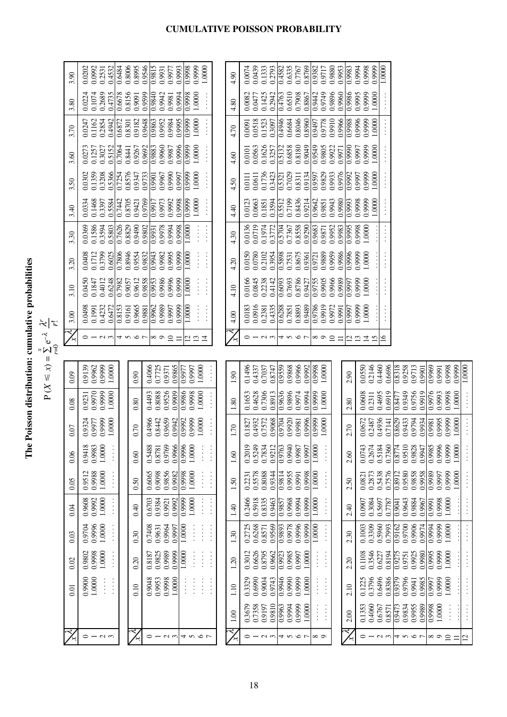| i<br>Ì<br>L                |
|----------------------------|
| $\frac{1}{1}$<br>i         |
| :<br>-<br>-<br>-<br>-<br>- |
| 2000000<br>i               |

 $\widetilde{\mathsf{P}}$  $X \leqslant x$ ) =  $\sum_{r=0}$ e–λ  $\frac{1}{\kappa}$ *x*

| 3.90 | 0.0992<br>0.2531<br>0.4532<br>0.0202                                                      | 0.8006<br>0.6484 | 0.8995<br>0.9546 | $\frac{0.9815}{2}$<br>0.9931     | 0.9993<br>0.9977          | 0.9998              | 0.9999<br>1.0000                                                               | 4.90 | 0.0074    | 0.0439 | 0.1333 | 0.4582<br>0.2793 | 0.6335 | 0.7767  | 0.8769 | 0.9382<br>0.9717 | 0.9880          | 0.9953 | 0.9983 | 0.9998<br>0.994                 | 0.9999 | 1.0000                                                    |                    |        |         |        |                   |                  |                            |                                                                                                           |
|------|-------------------------------------------------------------------------------------------|------------------|------------------|----------------------------------|---------------------------|---------------------|--------------------------------------------------------------------------------|------|-----------|--------|--------|------------------|--------|---------|--------|------------------|-----------------|--------|--------|---------------------------------|--------|-----------------------------------------------------------|--------------------|--------|---------|--------|-------------------|------------------|----------------------------|-----------------------------------------------------------------------------------------------------------|
| 3.80 | 0.0224<br>0.1074<br>0.2689<br>0.4735                                                      | 0.6678<br>0.8156 | 0.9599<br>0.9091 | 0.9840<br>0.9942                 | 0.9994<br>0.9981          | 86660               | 1.0000                                                                         | 4.80 | 0.0082    | 0.0477 | 0.1425 | 0.4763<br>0.2942 | 0.6510 | 0.7908  | 0.8867 | 0.9442<br>0.9749 | 0.9896          | 0.9960 | 0.9986 | 0.9995<br>0.9999                | 1.0000 | $\frac{1}{2}$                                             |                    |        |         |        |                   |                  |                            |                                                                                                           |
| 3.70 | 0.2854<br>0.4942<br>0.0247<br>0.1162                                                      | 0.6872<br>0.8301 | 0.9648<br>0.9182 | 0.9952<br>0.9863                 | 0.9984<br>0.9995          | $\frac{6666}{0}$    | 1.0000                                                                         | 4.70 | 0.0091    | 0.0518 | 0.1523 | 0.4946<br>0.3097 | 0.6684 | 0.8046  | 0.8960 | 0.9778<br>0.9497 | 0.9910          | 0.9966 | 0.9988 | 0.9996<br>0.9999                | 1.0000 | $\frac{1}{2}$                                             |                    |        |         |        |                   |                  |                            |                                                                                                           |
| 3.60 | 0.0273<br>0.5152<br>0.1257<br>0.3027                                                      | 0.7064<br>0.8441 | 0.9267<br>0.9692 | 0.9960<br>0.9883                 | 0.9996<br>0.9987          | $\sqrt{0.9999}$     | 1.0000                                                                         | 4.60 | 0.0101    | 0.0563 | 0.1626 | 0.3257<br>0.5132 | 0.6858 | 0.8180  | 0.9049 | 0.9549<br>0.9805 | 0.9922          | 0.9971 | 0.9990 | 0.9999<br>0.9997                | 1.0000 | $\frac{1}{2}$                                             |                    |        |         |        |                   |                  |                            |                                                                                                           |
| 3.50 | 0.0302<br>0.1359<br>0.3208<br>0.5366                                                      | 0.7254<br>0.8576 | 0.9733<br>0.9347 | 0.9967<br>0.9901                 | 0.9990<br>0.9997          | $\sqrt{0.9999}$     | 1.0000                                                                         | 4.50 | 0.0111    | 0.0611 | 0.1736 | 0.3423<br>0.5321 | 0.7029 | 0.8311  | 0.9134 | 0.9829<br>0.9597 | 0.9933          | 0.9976 | 0.9992 | 0.9999<br>0.9997                | 1.0000 | $\frac{1}{2}$                                             |                    |        |         |        |                   |                  |                            |                                                                                                           |
| 3.40 | 0.1468<br>0.0334<br>0.3397<br>0.5584                                                      | 0.8705<br>0.7442 | 0.9769<br>0.9421 | 0.9973<br>0.9917                 | 0.9992<br>0.9998          | $\sqrt{0.9999}$     | 1.0000<br>$\vdots$                                                             | 4.40 | 0.0123    | 0.0663 | 0.1851 | 0.5512<br>0.3594 | 0.7199 | 0.8436  | 0.9214 | 0.9642<br>0.9851 | 0.9943          | 0.9980 | 0.993  | 0.9998<br>0.9999                | 1.0000 | $\vdots$                                                  |                    |        |         |        |                   |                  |                            |                                                                                                           |
| 3.30 | 0.1586<br>0.3594<br>0.5803<br>0.0369                                                      | 0.7626<br>0.8829 | 0.9490<br>0.9802 | 0.9978<br>0.9931                 | 0.994<br>0.9998           | $\overline{1.0000}$ | $\frac{1}{2}$                                                                  | 4.30 | 0.0136    | 0.0719 | 0.1974 | 0.3772<br>0.5704 | 0.7367 | 0.8558  | 0.9290 | 0.9683<br>0.9871 | 0.9952          | 0.9983 | 0.9995 | 1.0000<br>0.9998                |        | $\begin{array}{c} \vdots \\ \vdots \\ \vdots \end{array}$ |                    |        |         |        |                   |                  |                            |                                                                                                           |
| 3.20 | 0.3799<br>0.6025<br>0.0408<br>0.1712                                                      | 0.7806<br>0.8946 | 0.9554<br>0.9832 | 0.9943<br>0.9982                 | 0.9995<br>0.9999          | 1.0000              | $\ddots$                                                                       | 4.20 | 0.0150    | 0.0780 | 0.2102 | 0.3954<br>0.5898 | 0.7531 | 0.8675  | 0.9361 | 0.9889<br>0.9721 | 0.9959          | 0.9986 | 0.9996 | 0.9999<br>1.0000                |        | $\begin{array}{c} \vdots \\ \vdots \\ \vdots \end{array}$ |                    |        |         |        |                   |                  |                            |                                                                                                           |
| 3.10 | 0.0450<br>0.4012<br>0.6248<br>0.1847                                                      | 0.7982<br>0.9057 | 0.9612<br>0.9858 | 0.9953<br>0.9986                 | 0.9996<br>0.9999          | 1.0000              | $\ddot{\cdot}$ $\ddot{\cdot}$ $\ddot{\cdot}$                                   | 4.10 | 0.0166    | 0.0845 | 0.2238 | 0.4142<br>0.6093 | 0.7693 | 0.8786  | 0.9427 | 0.9755<br>0.9905 | 0.9966          | 0.9989 | 0.9997 | 0.9999<br>1.0000                |        | $\frac{1}{2}$                                             |                    |        |         |        |                   |                  |                            |                                                                                                           |
| 3.00 | 0.0498<br>0.4232<br>0.6472<br>0.1991                                                      | 0.8153<br>0.9161 | 0.9665<br>0.9881 | 0.9989<br>0.9962                 | 0.9999<br>0.9997          | 1.0000              | $\ddot{\cdot}$ :                                                               | 4.00 | 0.0183    | 0.0916 | 0.2381 | 0.4335<br>0.6288 | 0.7851 | 0.8893  | 0.9489 | 0.9786<br>0.9919 | 0.9972          | 0.9991 | 0.9997 | 0.9999<br>1.0000                |        | $\frac{1}{2}$                                             |                    |        |         |        |                   |                  |                            |                                                                                                           |
|      | $\circ$ $\overline{\phantom{0}}$<br>$\sim$                                                | 4567             |                  | $\infty$                         | $\overline{10}$<br>$\Box$ | ₫                   | $\mathbf{r}$<br>$\overline{4}$                                                 |      | 0         |        | $\sim$ |                  |        | すこの7    |        | $\infty$         | $\overline{10}$ | Ξ      | 7      | $\mathbf{13}$<br>$\overline{1}$ | 15     | $\overline{16}$                                           |                    |        |         |        |                   |                  |                            |                                                                                                           |
|      |                                                                                           |                  |                  |                                  |                           |                     |                                                                                |      |           |        |        |                  |        |         |        |                  |                 |        |        |                                 |        |                                                           |                    |        |         |        |                   |                  |                            |                                                                                                           |
|      |                                                                                           |                  |                  |                                  |                           |                     |                                                                                |      |           |        |        |                  |        |         |        |                  |                 |        |        |                                 |        |                                                           |                    |        |         |        |                   |                  |                            |                                                                                                           |
| 0.09 | 0.9999<br>1.0000<br>0.9962<br>0.9139                                                      | 0.90             | 0.4066           | 0.7725                           | 0.9865<br>0.9371          | 0.9997<br>0.9977    | 1.0000                                                                         | 1.90 | 0.1496    | 0.4337 | 0.7037 | 0.9559<br>0.8747 | 0.9868 | 0.9966  | 0.9992 | 0.9998<br>1.0000 |                 |        | 2.90   | 0.0550                          | 0.2146 | 0.6696<br>0.4460                                          | $\sqrt{0.8318}$    | 0.9258 | 0.9713  | 0.9901 | 0.9969            | 0.9998<br>0.9991 | 0.9999                     | 1.0000                                                                                                    |
| 0.08 | 0.9970<br>0.9999<br>1.0000<br>0.9231                                                      | 0.80             | 0.4493           | 0.8088                           | 0.9526<br>0.9909          | 0.9986<br>0.9998    | 1.0000<br>$\frac{1}{2}$                                                        | 1.80 | 0.1653    | 0.4628 | 0.7306 | 0.8913<br>0.9636 | 0.9896 | 0.9974  | 0.9994 | 0.9999           | 1.0000          |        | 2.80   | 0.0608                          | 0.2311 | 0.6919<br>0.4695                                          | 0.8477             | 0.9349 | 0.9756  | 0.9919 | 0.9976            | 0.9993<br>0.9998 | 1.0000                     | $\vdots$                                                                                                  |
| 0.07 | 0.9999<br>0.9324<br>1.0000<br>0.9977                                                      | 0.70             | 0.4966           | 0.8442                           | 0.9659<br>0.9942          | 0.9992<br>0.9999    | 1.0000<br>$\frac{1}{2}$                                                        | 1.70 | 0.1827    | 0.4932 | 0.7572 | 0.9068<br>0.9704 | 0.9920 | 0.9981  | 0.9996 | 0.9999           | 1.0000          |        | 2.70   | 0.0672                          | 0.2487 | 0.4936<br>0.7141                                          | 0.8629             | 0.9433 | 0.9794  | 0.9934 | 0.9981            | 0.9999<br>0.9995 | 1.0000                     |                                                                                                           |
| 0.06 | 1.0000<br>0.9418<br>0.9983<br>$\frac{1}{2}$                                               | 0.60             | 0.5488           | 0.8781                           | 0.9966<br>0.9769          | 0.9996<br>1.0000    | $\frac{1}{2}$<br>$\ddot{\cdot}$ $\ddot{\cdot}$ $\ddot{\cdot}$ $\ddot{\cdot}$   | 1.60 | 0.2019    | 0.5249 | 0.7834 | 0.9763<br>0.9212 | 0.9940 | 0.9987  | 0.9997 | 1.0000           | $\frac{1}{2}$   |        | 2.60   | 0.0743                          | 0.2674 | 0.7360<br>0.5184                                          | 0.8774             | 0.9510 | 0.9828  | 0.9947 | 0.9985            | 0.9996<br>0.9999 | 1.0000                     | $\begin{array}{c} \n\cdot & \cdot & \cdot \\ \cdot & \cdot & \cdot \\ \cdot & \cdot & \cdot\n\end{array}$ |
| 0.05 | 1.0000<br>0.9512<br>0.9988<br>$\vdots$                                                    | 0.50             | 0.6065           | 0.9098                           | 0.9856<br>0.9982          | 1.0000<br>0.9998    | $\frac{1}{2}$<br>$\ddot{\cdot}$ :                                              | 1.50 | 0.2231    | 0.5578 | 0.8088 | 0.9814<br>0.9344 | 0.9955 | 0.9991  | 0.9998 | 1.0000           | $\frac{1}{2}$   |        | 2.50   | 0.0821                          | 0.2873 | 0.7576<br>0.5438                                          | $\frac{2}{168912}$ | 0.9580 | 0.9858  | 0.9958 | 0.9989            | 0.9999<br>0.9997 | 1.0000                     | $\ddot{\cdot}$                                                                                            |
| 0.04 | 1.0000<br>0.9992<br>0.9608                                                                | 0.40             | 0.6703           | 0.9384                           | 0.9992<br>0.9921          | 0.9999<br>1.0000    | $\frac{1}{2}$<br>$\vdots$                                                      | 1.40 | 0.2466    | 0.5918 | 0.8335 | 0.9463<br>0.9857 | 0.9968 | 0.994   | 0.9999 | 1.0000           | $\frac{1}{2}$   |        | 2.40   | 0.0907                          | 0.3084 | 0.5697<br>0.7787                                          | $\frac{1}{2}$      | 0.9643 | 0.9884  | 0.9967 | 0.9991            | 0.9998<br>1.0000 |                            | $\frac{1}{2}$                                                                                             |
| 0.03 | 1.0000<br>0.9996<br>0.9704<br>$\begin{array}{c} \vdots \\ \vdots \\ \vdots \end{array}$   | 0.30             | 0.7408           | 0.9631                           | 0.9964<br>0.9997          | 1.0000              | $\frac{1}{2}$<br>$\frac{1}{2}$<br>$\ddot{\cdot}$                               | 1.30 | 0.2725    | 0.6268 | 0.8571 | 0.9569<br>0.9893 | 0.9978 | 0.9996  | 0.9999 | 1.0000           | $\frac{1}{2}$   |        | 2.30   | 0.1003                          | 0.3309 | 0.5960<br>0.7993                                          | 0.9162             | 0.9700 | 0.9906  | 0.9974 | 0.9994            | 1.0000<br>0.9999 |                            | $\frac{1}{2}$                                                                                             |
| 0.02 | 0.9998<br>1.0000<br>0.9802<br>$\begin{array}{c}\n\vdots \\ \vdots \\ \vdots\n\end{array}$ | 0.20             | 0.8187           | 0.9825                           | 0.9989<br>0.9999          | 1.0000              | $\frac{1}{2}$<br>$\ddot{\cdot}$ $\ddot{\cdot}$ $\ddot{\cdot}$<br>$\frac{1}{2}$ | 1.20 | 0.3012    | 0.6626 | 0.8795 | 0.9923<br>0.9662 | 0.9985 | 0.997   | 1.0000 | $\ddot{\cdot}$   | $\frac{1}{2}$   |        | 2.20   | 0.1108                          | 0.3546 | 0.6227<br>0.8194                                          | 0.9275             | 0.9751 | 0.9925  | 0.9980 | 0.9995            | 0.9999<br>1.0000 |                            | $\begin{array}{c} \n\cdot \\ \cdot \\ \cdot \\ \cdot\n\end{array}$                                        |
| 0.01 | 1.0000<br>$\ddot{\cdot}$<br>0.9900<br>$\frac{1}{2}$                                       | 0.10             | 0.9048           | 0.9953                           | 0.9998<br>1.0000          | $\frac{1}{2}$       | $\frac{1}{2}$<br>$\frac{1}{2}$<br>$\ddots$                                     | 110  | 0.3329    | 0.6990 | 0.9004 | 0.9743<br>0.9946 | 0.9990 | 0.9999  | 1.0000 | $\ddots$         | $\frac{1}{2}$   |        | 2.10   | 0.1225                          | 0.3796 | 0.6496<br>0.8386                                          | $\frac{6250}{2}$   | 0.9796 | 0.9941  | 0.9985 | 0.997             | 0.9999<br>1.0000 |                            | $\begin{array}{c}\n\bullet \\ \bullet \\ \bullet \\ \bullet\n\end{array}$                                 |
|      |                                                                                           |                  |                  |                                  |                           |                     |                                                                                | 1.00 | 0.3679    | 0.7358 | 0.9197 | 0.9810<br>0.9963 | 0.9994 | 0.9999  | 1.0000 | $\vdots$         | $\frac{1}{2}$   |        | 2.00   | 0.1353                          | 0.4060 | 0.6767<br>0.8571                                          | 0.9473             | 0.9834 | 0.9955  | 0.9989 | 0.9998            | 1.0000           | $\ddot{\cdot}$<br>$\vdots$ | $\frac{1}{2}$                                                                                             |
|      | $0 - 0.5$                                                                                 |                  |                  | $\circ$ $\overline{\phantom{0}}$ | $\sim$                    | 456                 |                                                                                |      | $\bullet$ |        | $-0.5$ |                  |        | 4 N O L |        | ∞ ∽              |                 |        |        | $\circ$                         |        | $ \alpha$ $\alpha$                                        |                    |        | 4 N O L |        | $\infty$ $\infty$ | $\Box$           | Ξ                          | $\overline{12}$                                                                                           |

### **CUMULATIVE POISSON PROBABILITY**

E.  $\Gamma$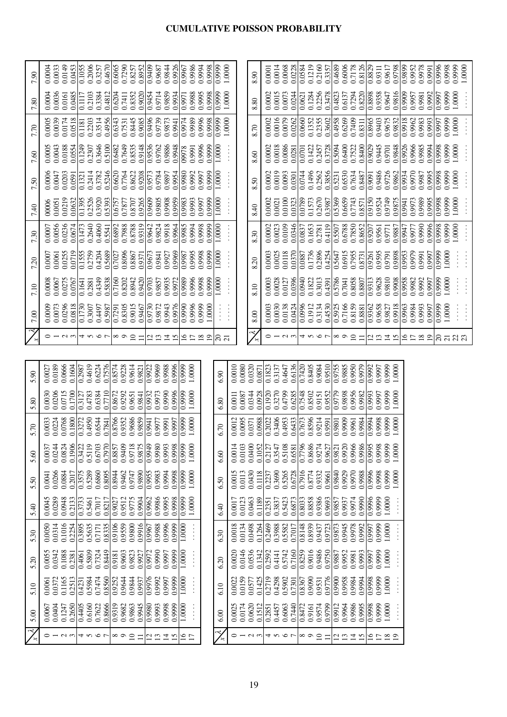### **CUMULATIVE POISSON PROBABILITY**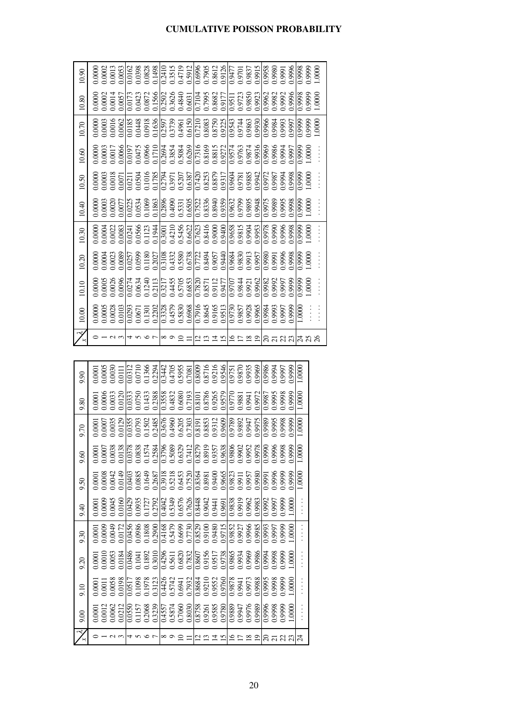|                    | 10.00                | 10.10                                                                                                                                                                                                                                                                                               | 10.20 | 10.30 | 10.40                                                                                                                                                                                                                                                                                 | 10.50                                                                                                                                                                                                                                                                                                           | 10.60  | 10.70 | 10.80                                                                                                                                                                                                                                                                                       | 10.90                                                                                                                                                                                                                                                                                   |
|--------------------|----------------------|-----------------------------------------------------------------------------------------------------------------------------------------------------------------------------------------------------------------------------------------------------------------------------------------------------|-------|-------|---------------------------------------------------------------------------------------------------------------------------------------------------------------------------------------------------------------------------------------------------------------------------------------|-----------------------------------------------------------------------------------------------------------------------------------------------------------------------------------------------------------------------------------------------------------------------------------------------------------------|--------|-------|---------------------------------------------------------------------------------------------------------------------------------------------------------------------------------------------------------------------------------------------------------------------------------------------|-----------------------------------------------------------------------------------------------------------------------------------------------------------------------------------------------------------------------------------------------------------------------------------------|
|                    | 0.0000               | 0.0000                                                                                                                                                                                                                                                                                              |       |       | 0.0000                                                                                                                                                                                                                                                                                |                                                                                                                                                                                                                                                                                                                 | 0000   |       | 0.0000                                                                                                                                                                                                                                                                                      | 0.0000                                                                                                                                                                                                                                                                                  |
|                    |                      | 0.0005                                                                                                                                                                                                                                                                                              |       |       |                                                                                                                                                                                                                                                                                       |                                                                                                                                                                                                                                                                                                                 | 0.0003 |       |                                                                                                                                                                                                                                                                                             | 0.0002                                                                                                                                                                                                                                                                                  |
|                    |                      |                                                                                                                                                                                                                                                                                                     |       |       |                                                                                                                                                                                                                                                                                       |                                                                                                                                                                                                                                                                                                                 |        |       |                                                                                                                                                                                                                                                                                             | 0.0013                                                                                                                                                                                                                                                                                  |
|                    |                      | 0.0026                                                                                                                                                                                                                                                                                              |       |       |                                                                                                                                                                                                                                                                                       | $\begin{array}{c} 0.0000 \\ 0.0003 \\ 0.0018 \\ 0.0018 \\ \hline \end{array}$                                                                                                                                                                                                                                   | 0.0017 |       |                                                                                                                                                                                                                                                                                             |                                                                                                                                                                                                                                                                                         |
|                    |                      |                                                                                                                                                                                                                                                                                                     |       |       |                                                                                                                                                                                                                                                                                       |                                                                                                                                                                                                                                                                                                                 |        |       |                                                                                                                                                                                                                                                                                             |                                                                                                                                                                                                                                                                                         |
|                    |                      |                                                                                                                                                                                                                                                                                                     |       |       |                                                                                                                                                                                                                                                                                       |                                                                                                                                                                                                                                                                                                                 |        |       |                                                                                                                                                                                                                                                                                             |                                                                                                                                                                                                                                                                                         |
|                    |                      |                                                                                                                                                                                                                                                                                                     |       |       |                                                                                                                                                                                                                                                                                       |                                                                                                                                                                                                                                                                                                                 |        |       |                                                                                                                                                                                                                                                                                             |                                                                                                                                                                                                                                                                                         |
|                    |                      | $\begin{array}{l} 774 \\ 0.0274 \\ 0.0634 \\ 0.111 \\ 0.211 \\ 0.311 \\ 0.455 \\ 0.508 \\ 0.083 \\ 0.000 \\ 0.000 \\ 0.000 \\ 0.000 \\ 0.000 \\ 0.000 \\ 0.000 \\ 0.000 \\ 0.000 \\ 0.000 \\ 0.000 \\ 0.000 \\ 0.000 \\ 0.000 \\ 0.000 \\ 0.000 \\ 0.000 \\ 0.000 \\ 0.000 \\ 0.000 \\ 0.000 \\ 0.$ |       |       | $\begin{array}{l} 0.0000 \\ 0.00001 \\ 0.00000 \\ 0.00000 \\ 0.00000 \\ 0.00000 \\ 0.00000 \\ 0.00000 \\ 0.00000 \\ 0.00000 \\ 0.00000 \\ 0.00000 \\ 0.00000 \\ 0.00000 \\ 0.00000 \\ 0.00000 \\ 0.00000 \\ 0.00000 \\ 0.00000 \\ 0.00000 \\ 0.00000 \\ 0.00000 \\ 0.00000 \\ 0.0000$ | $\frac{1}{0.021}$<br>$\frac{1}{0.0500}$<br>$\frac{1}{0.0500}$<br>$\frac{1}{0.0500}$<br>$\frac{1}{0.0500}$<br>$\frac{1}{0.0500}$<br>$\frac{1}{0.0500}$<br>$\frac{1}{0.0500}$<br>$\frac{1}{0.0500}$<br>$\frac{1}{0.0500}$<br>$\frac{1}{0.0500}$<br>$\frac{1}{0.0500}$<br>$\frac{1}{0.0500}$<br>$\frac{1}{0.0500}$ |        |       | $\begin{array}{l} 0.00011 \\ 0.0017 \\ 0.0017 \\ 0.0017 \\ 0.0017 \\ 0.0017 \\ 0.0000 \\ 0.0000 \\ 0.0000 \\ 0.0000 \\ 0.0000 \\ 0.0000 \\ 0.0000 \\ 0.0000 \\ 0.0000 \\ 0.0000 \\ 0.0000 \\ 0.0000 \\ 0.0000 \\ 0.0000 \\ 0.0000 \\ 0.0000 \\ 0.0000 \\ 0.0000 \\ 0.0000 \\ 0.0000 \\ 0.0$ | $\begin{array}{r} 0.0053 \\ 0.0162 \\ 0.0398 \\ 0.0488 \\ 0.01498 \\ 0.01498 \\ 0.01498 \\ 0.01498 \\ 0.0119 \\ 0.0119 \\ 0.0000 \\ 0.00000 \\ 0.00000 \\ 0.00000 \\ 0.00000 \\ 0.00000 \\ 0.00000 \\ 0.00000 \\ 0.00000 \\ 0.00000 \\ 0.00000 \\ 0.00000 \\ 0.00000 \\ 0.00000 \\ 0.0$ |
|                    |                      |                                                                                                                                                                                                                                                                                                     |       |       |                                                                                                                                                                                                                                                                                       |                                                                                                                                                                                                                                                                                                                 |        |       |                                                                                                                                                                                                                                                                                             |                                                                                                                                                                                                                                                                                         |
|                    |                      |                                                                                                                                                                                                                                                                                                     |       |       |                                                                                                                                                                                                                                                                                       |                                                                                                                                                                                                                                                                                                                 |        |       |                                                                                                                                                                                                                                                                                             |                                                                                                                                                                                                                                                                                         |
| ∞ っ 으 듸 을 을 풀 띄 !으 |                      |                                                                                                                                                                                                                                                                                                     |       |       |                                                                                                                                                                                                                                                                                       |                                                                                                                                                                                                                                                                                                                 |        |       |                                                                                                                                                                                                                                                                                             |                                                                                                                                                                                                                                                                                         |
|                    |                      |                                                                                                                                                                                                                                                                                                     |       |       |                                                                                                                                                                                                                                                                                       |                                                                                                                                                                                                                                                                                                                 |        |       |                                                                                                                                                                                                                                                                                             |                                                                                                                                                                                                                                                                                         |
|                    |                      |                                                                                                                                                                                                                                                                                                     |       |       |                                                                                                                                                                                                                                                                                       |                                                                                                                                                                                                                                                                                                                 |        |       |                                                                                                                                                                                                                                                                                             |                                                                                                                                                                                                                                                                                         |
|                    |                      |                                                                                                                                                                                                                                                                                                     |       |       |                                                                                                                                                                                                                                                                                       |                                                                                                                                                                                                                                                                                                                 |        |       |                                                                                                                                                                                                                                                                                             |                                                                                                                                                                                                                                                                                         |
|                    |                      |                                                                                                                                                                                                                                                                                                     |       |       |                                                                                                                                                                                                                                                                                       |                                                                                                                                                                                                                                                                                                                 |        |       |                                                                                                                                                                                                                                                                                             |                                                                                                                                                                                                                                                                                         |
|                    |                      |                                                                                                                                                                                                                                                                                                     |       |       |                                                                                                                                                                                                                                                                                       |                                                                                                                                                                                                                                                                                                                 |        |       |                                                                                                                                                                                                                                                                                             |                                                                                                                                                                                                                                                                                         |
|                    |                      |                                                                                                                                                                                                                                                                                                     |       |       |                                                                                                                                                                                                                                                                                       |                                                                                                                                                                                                                                                                                                                 |        |       |                                                                                                                                                                                                                                                                                             |                                                                                                                                                                                                                                                                                         |
|                    |                      |                                                                                                                                                                                                                                                                                                     |       |       |                                                                                                                                                                                                                                                                                       |                                                                                                                                                                                                                                                                                                                 |        |       |                                                                                                                                                                                                                                                                                             |                                                                                                                                                                                                                                                                                         |
| $\frac{8}{2}$      |                      |                                                                                                                                                                                                                                                                                                     |       |       |                                                                                                                                                                                                                                                                                       |                                                                                                                                                                                                                                                                                                                 |        |       |                                                                                                                                                                                                                                                                                             |                                                                                                                                                                                                                                                                                         |
|                    |                      |                                                                                                                                                                                                                                                                                                     |       |       |                                                                                                                                                                                                                                                                                       |                                                                                                                                                                                                                                                                                                                 |        |       |                                                                                                                                                                                                                                                                                             |                                                                                                                                                                                                                                                                                         |
|                    |                      |                                                                                                                                                                                                                                                                                                     |       |       |                                                                                                                                                                                                                                                                                       |                                                                                                                                                                                                                                                                                                                 |        |       |                                                                                                                                                                                                                                                                                             |                                                                                                                                                                                                                                                                                         |
|                    |                      |                                                                                                                                                                                                                                                                                                     |       |       |                                                                                                                                                                                                                                                                                       |                                                                                                                                                                                                                                                                                                                 |        |       |                                                                                                                                                                                                                                                                                             |                                                                                                                                                                                                                                                                                         |
| 83                 |                      |                                                                                                                                                                                                                                                                                                     |       |       |                                                                                                                                                                                                                                                                                       |                                                                                                                                                                                                                                                                                                                 |        |       |                                                                                                                                                                                                                                                                                             |                                                                                                                                                                                                                                                                                         |
|                    |                      |                                                                                                                                                                                                                                                                                                     |       |       |                                                                                                                                                                                                                                                                                       |                                                                                                                                                                                                                                                                                                                 |        |       |                                                                                                                                                                                                                                                                                             | 0.996                                                                                                                                                                                                                                                                                   |
|                    | $\frac{0000}{20000}$ |                                                                                                                                                                                                                                                                                                     |       |       |                                                                                                                                                                                                                                                                                       |                                                                                                                                                                                                                                                                                                                 |        |       |                                                                                                                                                                                                                                                                                             |                                                                                                                                                                                                                                                                                         |
|                    |                      | 0000                                                                                                                                                                                                                                                                                                |       |       | 0000                                                                                                                                                                                                                                                                                  | 0000                                                                                                                                                                                                                                                                                                            |        |       |                                                                                                                                                                                                                                                                                             | 0.9999                                                                                                                                                                                                                                                                                  |
|                    |                      |                                                                                                                                                                                                                                                                                                     |       |       |                                                                                                                                                                                                                                                                                       |                                                                                                                                                                                                                                                                                                                 |        | 0000  | $0000$ .                                                                                                                                                                                                                                                                                    | 0000                                                                                                                                                                                                                                                                                    |
|                    |                      |                                                                                                                                                                                                                                                                                                     |       |       |                                                                                                                                                                                                                                                                                       |                                                                                                                                                                                                                                                                                                                 |        |       |                                                                                                                                                                                                                                                                                             |                                                                                                                                                                                                                                                                                         |

|                                  | 00 <sub>c</sub> | 01.6  | 9.20 | 9.30                                                                                                                                                                                                                                                                  | 0.40   | 0.56                                                                                                                                                                                                                                                                  | 0.60                                                                                                                                                                                                                                                           | 0.70                                                                                                                                                                                                                                                                                    | 0.80                                                                                                                                                                                                                                                                                        | 0.90   |
|----------------------------------|-----------------|-------|------|-----------------------------------------------------------------------------------------------------------------------------------------------------------------------------------------------------------------------------------------------------------------------|--------|-----------------------------------------------------------------------------------------------------------------------------------------------------------------------------------------------------------------------------------------------------------------------|----------------------------------------------------------------------------------------------------------------------------------------------------------------------------------------------------------------------------------------------------------------|-----------------------------------------------------------------------------------------------------------------------------------------------------------------------------------------------------------------------------------------------------------------------------------------|---------------------------------------------------------------------------------------------------------------------------------------------------------------------------------------------------------------------------------------------------------------------------------------------|--------|
|                                  |                 |       |      | 0.0001                                                                                                                                                                                                                                                                |        | 0001                                                                                                                                                                                                                                                                  |                                                                                                                                                                                                                                                                | 0.0001                                                                                                                                                                                                                                                                                  | 0000(                                                                                                                                                                                                                                                                                       | 0000.  |
|                                  |                 |       |      | 0.0009                                                                                                                                                                                                                                                                | 0.0001 | 0.0008                                                                                                                                                                                                                                                                |                                                                                                                                                                                                                                                                |                                                                                                                                                                                                                                                                                         |                                                                                                                                                                                                                                                                                             | 0.0005 |
|                                  |                 |       |      |                                                                                                                                                                                                                                                                       |        |                                                                                                                                                                                                                                                                       |                                                                                                                                                                                                                                                                |                                                                                                                                                                                                                                                                                         |                                                                                                                                                                                                                                                                                             |        |
|                                  |                 |       |      | $\begin{smallmatrix} 1.0040 & 0.0040 & 0.0040 & 0.0040 & 0.0040 & 0.0040 & 0.0040 & 0.0040 & 0.0040 & 0.0040 & 0.0040 & 0.0040 & 0.0040 & 0.0040 & 0.0040 & 0.0040 & 0.0040 & 0.0040 & 0.0040 & 0.0040 & 0.0040 & 0.0040 & 0.0040 & 0.0040 & 0.0040 & 0.0040 & 0.004$ |        | $\begin{smallmatrix} 1.0040 & 0.0040 & 0.0040 & 0.0040 & 0.0040 & 0.0040 & 0.0040 & 0.0040 & 0.0040 & 0.0040 & 0.0040 & 0.0040 & 0.0040 & 0.0040 & 0.0040 & 0.0040 & 0.0040 & 0.0040 & 0.0040 & 0.0040 & 0.0040 & 0.0040 & 0.0040 & 0.0040 & 0.0040 & 0.0040 & 0.004$ | $\begin{array}{l} 0.0000\\ 0.00000\\ 0.00000\\ 0.00000\\ 0.00000\\ 0.00000\\ 0.00000\\ 0.00000\\ 0.00000\\ 0.00000\\ 0.00000\\ 0.00000\\ 0.00000\\ 0.00000\\ 0.00000\\ 0.00000\\ 0.00000\\ 0.00000\\ 0.00000\\ 0.00000\\ 0.00000\\ 0.00000\\ 0.00000\\ 0.0000$ | $\begin{array}{l} 0.0000 \\ 0.0035 \\ 0.01035 \\ 0.01035 \\ 0.01035 \\ 0.01035 \\ 0.01035 \\ 0.01035 \\ 0.01035 \\ 0.01035 \\ 0.01035 \\ 0.01035 \\ 0.01035 \\ 0.01035 \\ 0.01035 \\ 0.01035 \\ 0.01035 \\ 0.01035 \\ 0.01035 \\ 0.0000 \\ 0.0000 \\ 0.0000 \\ 0.0000 \\ 0.0000 \\ 0.0$ | $\begin{array}{l} 0.0006 \\ 0.0033 \\ 0.0120 \\ 0.0333 \\ 0.0120 \\ 0.0120 \\ 0.0133 \\ 0.0143 \\ 0.0158 \\ 0.01033 \\ 0.01033 \\ 0.01033 \\ 0.0000 \\ 0.0000 \\ 0.0000 \\ 0.0000 \\ 0.0000 \\ 0.0000 \\ 0.0000 \\ 0.0000 \\ 0.0000 \\ 0.0000 \\ 0.0000 \\ 0.0000 \\ 0.0000 \\ 0.0000 \\ 0$ | 1.0030 |
|                                  |                 |       |      |                                                                                                                                                                                                                                                                       |        |                                                                                                                                                                                                                                                                       |                                                                                                                                                                                                                                                                |                                                                                                                                                                                                                                                                                         |                                                                                                                                                                                                                                                                                             |        |
|                                  |                 |       |      |                                                                                                                                                                                                                                                                       |        |                                                                                                                                                                                                                                                                       |                                                                                                                                                                                                                                                                |                                                                                                                                                                                                                                                                                         |                                                                                                                                                                                                                                                                                             |        |
|                                  |                 |       |      |                                                                                                                                                                                                                                                                       |        |                                                                                                                                                                                                                                                                       |                                                                                                                                                                                                                                                                |                                                                                                                                                                                                                                                                                         |                                                                                                                                                                                                                                                                                             |        |
| प∽ ∽ ⊂ │∞ ञ ─ ─ │॒ ॒ ॒ ॒ ॒ ॒ ॒ ॒ |                 |       |      |                                                                                                                                                                                                                                                                       |        |                                                                                                                                                                                                                                                                       |                                                                                                                                                                                                                                                                |                                                                                                                                                                                                                                                                                         |                                                                                                                                                                                                                                                                                             |        |
|                                  |                 |       |      |                                                                                                                                                                                                                                                                       |        |                                                                                                                                                                                                                                                                       |                                                                                                                                                                                                                                                                |                                                                                                                                                                                                                                                                                         |                                                                                                                                                                                                                                                                                             |        |
|                                  |                 |       |      |                                                                                                                                                                                                                                                                       |        |                                                                                                                                                                                                                                                                       |                                                                                                                                                                                                                                                                |                                                                                                                                                                                                                                                                                         |                                                                                                                                                                                                                                                                                             |        |
|                                  |                 |       |      |                                                                                                                                                                                                                                                                       |        |                                                                                                                                                                                                                                                                       |                                                                                                                                                                                                                                                                |                                                                                                                                                                                                                                                                                         |                                                                                                                                                                                                                                                                                             |        |
|                                  |                 |       |      |                                                                                                                                                                                                                                                                       |        |                                                                                                                                                                                                                                                                       |                                                                                                                                                                                                                                                                |                                                                                                                                                                                                                                                                                         |                                                                                                                                                                                                                                                                                             |        |
|                                  |                 |       |      |                                                                                                                                                                                                                                                                       |        |                                                                                                                                                                                                                                                                       |                                                                                                                                                                                                                                                                |                                                                                                                                                                                                                                                                                         |                                                                                                                                                                                                                                                                                             |        |
|                                  |                 |       |      |                                                                                                                                                                                                                                                                       |        |                                                                                                                                                                                                                                                                       |                                                                                                                                                                                                                                                                |                                                                                                                                                                                                                                                                                         |                                                                                                                                                                                                                                                                                             |        |
|                                  |                 |       |      |                                                                                                                                                                                                                                                                       |        |                                                                                                                                                                                                                                                                       |                                                                                                                                                                                                                                                                |                                                                                                                                                                                                                                                                                         |                                                                                                                                                                                                                                                                                             |        |
|                                  |                 |       |      |                                                                                                                                                                                                                                                                       |        |                                                                                                                                                                                                                                                                       |                                                                                                                                                                                                                                                                |                                                                                                                                                                                                                                                                                         |                                                                                                                                                                                                                                                                                             |        |
|                                  |                 |       |      |                                                                                                                                                                                                                                                                       |        |                                                                                                                                                                                                                                                                       |                                                                                                                                                                                                                                                                |                                                                                                                                                                                                                                                                                         |                                                                                                                                                                                                                                                                                             |        |
|                                  |                 |       |      |                                                                                                                                                                                                                                                                       |        |                                                                                                                                                                                                                                                                       |                                                                                                                                                                                                                                                                |                                                                                                                                                                                                                                                                                         |                                                                                                                                                                                                                                                                                             |        |
|                                  |                 |       |      |                                                                                                                                                                                                                                                                       |        |                                                                                                                                                                                                                                                                       |                                                                                                                                                                                                                                                                |                                                                                                                                                                                                                                                                                         |                                                                                                                                                                                                                                                                                             |        |
|                                  |                 |       |      |                                                                                                                                                                                                                                                                       |        |                                                                                                                                                                                                                                                                       |                                                                                                                                                                                                                                                                |                                                                                                                                                                                                                                                                                         |                                                                                                                                                                                                                                                                                             |        |
|                                  |                 |       |      |                                                                                                                                                                                                                                                                       |        |                                                                                                                                                                                                                                                                       |                                                                                                                                                                                                                                                                |                                                                                                                                                                                                                                                                                         |                                                                                                                                                                                                                                                                                             |        |
|                                  |                 |       |      |                                                                                                                                                                                                                                                                       |        |                                                                                                                                                                                                                                                                       |                                                                                                                                                                                                                                                                |                                                                                                                                                                                                                                                                                         |                                                                                                                                                                                                                                                                                             |        |
|                                  |                 |       |      |                                                                                                                                                                                                                                                                       |        |                                                                                                                                                                                                                                                                       |                                                                                                                                                                                                                                                                |                                                                                                                                                                                                                                                                                         |                                                                                                                                                                                                                                                                                             |        |
|                                  | .000            | .0000 |      | 0000                                                                                                                                                                                                                                                                  |        | 1,9999                                                                                                                                                                                                                                                                |                                                                                                                                                                                                                                                                |                                                                                                                                                                                                                                                                                         |                                                                                                                                                                                                                                                                                             | 1.9999 |
|                                  |                 |       |      |                                                                                                                                                                                                                                                                       |        |                                                                                                                                                                                                                                                                       | $0000$ .                                                                                                                                                                                                                                                       |                                                                                                                                                                                                                                                                                         | 00001                                                                                                                                                                                                                                                                                       | 000    |
|                                  |                 |       |      |                                                                                                                                                                                                                                                                       |        |                                                                                                                                                                                                                                                                       |                                                                                                                                                                                                                                                                |                                                                                                                                                                                                                                                                                         |                                                                                                                                                                                                                                                                                             |        |

### **CUMULATIVE POISSON PROBABILITY**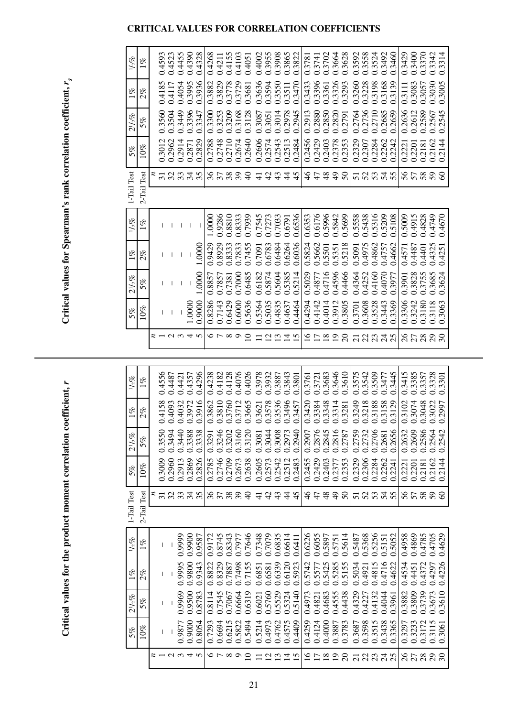### **CRITICAL VALUES FOR CORRELATION COEFFICIENTS**

Critical values for Spearman's rank correlation coefficient,  $r_{s}$ 

| $1/2\%$        | $1\%$       | 0.4593         | 0.4523                        | 0.4455                        | 0.4390 | 0.4328              | 0.4268 | 0.4211 | 0.4155   | 0.4103 | 0.405           | 0.4002        | 0.3955            | 0.3908   | 0.3865         | 0.3822          | 0.3781          | 0.3741         | 0.3702          | 0.3664         | 0.3628   | 0.3592         | 0.3558 | 0.3524              | 0.3492         | 0.3460              | 0.3429   | 0.3400 | 0.3370 | 0.3342         | 0.3314                      |
|----------------|-------------|----------------|-------------------------------|-------------------------------|--------|---------------------|--------|--------|----------|--------|-----------------|---------------|-------------------|----------|----------------|-----------------|-----------------|----------------|-----------------|----------------|----------|----------------|--------|---------------------|----------------|---------------------|----------|--------|--------|----------------|-----------------------------|
| $1\%$          | 2%          | 0.4185         | 0.4117                        | 0.4054                        | 0.3995 | 0.3936              | 0.3882 | 0.3829 | 0.3778   | 0.3729 | 0.3681          | 0.3636        | 0.3594            | 0.3550   | 0.3511         | 0.3470          | 0.3433          | 0.3396         | 0.3361          | 0.3326         | 0.3293   | 0.3260         | 0.3228 | 0.3198              | 0.3168         | 0.3139              | 0.3111   | 0.3083 | 0.3057 | 0.3030         | 0.3005                      |
| $2^{1}/_{2}\%$ | 5%          | 0.3560         | 0.3504                        | 0.3449                        | 0.3396 | 0.3347              | 0.3300 | 0.3253 | 0.3209   | 0.3168 | 0.3128          | 0.3087        | 0.3051            | 0.3014   | 0.2978         | 0.2945          | 0.2913          | 0.2880         | 0.2850          | 0.2820         | 0.2791   | 0.2764         | 0.2736 | 0.2710              | 0.2685         | 0.2659              | 0.2636   | 0.2612 | 0.2589 | 0.2567         | 0.2545                      |
| 5%             | 10%         | 0.3012         | 0.2962                        | 0.2914                        | 0.2871 | 0.2829              | 0.2788 | 0.2748 | 0.2710   | 0.2674 | 0.2640          | 0.2606        | 0.2574            | 0.2543   | 0.2513         | 0.2484          | 0.2456          | 0.2429         | 0.2403          | 0.2378         | 0.2353   | 0.2329         | 0.2307 | 0.2284              | 0.2262         | 0.2242              | 0.2221   | 0.2201 | 0.2181 | 0.2162         | 0.2144                      |
|                |             |                | $\mathbf{\Omega}$<br>$\omega$ | $\omega$<br>$\omega$ $\omega$ | 4      | S<br>$\mathfrak{g}$ |        | 37     | 38       | 39     | $\overline{40}$ | $\frac{1}{4}$ | $\frac{4}{3}$     | 43       | $\frac{4}{3}$  | 45              | $\frac{4}{6}$   | 47             | 48              | $\frac{1}{4}$  | 50       | 51             | 52     | $\mathfrak{c}$<br>5 | 4<br>ŋ         | S<br>$\overline{5}$ | 56       | 57     | 58     | Q<br>$\bar{5}$ | $\Im$                       |
| 1-Tail Test    | 2-Tail Test |                |                               |                               |        |                     |        |        |          |        |                 |               |                   |          |                |                 |                 |                |                 |                |          |                |        |                     |                |                     |          |        |        |                |                             |
| $1/2\%$        | $1\%$       |                |                               |                               | I      | J.                  | 00001  | 0.9286 | 0.8810   | 0.8333 | 0.7939          | 0.7545        | 0.7273            | 0.7033   | 0.6791         | 0.6536          | 0.6353          | 0.6176         | 0.5996          | 0.5842         | 0.5699   | 0.5558         | 0.5438 | 0.5316              | 0.5209         | 0.5108              | 0.5009   | 0.4915 | 0.4828 | 0.4749         | 0.4670                      |
| $1\%$          | $2\%$       |                |                               |                               |        | 1.0000              | 0.9429 | 0.8929 | 0.8333   | 0.7833 | 0.7455          | 0.7091        | 0.6783            | 0.6484   | 0.6264         | 0.6036          | 0.5824          | 0.5662         | 0.5501          | 0.5351         | 0.5218   | 0.5091         | 0.4975 | 0.4862              | 0.4757         | 0.4662              | 0.4571   | 0.4487 | 0.4401 | 0.4325         | 0.4251                      |
| $2^{1/2}$      | 5%          |                |                               |                               |        | .0000               | 0.8857 | 0.7857 | 0.7381   | 0.7000 | 0.6485          | 0.6182        | 0.5874            | 0.5604   | 0.5385         | 0.5214          | 0.5029          | 0.4877         | 0.4716          | 0.4596         | 0.4466   | 0.4364         | 0.4252 | 0.4160              | 0.4070         | 0.3977              | 0.3901   | 0.3828 | 0.3755 | 0.3685         | 0.3624                      |
| 5%             | 10%         | I              | $\overline{\phantom{a}}$      | I                             | 1.0000 | 0.9000              | 0.8286 | 0.7143 | 0.6429   | 0.6000 | 0.5636          | 0.5364        | 0.5035            | 0.4835   | 0.4637         | 0.4464          | 0.4294          | 0.4142         | 0.4014          | 0.3912         | 0.3805   | 0.3701         | 0.3608 | 0.3528              | 0.3443         | 0.3369              | 0.3306   | 0.3242 | 0.3180 | 0.3118         | 0.3063                      |
|                |             | z              | $\omega$ $\omega$             |                               | 4      | S                   |        | っ い    | $\infty$ | ○      | $\Omega$        |               | $\mathbf{\Omega}$ | $\omega$ | $\overline{4}$ | $\overline{15}$ | $\overline{16}$ | $\Box$         | $\overline{18}$ | $\overline{0}$ | $\Omega$ | $\overline{c}$ | 22     | 23                  | $\overline{c}$ | 25                  | $\delta$ | 27     | 28     | $\overline{c}$ | $\mathcal{S}^{\mathcal{O}}$ |
|                |             |                |                               |                               |        |                     |        |        |          |        |                 |               |                   |          |                |                 |                 |                |                 |                |          |                |        |                     |                |                     |          |        |        |                |                             |
| $1/2\%$        | $1\%$       | 0.4556         | 0.4487                        | 0.4421                        | 0.4357 | 0.4296              | 0.4238 | 0.4182 | 0.4128   | 0.4076 | 0.4026          | 0.3978        | 0.3932            | 0.3887   | 0.3843         | 0.3801          | 0.3761          | 0.3721         | 0.3683          | 0.3646         | 0.3610   | 0.3575         | 0.3542 | 0.3509              | 0.3477         | 0.3445              | 0.3415   | 0.3385 | 0.3357 | 0.3328         | 0.3301                      |
| $1\%$          | 2%          | 0.4158         | 0.4093                        | 0.4032                        | 0.3972 | 0.3916              | 0.3862 | 0.3810 | 0.3760   | 0.3712 | 0.3665          | 0.3621        | 0.3578            | 0.3536   | 0.3496         | 0.3457          | 0.3420          | 0.3384         | 0.3348          | 0.3314         | 0.3281   | 0.3249         | 0.3218 | 0.3188              | 0.3158         | 0.3129              | 0.3102   | 0.3074 | 0.3048 | 0.3022         | 0.2997                      |
| $2^{1}/_{2}\%$ | 5%          | 0.3550         | 0.3494                        | 0.3440                        | 0.3388 | 0.3338              | 0.3291 | 0.3246 | 0.3202   | 0.3160 | 0.3120          | 0.3081        | 0.3044            | 0.3008   | 0.2973         | 0.2940          | 0.2907          | 0.2876         | 0.2845          | 0.2816         | 0.2787   | 0.2759         | 0.2732 | 0.2706              | 0.2681         | 0.2656              | 0.2632   | 0.2609 | 0.2586 | 0.2564         | 0.2542                      |
| 5%             | 10%         | 0.3009         | 0.2960                        | 0.2913                        | 0.2869 | 0.2826              | 0.2785 | 0.2746 | 0.2709   | 0.2673 | 0.2638          | 0.2605        | 0.2573            | 0.2542   | 0.2512         | 0.2483          | 0.2455          | 0.2429         | 0.2403          | 0.2377         | 0.2353   | 0.2329         | 0.2306 | 0.2284              | 0.2262         | 0.2241              | 0.222    | 0.2201 | 0.2181 | 0.2162         | .2144                       |
| 1-Tail Test    | 2-Tail Test | $\overline{5}$ | 32                            | 33                            | 34     | 35                  | 36     | 57     | 38       | 39     | $\Theta$        | ₹             | $\vartheta$       | 43       | 4              | 45              | $\frac{6}{4}$   | $\overline{4}$ | $\frac{8}{3}$   | $\frac{9}{4}$  | $\delta$ | 51             | 52     | 53                  | 24             | 55                  | 56       | 57     | 58     | 59             | 8                           |
|                |             |                |                               |                               |        |                     |        |        |          |        |                 |               |                   |          |                |                 |                 |                |                 |                |          |                |        |                     |                |                     |          |        |        |                |                             |
| $1/2\%$        | $1\%$       | ı              |                               | 0.9999                        | 0.9900 | 0.9587              | 0.9172 | 0.8745 | 0.8343   | 0.7977 | 0.7646          | 0.7348        | 0.7079            | 0.6835   | 0.6614         | 0.6411          | 0.6226          | 0.6055         | 0.5897          | 0.5751         | 0.5614   | 0.5487         | 0.5368 | 0.5256              | 0.5151         | 0.5052              | 0.4958   | 0.4869 | 0.4785 | 0.4705         | 0.4629                      |
| $1\%$          | 2%          | I              |                               | 0.9995                        | 0.9800 | 0.9343              | 0.8822 | 0.8329 | 0.7887   | 0.7498 | 0.7155          | 0.6851        | 0.6581            | 0.6339   | 0.6120         | 0.5923          | 0.5742          | 0.5577         | 0.5425          | 0.5285         | 0.5155   | 0.5034         | 0.4921 | 0.4815              | 0.4716         | 0.4622              | 0.4534   | 0.4451 | 0.4372 | 0.4297         | 0.4226                      |
|                |             | I              |                               | 0.9969                        | 0.9500 | 0.8783              | 0.8114 | 0.7545 | 0.7067   | 0.6664 | 0.6319          | 0.6021        | 0.5760            | 0.5529   | 0.5324         | 0.5140          | 0.4973          | 0.4821         | 0.4683          | 0.4555         | 0.4438   | 0.4329         | 0.4227 | 0.4132              | 0.4044         | 0.3961              | 0.3882   | 0.3809 | 0.3739 | 0.3673         | 0.3610                      |
| $2^{1/5}$ %    | 5%          |                |                               |                               |        |                     |        |        |          |        |                 |               |                   |          |                |                 |                 |                |                 |                |          |                |        |                     |                |                     |          |        |        |                |                             |
| 5%             | $10\%$      | T              |                               | 0.9877                        | 0.9000 | 0.8054              | 0.7293 | 0.6694 | 0.6215   | 0.5822 | 0.5494          | 0.5214        | 0.4973            | 0.4762   | 0.4575         | 0.4409          | 0.4259          | 0.4124         | 0.4000          | 0.3887         | 0.3783   | 0.3687         | 0.3598 | 0.3515              | 0.3438         | 0.3365              | 0.3297   | 0.3233 | 0.3172 | 0.3115         | 0.3061                      |

**Critical values for the product moment correlation coefficient,** *r* **Critical values for Spearman's rank correlation coefficient,** *rs* Critical values for the product moment correlation coefficient, r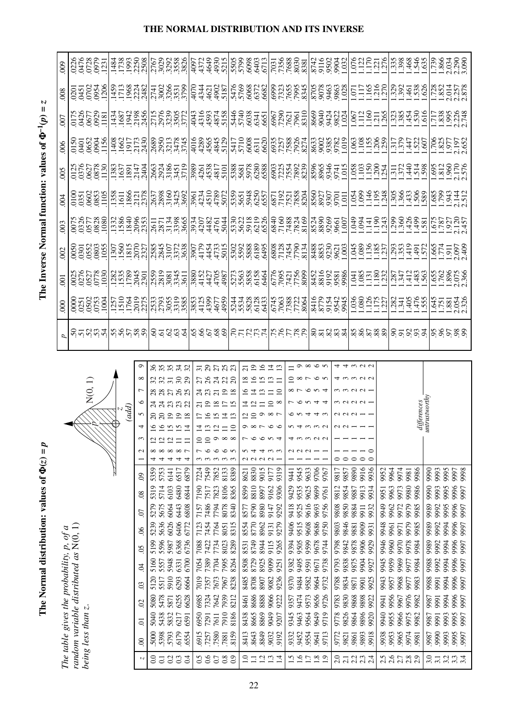|                     |                |               |                                   |               |                 |                    |                                        |                                           |                                       |                                                   |                                              |                                                                                     | The Inverse Normal function: values of $\Phi^{-1}(p)$ | $\ensuremath{\mathsf{II}}$                                                    | Z                                                                           |                                     |
|---------------------|----------------|---------------|-----------------------------------|---------------|-----------------|--------------------|----------------------------------------|-------------------------------------------|---------------------------------------|---------------------------------------------------|----------------------------------------------|-------------------------------------------------------------------------------------|-------------------------------------------------------|-------------------------------------------------------------------------------|-----------------------------------------------------------------------------|-------------------------------------|
|                     |                |               |                                   |               |                 | d                  | 800                                    | $\overline{5}$                            | .002                                  | 003                                               | 004                                          | 005                                                                                 | 006                                                   | $\overline{00}$                                                               | 008                                                                         | 009                                 |
|                     |                |               |                                   |               |                 |                    |                                        |                                           |                                       |                                                   |                                              |                                                                                     |                                                       |                                                                               |                                                                             |                                     |
|                     |                |               | N(0, 1)                           |               |                 |                    |                                        |                                           |                                       |                                                   |                                              |                                                                                     |                                                       |                                                                               |                                                                             |                                     |
|                     |                |               |                                   |               |                 | <u>ទីកុម្ពស្ពឺ</u> | 0000<br>0250<br>0505<br>0000           | 0025<br>0276<br>0527<br>0778<br>1030      | 0050<br>0301<br>0552<br>0553<br>055   | 0075<br>0326<br>0877<br>1080<br>1080              | 0100<br>0351<br>0602<br>0853<br>1105         | 0125<br>0376<br>0627<br>1130<br>1130                                                | 0150<br>0401<br>0652<br>1156<br>1156                  | 175<br>0426<br>0677<br>0821<br>1181                                           | <br>  250336<br>  25091                                                     | 0226<br>0478<br>050021<br>05000     |
|                     |                |               |                                   |               |                 |                    |                                        |                                           |                                       |                                                   |                                              |                                                                                     |                                                       |                                                                               |                                                                             |                                     |
|                     | (add)          |               |                                   |               |                 | នៃក្នុងមួ          | 1257<br>1510<br>1764<br>2015           | 1282<br>1535<br>1789<br>2045<br>2301      | 1307<br>1560<br>1815<br>18227         | 1332<br>15840<br>1840<br>2055                     | 1358<br>11611<br>11866<br>121218             | 1383<br>1637<br>1891<br>21404<br>2404                                               | 1408<br>1662<br>19173<br>2430                         | 1434<br>1687<br>1942<br>2456                                                  | 1459<br>17136824<br>17132482                                                | 1484<br>1738<br>1993<br>1808        |
|                     |                |               |                                   |               |                 |                    |                                        |                                           |                                       |                                                   |                                              |                                                                                     |                                                       |                                                                               |                                                                             |                                     |
| ₹<br>$\mathfrak{g}$ |                | $\circ$       | $\overline{ }$                    | $\infty$      | $\circ$         |                    |                                        |                                           |                                       |                                                   |                                              |                                                                                     |                                                       |                                                                               |                                                                             |                                     |
| 으 으 으               |                |               |                                   |               |                 |                    |                                        |                                           |                                       |                                                   |                                              |                                                                                     |                                                       |                                                                               |                                                                             |                                     |
|                     | 19             |               |                                   |               | 35              |                    |                                        |                                           |                                       |                                                   |                                              |                                                                                     |                                                       |                                                                               |                                                                             |                                     |
| v                   | $\frac{9}{18}$ | ನ ನ ಇ ಇ ಇ     | ននគនន                             | 7.88          | 34              | <b>SESSE</b>       | 2533<br>27955<br>2885<br>2886          | 2559<br>2819<br>29345<br>3611             | 25845<br>2845<br>2007<br>2008<br>2008 | 2611<br>2871<br>353865<br>3665                    | 2637<br>2898<br>25425<br>2692                | 2663<br>292451<br>2935519                                                           | 089<br>09503474<br>00034745                           | 151588872                                                                     | 2741<br>2008<br>2008<br>2019                                                |                                     |
|                     |                |               |                                   |               | 32              |                    |                                        |                                           | .3907                                 |                                                   |                                              |                                                                                     |                                                       |                                                                               |                                                                             |                                     |
| $\overline{10}$     |                |               | ನ ನಿ                              |               | $\overline{31}$ |                    |                                        |                                           | 4179                                  |                                                   |                                              |                                                                                     |                                                       |                                                                               |                                                                             |                                     |
| $\overline{10}$     | ७              | ഉ             |                                   |               | 29              |                    |                                        |                                           |                                       |                                                   |                                              |                                                                                     |                                                       |                                                                               |                                                                             |                                     |
| $\circ$             | 츠<br>v         | $\infty$<br>□ | $\overline{19}$<br>$\overline{z}$ | <b>ភន</b> ដនន | 25              | 33533              | 853<br>1125<br>1457<br>1444            | 880<br>1527<br>1527<br>1587<br>1587       | 4454<br>4733<br>5015                  | <br> 2022<br> 2023<br> 2024<br> 2022              | 2014<br>1110<br>1110<br>1102<br>1102<br>1102 | $\begin{array}{r} 880 \\ 894 \\ 491 \\ 8101 \\ 101 \end{array}$                     | 01689420<br>0289451<br>044445                         | 1943<br>195874<br>194445158                                                   | $\begin{array}{c} 1644400 \\ 462000 \\ 462100 \\ 471000 \\ 187 \end{array}$ | 4097<br>4372<br>4930<br>49305       |
| $\infty$            |                |               |                                   |               |                 |                    |                                        |                                           |                                       |                                                   |                                              |                                                                                     |                                                       |                                                                               |                                                                             |                                     |
|                     |                |               |                                   |               | ಸ               |                    |                                        |                                           |                                       |                                                   |                                              |                                                                                     |                                                       |                                                                               |                                                                             |                                     |
|                     |                |               |                                   |               | $\overline{19}$ |                    |                                        |                                           |                                       |                                                   |                                              |                                                                                     |                                                       |                                                                               |                                                                             |                                     |
|                     |                |               |                                   | v             | ≌               |                    | 1133888<br>1158888<br>11589            | $\frac{773}{5563}$<br>5563<br>5464        | 5302<br>5588895<br>5588895            |                                                   | 5359<br>5651<br>5948<br>5557                 |                                                                                     | 0299<br>0209<br>0209<br>0209                          |                                                                               |                                                                             | 888813<br>668865                    |
|                     |                | Q             |                                   | $\mathbf{C}$  | ᅺ               |                    |                                        |                                           |                                       |                                                   |                                              |                                                                                     |                                                       |                                                                               |                                                                             |                                     |
|                     |                |               |                                   |               |                 |                    |                                        |                                           |                                       |                                                   |                                              |                                                                                     |                                                       |                                                                               |                                                                             |                                     |
|                     |                |               |                                   |               |                 |                    |                                        |                                           |                                       |                                                   |                                              |                                                                                     |                                                       |                                                                               |                                                                             |                                     |
|                     |                |               |                                   |               |                 | <u>Stuurluktus</u> | 6745<br>17063<br>17288<br>1759<br>1769 | 6776<br>17095<br>17156<br>1716<br>1716    | 221275<br>2217779<br>2023<br>2023     | 53023<br>53033620065232<br>53036200652323         | 6871<br>71921<br>7521<br>7858<br>78204       |                                                                                     | 6935<br>1758871<br>677588<br>68774                    | 5446<br>5740<br>5831 1050<br>5831 1050<br>5770 1051<br>5440 1051<br>5440 1051 | 5476<br>576822 37655<br>57682 37655<br>57682 37655                          | 1637<br>08887.7.368<br>0887.7.7.9   |
|                     |                |               |                                   |               |                 |                    |                                        |                                           |                                       |                                                   |                                              |                                                                                     |                                                       |                                                                               |                                                                             |                                     |
|                     |                |               |                                   |               |                 | <u>Sazaz</u>       | 8355999                                |                                           | 8853<br>8853<br>889901                | 1838<br>889861<br>1007<br>1007                    | 8507<br>8927<br>89307                        | 8965<br>8965<br>89345<br>91015                                                      | 8633<br>9002<br>9385<br>9782<br>1.019                 | 8669<br>864222<br>8693224                                                     | 8705<br>9078<br>9463<br>9863<br>91.028                                      | 8742<br>8116<br>800321<br>8000232   |
|                     |                |               |                                   |               |                 |                    |                                        |                                           |                                       |                                                   |                                              |                                                                                     |                                                       |                                                                               |                                                                             |                                     |
|                     |                |               |                                   |               |                 |                    |                                        |                                           |                                       |                                                   | $\overline{5}$                               |                                                                                     |                                                       |                                                                               |                                                                             |                                     |
|                     |                |               |                                   |               |                 |                    |                                        |                                           |                                       |                                                   |                                              |                                                                                     |                                                       |                                                                               |                                                                             |                                     |
|                     |                |               |                                   |               |                 |                    |                                        |                                           |                                       |                                                   |                                              |                                                                                     |                                                       |                                                                               |                                                                             |                                     |
|                     |                |               |                                   |               |                 | 28228              |                                        | $\frac{135}{1.381}$                       | 1.045<br>1.086<br>1.1857<br>1.237     | $-0.04184$<br>$-1.04184$<br>$-1.0434$             | 1.054<br>1.099<br>1.195<br>1.248             | 1.550<br>1.550<br>1.554<br>1.554                                                    | 198588                                                | 672258                                                                        | $\frac{1}{1155}$                                                            | <b>1622</b><br>1622<br>1622<br>1622 |
|                     |                |               |                                   |               |                 |                    |                                        |                                           |                                       |                                                   |                                              |                                                                                     |                                                       |                                                                               |                                                                             |                                     |
|                     |                |               |                                   |               |                 | 85883              | 1341<br>1.3415<br>1.476<br>1.555       | $\frac{287}{347}$                         | $\frac{293}{1.353}$                   |                                                   | 1.305<br>1.366<br>1.506<br>1.589             | $\frac{1}{2}$ $\frac{1}{2}$ $\frac{1}{4}$ $\frac{1}{2}$ $\frac{1}{8}$ $\frac{1}{8}$ | 201409<br>201409                                      | 384556                                                                        | $328$<br>3234588                                                            | 5588455                             |
|                     |                |               |                                   |               |                 |                    |                                        |                                           |                                       |                                                   |                                              |                                                                                     |                                                       |                                                                               |                                                                             |                                     |
|                     | differences    |               |                                   |               |                 |                    |                                        | 483                                       | 1.491                                 | .581                                              |                                              |                                                                                     |                                                       |                                                                               |                                                                             |                                     |
|                     | unirustworthy  |               |                                   |               |                 |                    |                                        |                                           |                                       |                                                   |                                              |                                                                                     |                                                       |                                                                               |                                                                             |                                     |
|                     |                |               |                                   |               |                 | 5,55,8,8           |                                        |                                           |                                       |                                                   | 1.585                                        |                                                                                     | 1285.<br>2021                                         |                                                                               | .728                                                                        | $\frac{62}{1}$                      |
|                     |                |               |                                   |               |                 |                    |                                        |                                           |                                       |                                                   | .943                                         |                                                                                     |                                                       |                                                                               |                                                                             |                                     |
|                     |                |               |                                   |               |                 |                    | 1.573<br>1.781<br>1.881<br>2.326       | 1.655<br>1.762<br>1.396<br>2.366<br>2.362 | 1.665<br>1.774<br>1.910<br>1.92409    | $\frac{1.675}{1.787}$<br>1.787<br>1.927<br>2.1457 | 2.144                                        | 1.695<br>1.812<br>1.960<br>2.576                                                    | 2.197                                                 | 1717<br>1.8385<br>1.995<br>2.748                                              | 2.014<br>2.257<br>2.878                                                     | $\frac{1.866}{2.290}$               |
|                     |                |               |                                   |               |                 |                    |                                        |                                           |                                       |                                                   |                                              |                                                                                     |                                                       |                                                                               |                                                                             |                                     |

**The Normal distribution: values of**  The Normal distribution: values of  $\Phi(z) = p$ 

The table gives the probability,  $p$ , of a<br>random variable distributed as  $N(0, 1)$ <br>being less than z. *random variable distributed as* N(0, 1) *The table gives the probability, p, of a being less than z*.

*z p*

| $i$ in initial $i$ |                 | ب<br>ب       |                                           | ب ب           | ب ب             | ب                       | ب ب            |                                  | نسا نسا نسا نسا نسا |                 |                 |                               |             | نسا نسا نسا نسا نسا |                 |                            |                             |      | ထံထံထံထံထံ |       |         |                      | ထံထံထံထံထံ |                      |              | ojojojoj    |               |                  |      | ojojojoj         |  |
|--------------------|-----------------|--------------|-------------------------------------------|---------------|-----------------|-------------------------|----------------|----------------------------------|---------------------|-----------------|-----------------|-------------------------------|-------------|---------------------|-----------------|----------------------------|-----------------------------|------|------------|-------|---------|----------------------|------------|----------------------|--------------|-------------|---------------|------------------|------|------------------|--|
|                    |                 |              |                                           |               |                 |                         |                |                                  |                     |                 |                 |                               |             |                     |                 |                            |                             |      |            |       |         |                      |            |                      |              |             |               |                  |      |                  |  |
|                    | ç               | 88837        |                                           |               | $\overline{31}$ | $^{29}$                 | 27             | 23                               | $\overline{c}$      | $\overline{19}$ | $\overline{16}$ | $\overline{4}$ $\overline{2}$ |             |                     | $\sigma$        | $\infty$ $\infty$ $\infty$ |                             |      | ⇉          |       |         | 4 9 9 9              |            |                      |              |             |               |                  |      |                  |  |
|                    | ${}^{\circ}$    | 22222        |                                           |               |                 |                         |                | <b>ភន</b> ដនន                    | $\overline{18}$     | 16              | $\overline{15}$ | $\mathbf{1}$                  | $\Box$      | ≘                   | $\infty$ $\sim$ |                            | $\circ$ $\circ$             |      |            |       |         | するろひろ                |            |                      |              |             |               |                  |      |                  |  |
|                    | $\overline{ }$  | ននគន         |                                           | $\mathcal{S}$ | R               |                         | $\overline{c}$ | $\overline{19}$<br>$\frac{8}{2}$ |                     | ⋣               | نى              |                               | $\supseteq$ |                     |                 |                            | $\sigma v 4$                |      |            |       |         |                      |            |                      |              |             |               |                  |      |                  |  |
|                    | ७               | ನ ನ ಬ ಬ ಬ    |                                           |               |                 | $\overline{0}$          | $\approx$      |                                  |                     | $\simeq$        |                 | $\supseteq$                   | $\infty$    |                     | ہ               | $v \sim 4$                 |                             | 뉙    |            |       |         | m N N N -            |            |                      |              |             | unirustworthy |                  |      |                  |  |
| (add)              | 5               | $\Omega$     | 8998                                      |               |                 |                         | $\overline{5}$ | $\overline{4}$<br>$\mathbf{L}$   |                     | 22000           |                 |                               |             |                     |                 | $\overline{4}$             | 4 W                         |      |            | 9 V V |         |                      |            |                      |              | differences |               |                  |      |                  |  |
|                    | 4               |              | <u>a a a</u>                              | 그             | ⋣               |                         | $\mathbf{c}$   | $\subseteq$                      |                     | $\infty$ $\sim$ |                 | $\circ$                       |             |                     |                 | നനവ                        |                             |      |            |       |         |                      |            |                      |              |             |               |                  |      |                  |  |
|                    | 3               |              | $\omega$ $\omega$                         |               | ≘               | $\supseteq$             | ⌒              | ${}^{\circ}$<br>$\infty$         |                     | ৩               | $\circ$         | $\sim$ 4                      |             |                     |                 | m U U                      |                             |      |            |       |         |                      |            |                      |              |             |               |                  |      |                  |  |
|                    | $\mathbf{\sim}$ |              | $\infty$ $\infty$                         | $\infty$ r    |                 |                         |                | $\circ$                          |                     |                 | ਚ               |                               |             |                     |                 |                            |                             |      |            |       |         |                      |            |                      |              |             |               |                  |      |                  |  |
|                    |                 |              | ↴                                         | ₹             | $\sim$          | $\sim$                  |                | $\omega \omega \omega$           |                     | a a a a -       |                 |                               |             |                     |                 |                            |                             |      | 00         |       | $\circ$ | $\circ$<br>$\subset$ |            |                      |              |             |               |                  |      |                  |  |
|                    | $\otimes$       | 5359<br>5753 | 6141                                      | 6879<br>6517  | 7224            | 7549                    | 7852           | 8389<br>8133                     | 8621                | 8830            | 9015            | 9177                          | 9319        | 9441                | 9545            | 9633                       | 9706                        | 9767 | 9817       | 9857  | 9890    | 916<br>9936          | 9952       | 9964                 | 9974<br>9981 | 9986        | 9990          | 9993             | 9995 | 9997<br>9998     |  |
|                    | $\infty$        | 5319<br>5714 | 6103                                      | 6480<br>6844  | 7190            | 7517                    | 7823           | 8106<br>8365                     | 8599                | 8810            | 8997            | 9162                          | 9306        | 9429                | 9535            | 9625                       | 9699                        | 9761 | 9812       | 9854  | 9887    | 9913<br>9934         | 9951       | 9963                 | 9973<br>9980 | 9986        | 9990          | 9993             | 9995 | 9996<br>997      |  |
|                    | <b>S</b>        | 5279<br>5675 | 6064                                      | 6443<br>6808  | 7157            | 7486                    | 7794           | 8078<br>8340                     | 8577                | 8790            | 8980            | 9147                          | 9292        | 9418                | 9525            | 9616                       | 9693                        | 9756 | 9808       | 9850  | 9884    | 9932<br>9911         | 949        | 9962                 | 9972<br>9979 | 9985        | 9989          | 9992             | 9995 | 9996<br>9997     |  |
|                    | ঙ               | 5636<br>5239 | 6026                                      | 6406<br>6772  | 7123            | 7454                    | 7764           | 8315<br>8051                     | 8554                | 8770            | 8962            | 9131                          | 9279        | 9406                | 9515            | 9608                       | 9686                        | 9750 | 9803       | 9846  | 9881    | 9009<br>9931         | 9948       | 9961<br>9971         | 979          | 9985        | 9989          | 9992             | 994  | 9996<br>9997     |  |
|                    | $\delta$        | 5596<br>5199 | 5987                                      | 6368<br>6736  | 7088            | 7422                    | 7734           | 8023<br>8289                     | 8531                | 8749            | 8944            | 9115                          | 9265        | 9394                | 9505            | 9599                       | 9678                        | 9744 | 9798       | 9842  | 9878    | 9906<br>929          | 946        | 9960                 | 970<br>978   | 9984        | 9989          | 9992             | 994  | 9996<br>9997     |  |
|                    | F               | 5160<br>5557 | 5948                                      | 6700<br>6331  | 7054            | 7389                    | 7704           | 7995<br>8264                     | 8508                | 8729            | 8925            | 9099                          | 9251        | 9382                | 9495            | 9591                       | 9671                        | 9738 | 9793       | 9838  | 9875    | 9904<br>927          | 9945       | 9959                 | 9969<br>9977 | 9984        | 9988          | 992              | 994  | 9996<br>997      |  |
|                    | $\mathfrak{S}$  | 5120<br>5517 | 5910                                      | 6293<br>6664  | 7019            | 7357                    | 7673           | 7967<br>8238                     | 8485                | 8708            | 8907            | 9082                          | 9236        | 9370                | 9484            | 9582                       | 9664                        | 9732 | 9788       | 9834  | 9871    | 9925<br>9901         | 9943       | 9957                 | 9968<br>9977 | 9983        | 9988          | 9991             | 994  | 9996<br>9997     |  |
|                    | $\approx$       | 5478<br>5080 | 5871                                      | 6255<br>6628  | 6985            | 7324                    | 7642           | 7939<br>8212                     | 8461                | 8686            | 8888            | 9066                          | 9222        | 9357                | 9474            | 9573                       | 9656                        | 9726 | 9783       | 9830  | 9868    | 9898<br>9922         | 9941       | 9956                 | 976<br>9967  | 9982        | 9987          | 991              | 994  | 9996<br>9997     |  |
|                    | $\overline{0}$  | 5040<br>5438 | 5832                                      | 6217<br>6591  | 6950            | 7291                    | 7611           | 7910<br>8186                     | 8438                | 8665            | 8869            | 9049                          | 9207        | 9345                | 9463            | 9564                       | 9649                        | 9719 | 9778       | 9826  | 9864    | 9896<br>920          | 040        | 9955                 | 9966<br>9975 | 9982        | 9987          | 991              | 9993 | 9995<br>997      |  |
|                    | $\infty$        | 5000<br>5398 | 5793                                      | 6179<br>6554  | 6915            | .7257                   | 7580           | 8159<br>7881                     | 8413                | 8643            | 8849            | 9032                          | 9192        | 9332                | 9452            | 9554                       | 9641                        | 9713 | 9772       | 9821  | 9861    | 9893<br>918          | 9938       | 9953                 | 9965<br>9974 | 9981        | 9987          | 9990             | 9993 | 9995<br>997      |  |
|                    | Z               |              | $\frac{1}{0}$ $\frac{1}{0}$ $\frac{3}{0}$ | $\ddot{0}$ .  |                 | $0.5$<br>$0.6$<br>$0.7$ |                | 0.8<br>0.9                       | $\frac{0}{1}$       | Ę               | $\overline{c}$  | $\frac{3}{4}$                 |             |                     | $\frac{15}{25}$ |                            | $\frac{8}{1}$ $\frac{9}{2}$ |      |            |       |         | o – da –<br>da da da |            | n or xo<br>n n n n n |              |             |               | $3.\overline{1}$ |      | $3.34$<br>$3.34$ |  |
|                    |                 |              |                                           |               |                 |                         |                |                                  |                     |                 |                 |                               |             |                     |                 |                            |                             |      |            |       |         |                      |            |                      |              |             |               |                  |      |                  |  |

### **THE NORMAL DISTRIBUTION AND ITS INVERSE**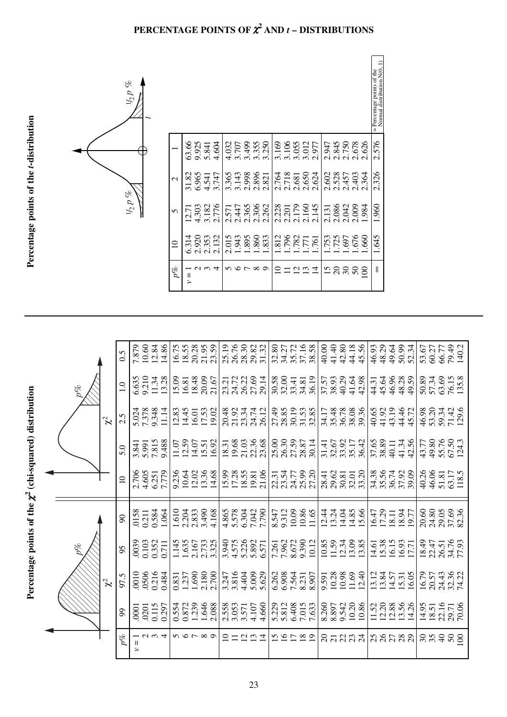

|                                                              |           | 0.5           | 10.60<br>7.879           | 12.84<br>14.86    | 16.75 | 18.55<br>20.28 | 21.95<br>23.59                                                           | 25.19 | 26.76          | 28.30          | 29.82<br>31.32 | 32.80 | 34.27                            | 35.72 | 37.16          | 38.58 | 41.40<br>40.00 | 42.80                 | 44.18          | 45.56<br>46.93 | 48.29          | 49.64                         | 50.99                                                           | 52.34 | 53.67 | 60.27 | 66.77              | 79.49<br>140.2 |
|--------------------------------------------------------------|-----------|---------------|--------------------------|-------------------|-------|----------------|--------------------------------------------------------------------------|-------|----------------|----------------|----------------|-------|----------------------------------|-------|----------------|-------|----------------|-----------------------|----------------|----------------|----------------|-------------------------------|-----------------------------------------------------------------|-------|-------|-------|--------------------|----------------|
|                                                              | o%        | $\frac{0}{1}$ | 9.210<br>6.635           | 13.28<br>11.34    | 15.09 | 18.48<br>16.81 | 20.09<br>21.67                                                           |       | 23.21<br>24.72 | 26.22          | 27.69<br>29.14 | 30.58 | 32.00                            | 33.41 | 34.81          | 36.19 | 38.93<br>37.57 | 40.29                 | 41.64          | 42.98          | 45.64<br>44.31 | 46.96                         | 48.28                                                           | 49.59 | 50.89 | 57.34 | 63.69              | 76.15<br>135.8 |
|                                                              | $\approx$ | 2.5           | 5.024                    | 9.348<br>11.14    | 12.83 | 14.45<br>16.01 | 17.53<br>19.02                                                           | 20.48 | 21.92          | 23.34          | 24.74<br>26.12 | 27.49 | 28.85                            | 30.19 | 31.53          | 32.85 | 34.17          | 35.48<br>36.78        | 38.08          | 39.36<br>40.65 | 41.92          | 43.19                         | 44.46                                                           | 45.72 | 46.98 | 53.20 | 59.34<br>71.42     | 129.6          |
|                                                              |           | 5.0           | 5.991<br>3.841           | 7.815<br>9.488    | 11.07 | 12.59<br>14.07 | 15.51<br>16.92                                                           | 18.31 | 19.68          | 21.03          | 22.36<br>23.68 | 25.00 | 26.30                            | 27.59 | 28.87          | 30.14 | 31.41          | 32.67<br>33.92        | 35.17          | 36.42          | 37.65<br>38.89 | 40.11                         | 41.34                                                           | 42.56 | 43.77 | 49.80 | 55.76<br>67.50     | 124.3          |
|                                                              |           | $\Xi$         | 4.605<br>2.706           | 7.779<br>6.251    | 9.236 | 10.64<br>12.02 | 13.36<br>14.68                                                           |       | 15.99<br>17.28 | 18.55          | 21.06<br>19.81 |       | 23.31<br>23.55<br>23.55<br>25.99 |       |                | 27.20 | 28.41          | 29.62<br>30.81        | 33.20<br>32.01 |                |                | 34.38<br>35.56<br>36.74       | 37.92                                                           | 39.09 | 40.26 | 46.06 | 51.81              | 63.17<br>118.5 |
| Percentage points of the $\chi^2$ (chi-squared) distribution |           | $\infty$      | .0158<br>0.211           | 0.584<br>1.064    | 1.610 | 2.204<br>2.833 | 3.490<br>4.168                                                           | 4.865 | 5.578          | 6.304          | 7.042<br>7.790 | 8.547 | 9.312                            | 10.09 | 10.86          | 11.65 | 12.44<br>13.24 | 14.04                 | 14.85<br>15.66 |                | 17.29<br>16.47 | 18.11                         | 18.94                                                           | 19.77 | 20.60 | 24.80 | 29.05              | 37.69<br>82.36 |
|                                                              | $p\%$     | 95            | 0.103<br>0039            | 0.352<br>0.711    |       |                | $\begin{array}{c} 1.145 \\ 1.635 \\ 2.167 \\ 2.733 \\ 3.325 \end{array}$ | 3.940 | 4.575          | 5.226          | 6.571          | 7.261 | 7.962                            | 8.672 | 9.390          | 10.12 | 10.85<br>11.59 | 12.34                 | 13.09          | 13.85          |                | 14.61<br>15.38<br>16.15       | 16.93                                                           |       | 18.49 | 22.47 | 26.51              | 34.76          |
|                                                              | $\approx$ | 97.5          | .0506<br>0010            | 0.216<br>0.484    | 0.831 | 1.690<br>1.237 | 2.180<br>2.700                                                           | 3.247 | 3.816          | 4.404          | 5.009<br>5.629 | 6.262 | 6.908                            | 7.564 | 8.231          | 8.907 | 9.591          | $\frac{10.28}{10.98}$ | 11.69<br>12.40 |                |                | $13.34$<br>$13.37$<br>$15.31$ |                                                                 | 16.05 | 16.79 | 20.57 | 24.43              | 32.36<br>74.22 |
|                                                              |           | 99            | 0201<br>$\overline{000}$ | 0.115<br>0.297    | 0.554 | 1.239<br>0.872 | 1.646<br>2.088                                                           | 2.558 | 3.053          | 3.571          | 4.660<br>4.107 |       | 5.229<br>5.812                   | 6.408 | 7.015          | 7.633 | 8.260<br>8.897 | 9.542                 | 10.20          | 10.86          |                |                               | $\begin{array}{c} 11.52 \\ 12.20 \\ 13.56 \\ 14.26 \end{array}$ |       | 14.95 | 18.51 | 22.16<br>29.71     | 70.06          |
|                                                              |           | $p\%$         | Ш<br>$\geq$              | $\omega \omega 4$ |       | いんい            | $\infty$                                                                 |       |                | $\overline{2}$ | $\frac{2}{1}$  |       | $\frac{5}{2}$                    |       | $\frac{8}{19}$ |       |                |                       | នគននង          |                |                |                               | 38583                                                           |       | 35    |       | $\theta$<br>$50\,$ | $\infty$       |

### **PERCENTAGE POINTS OF** <sup>χ</sup>**<sup>2</sup> AND** *t* **– DISTRIBUTIONS**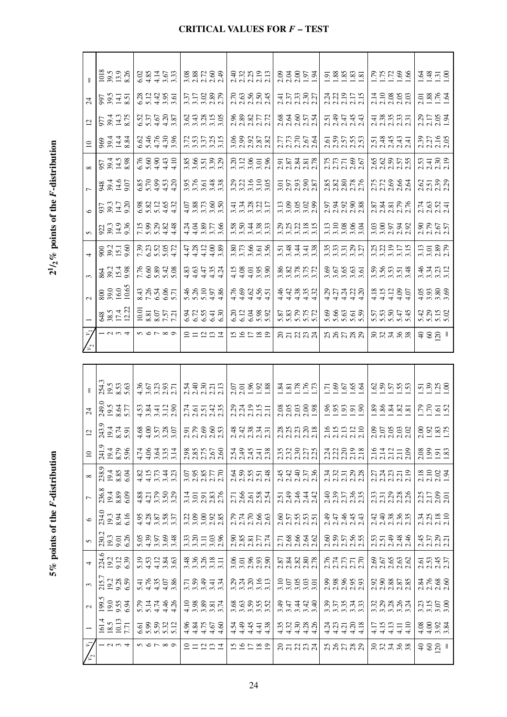| ξ                               |
|---------------------------------|
|                                 |
| ţ<br>í                          |
| ļ<br>l                          |
| $\frac{1}{2}$                   |
|                                 |
| noin                            |
| $\frac{2}{\pi}$<br>l            |
| Ì<br>ı                          |
|                                 |
|                                 |
|                                 |
|                                 |
|                                 |
|                                 |
|                                 |
|                                 |
|                                 |
|                                 |
|                                 |
|                                 |
| 5                               |
| $\frac{1}{2}$                   |
| $\frac{1}{2}$<br>ľ              |
|                                 |
|                                 |
| points of the <i>i</i>          |
|                                 |
| 5%<br>8<br>$\ddot{\phantom{0}}$ |

 $2^{1/2}\%$  points of the *F*-distribution

|                 | 1018<br>39.5<br>8.26                                                                               | $0.87107$<br>$0.87107$<br>$0.3707$                           | 3.88789                                                         | sang<br>Sanggu                                                                                                                                                                                                                                                                              | 238531<br>23851                                                                             |                                                                                                                                                                                                                                                           |                                                                                                                                                                                                                                                                       | $\frac{3435}{100}$                                     |
|-----------------|----------------------------------------------------------------------------------------------------|--------------------------------------------------------------|-----------------------------------------------------------------|---------------------------------------------------------------------------------------------------------------------------------------------------------------------------------------------------------------------------------------------------------------------------------------------|---------------------------------------------------------------------------------------------|-----------------------------------------------------------------------------------------------------------------------------------------------------------------------------------------------------------------------------------------------------------|-----------------------------------------------------------------------------------------------------------------------------------------------------------------------------------------------------------------------------------------------------------------------|--------------------------------------------------------|
| $\overline{24}$ | 997<br>39.51<br>30.51                                                                              | 82485<br>81485                                               | 3.71<br>3.71<br>3.73.82                                         | និង<br>កូន មិន អ្នក<br>កូន មិន អ្នក                                                                                                                                                                                                                                                         | $\frac{47}{13}$ $\frac{33}{13}$ $\frac{37}{13}$                                             | 222515<br>222515<br>2225                                                                                                                                                                                                                                  | 110856<br>110866                                                                                                                                                                                                                                                      | $2.38$<br>$1.76$<br>$1.64$                             |
| $\overline{2}$  | 977<br>89.43<br>8.75                                                                               | 0.55<br>0.558<br>0.558                                       | $24815$<br>$3335$                                               | 888772<br>288772                                                                                                                                                                                                                                                                            | 836554                                                                                      | 535443<br>กลุ่ม 44                                                                                                                                                                                                                                        | $\frac{488937}{10000}$                                                                                                                                                                                                                                                | 2.29<br>2.17<br>2.05<br>1.94                           |
| $\overline{a}$  | $8.344$<br>$8.448$                                                                                 | $6.488$<br>$6.4788$<br>$6.4788$                              | $\frac{25}{35}$ $\frac{25}{35}$ $\frac{25}{35}$ $\frac{25}{35}$ | 88858<br>88858                                                                                                                                                                                                                                                                              | nnes<br>Rinis<br>Rinis                                                                      |                                                                                                                                                                                                                                                           | 534435<br>534555                                                                                                                                                                                                                                                      | 23216<br>2216<br>2205                                  |
|                 | $\frac{957}{394.58}$                                                                               | $6.8841$<br>$6.8841$                                         | 886532<br>336532                                                | 3.21858<br>3.31858                                                                                                                                                                                                                                                                          | 252352<br>253525                                                                            |                                                                                                                                                                                                                                                           |                                                                                                                                                                                                                                                                       | 253<br>2530<br>219                                     |
|                 | 384.6<br>39.4.6<br>39.4.6                                                                          | 88633<br>88853<br>8844                                       | 3.5543.36<br>3.5543.36                                          | 231558<br>231558                                                                                                                                                                                                                                                                            | 3.57<br>3.97<br>3.987                                                                       | 388888                                                                                                                                                                                                                                                    | 22084<br>22084                                                                                                                                                                                                                                                        | 25732<br>25322                                         |
|                 | 937<br>93.3<br>9.20                                                                                | 8 8 2 1 6 3<br>6 3 1 5 4<br>6 5 4 4                          | 5 3 5 5 6<br>4 3 5 6 5<br>4 3 5 6 5                             | $77805$<br>$77805$                                                                                                                                                                                                                                                                          | 118588<br>3.358                                                                             | 53888<br>53588                                                                                                                                                                                                                                            | 2325<br>2325<br>2325                                                                                                                                                                                                                                                  | 74<br>2624<br>224                                      |
|                 |                                                                                                    |                                                              |                                                                 |                                                                                                                                                                                                                                                                                             |                                                                                             |                                                                                                                                                                                                                                                           |                                                                                                                                                                                                                                                                       |                                                        |
|                 |                                                                                                    | 15 8 8 8 4<br>15 8 8 9 4<br>15 9 8 9 4                       | 443256<br>44325                                                 | 8 8 4 8 8<br>8 9 4 8 8<br>8 9 4 8 9                                                                                                                                                                                                                                                         | 22<br>2323 25<br>25                                                                         | 119884<br>3.10884                                                                                                                                                                                                                                         | 38538<br>38538                                                                                                                                                                                                                                                        | 2.967<br>2.7677                                        |
|                 | 90235.50<br>53.51                                                                                  | 232352<br>232552                                             | 44440<br>44449                                                  | 86558658656                                                                                                                                                                                                                                                                                 | 534458                                                                                      | 333325<br>333325                                                                                                                                                                                                                                          | 3.32515<br>3.33515<br>3.335                                                                                                                                                                                                                                           | $3.13$<br>$3.01$<br>$2.79$                             |
|                 | 864<br>39.21<br>39.38                                                                              | 7.68248<br>7.68248                                           | दुद्धस्य<br>संयुक्तस्य                                          | $138088$<br>$44400$                                                                                                                                                                                                                                                                         | 3.82<br>3.82<br>3.72<br>3.72                                                                | 86685<br>3333                                                                                                                                                                                                                                             | និង ជូ ជូ <del>ជូ</del><br>ព.ព.ព.ព.ព                                                                                                                                                                                                                                  |                                                        |
|                 | $\begin{array}{c} 0.000000 \\ 0.00000 \\ 0.0000 \end{array}$                                       | 32535<br>32535                                               | 2889288                                                         | 444444<br>44444                                                                                                                                                                                                                                                                             | र्द्ध अंध्रु<br>संसंबंध<br>संसंबं                                                           | 8 ऽसंध<br>संसंसंसं                                                                                                                                                                                                                                        | 44444                                                                                                                                                                                                                                                                 | $\frac{4388}{3300}$                                    |
|                 | $648$<br>$38.5$<br>$12.2$<br>$12.2$                                                                | $\begin{array}{c} 10.01 \\ 8.81 \\ 8.07 \\ 7.21 \end{array}$ | $6.558$<br>$6.558$                                              | 82388<br>82588                                                                                                                                                                                                                                                                              | 5.85<br>5.85<br>5.75                                                                        |                                                                                                                                                                                                                                                           | 556554<br>55655                                                                                                                                                                                                                                                       | 5.85<br>5.95<br>5.95                                   |
| $\bar{z}$       | $\frac{1}{2}$ $\alpha$ $\alpha$ $\frac{1}{2}$                                                      | 56789                                                        | $\Xi \equiv \Xi \; \Xi \; \Xi$                                  | 151229                                                                                                                                                                                                                                                                                      | នគននគ                                                                                       | <b>ង</b> ង ង ន ន                                                                                                                                                                                                                                          | $R$ $R$ $R$ $R$ $R$ $R$                                                                                                                                                                                                                                               | 982                                                    |
|                 |                                                                                                    |                                                              |                                                                 |                                                                                                                                                                                                                                                                                             |                                                                                             |                                                                                                                                                                                                                                                           |                                                                                                                                                                                                                                                                       |                                                        |
|                 |                                                                                                    |                                                              |                                                                 |                                                                                                                                                                                                                                                                                             |                                                                                             |                                                                                                                                                                                                                                                           |                                                                                                                                                                                                                                                                       |                                                        |
|                 |                                                                                                    |                                                              |                                                                 |                                                                                                                                                                                                                                                                                             |                                                                                             |                                                                                                                                                                                                                                                           |                                                                                                                                                                                                                                                                       |                                                        |
|                 | $\left  \frac{11}{55} \right  \frac{1}{55}$                                                        | $36737$<br>$3077$                                            | 3.49872                                                         | 2.07<br>2.08<br>2.08<br>2.08                                                                                                                                                                                                                                                                | $\frac{35}{25}$ $\frac{35}{25}$ $\frac{8}{25}$ $\frac{8}{25}$ $\frac{8}{25}$ $\frac{1}{25}$ |                                                                                                                                                                                                                                                           | $\frac{1786681}{1992292}$                                                                                                                                                                                                                                             | $-289.8$                                               |
|                 | $\frac{24}{2495}$<br>1953<br>5.77                                                                  | 535528<br>535528                                             | 2.2533<br>2.2533                                                | 2312511<br>2312511                                                                                                                                                                                                                                                                          | 385388.<br>2020                                                                             | 88999                                                                                                                                                                                                                                                     | 288322                                                                                                                                                                                                                                                                | 222                                                    |
|                 | $33.3$<br>$3.4$<br>$5.5$<br>$5.91$                                                                 |                                                              |                                                                 |                                                                                                                                                                                                                                                                                             |                                                                                             | $880585   0.825   0.8666   0.84847   0.8497   0.7373   0.8583   0.7373   0.8583   0.8673   0.8744   0.8744   0.8744   0.8744   0.8744   0.8744   0.8744   0.8744   0.8744   0.8744   0.8744   0.8744   0.8744   0.8744   0.8744   0.8744   0.8744   0.87$ |                                                                                                                                                                                                                                                                       | $2.00$<br>$1.33$<br>$1.75$                             |
| $\supseteq$     | 241.9<br>19.4<br>5.79<br>5.96                                                                      | 443331<br>44331                                              |                                                                 | $\begin{array}{c} 885.750 \\ 0.875.67 \\ 0.0000 \\ 0.0000 \\ 0.0000 \\ 0.0000 \\ 0.0000 \\ 0.0000 \\ 0.0000 \\ 0.0000 \\ 0.0000 \\ 0.0000 \\ 0.0000 \\ 0.0000 \\ 0.0000 \\ 0.0000 \\ 0.0000 \\ 0.0000 \\ 0.0000 \\ 0.0000 \\ 0.0000 \\ 0.0000 \\ 0.0000 \\ 0.0000 \\ 0.0000 \\ 0.0000 \\ 0$ | 2322712                                                                                     |                                                                                                                                                                                                                                                           | $\begin{array}{c c c c c} \n3.818 & 0.818 & 0.718 & 0.718 & 0.718 & 0.718 & 0.718 & 0.718 & 0.718 & 0.718 & 0.718 & 0.718 & 0.718 & 0.718 & 0.718 & 0.718 & 0.718 & 0.718 & 0.718 & 0.718 & 0.718 & 0.718 & 0.718 & 0.718 & 0.718 & 0.718 & 0.718 & 0.718 & 0.718 & $ | $2.99$<br>$1.91$<br>$1.83$                             |
| ${}^{\infty}$   | $\frac{83}{194}$<br>$8.85$<br>$6.04$                                                               | $3.5743$<br>$4.5743$                                         |                                                                 | $\begin{array}{c} 0.088778 \\ 0.008778 \\ 0.00000 \\ 0.00000 \\ \hline \end{array}$                                                                                                                                                                                                         | 4447288                                                                                     |                                                                                                                                                                                                                                                           |                                                                                                                                                                                                                                                                       | 2.18<br>2.10<br>1.94                                   |
| $\overline{ }$  | $\frac{236.8}{19.4}$<br>$\frac{6.39}{6.09}$                                                        | $38.7757$<br>$4.7757$<br>$3.30$                              | $\frac{14}{300}$ $\frac{388}{300}$                              | $77.6587$<br>$2.587$                                                                                                                                                                                                                                                                        | $73444$<br>$2444$                                                                           |                                                                                                                                                                                                                                                           |                                                                                                                                                                                                                                                                       | 235<br>2365<br>2361                                    |
|                 | $\frac{1}{34.5}$<br>$\frac{34.5}{33.5}$                                                            | $\frac{3888}{43833}$                                         | $\frac{22888}{333338}$                                          | ntegg<br>Signa                                                                                                                                                                                                                                                                              |                                                                                             |                                                                                                                                                                                                                                                           |                                                                                                                                                                                                                                                                       | 234<br>235<br>210                                      |
| $\sim$          |                                                                                                    |                                                              | $\frac{3337288}{333330}$                                        | $2.85$<br>$2.87$<br>$2.74$<br>$2.74$                                                                                                                                                                                                                                                        | 77.8848                                                                                     |                                                                                                                                                                                                                                                           |                                                                                                                                                                                                                                                                       | 45<br>2323<br>223                                      |
| 4               | $\frac{15}{23}$<br>$\frac{15}{25}$<br>$\frac{12}{5}$<br>$\frac{3}{5}$                              | $19.536$<br>$5.536$<br>$4.536$                               | $\frac{48}{3333}$ $\frac{8}{331}$                               | 85888<br>33888                                                                                                                                                                                                                                                                              | $33888$<br>$23888$<br>$258$                                                                 |                                                                                                                                                                                                                                                           | ETER 85638<br>CONTRESSE                                                                                                                                                                                                                                               | $\begin{array}{c} 56 \\ 256 \\ 256 \\ 257 \end{array}$ |
| 3               | 715.7<br>19.2<br>6.59                                                                              | 5444586<br>544458                                            | 7.9977                                                          | 23120513<br>23120513                                                                                                                                                                                                                                                                        | 3.55<br>3.65<br>3.63                                                                        | 38853                                                                                                                                                                                                                                                     |                                                                                                                                                                                                                                                                       | 2356<br>2268<br>226                                    |
| 2               | $\frac{5}{2}$<br>$\frac{5}{2}$<br>$\frac{5}{2}$<br>$\frac{5}{2}$<br>$\frac{3}{2}$<br>$\frac{3}{2}$ | 011440<br>011440                                             | $\frac{10}{4.388}$<br>$\frac{28}{3.387}$                        | នី មិន អំ<br>មិន មិន អំ<br>និង មិន អំ                                                                                                                                                                                                                                                       | क्षमंस्<br>लललल                                                                             | $\frac{355533}{355533}$                                                                                                                                                                                                                                   | 333343<br>33343                                                                                                                                                                                                                                                       | 3.25<br>3.15<br>3.07                                   |
|                 | $\frac{161.4}{18.5}$<br>10.13<br>7.71                                                              | 5.5832                                                       | 44444                                                           | पंथमं ये सं<br>पंथमं य सं<br>पंयमं य                                                                                                                                                                                                                                                        |                                                                                             |                                                                                                                                                                                                                                                           |                                                                                                                                                                                                                                                                       | $4.08$<br>$4.92$<br>$3.84$<br>$3.84$                   |
| $\tilde{z}$     | $ \sim$ $\sim$ $+$                                                                                 | 56765                                                        | 21221                                                           | 12122                                                                                                                                                                                                                                                                                       | នគននគ                                                                                       | 58588                                                                                                                                                                                                                                                     | 887288                                                                                                                                                                                                                                                                | $980$ 8                                                |

### **CRITICAL VALUES FOR**  *F* **– TEST**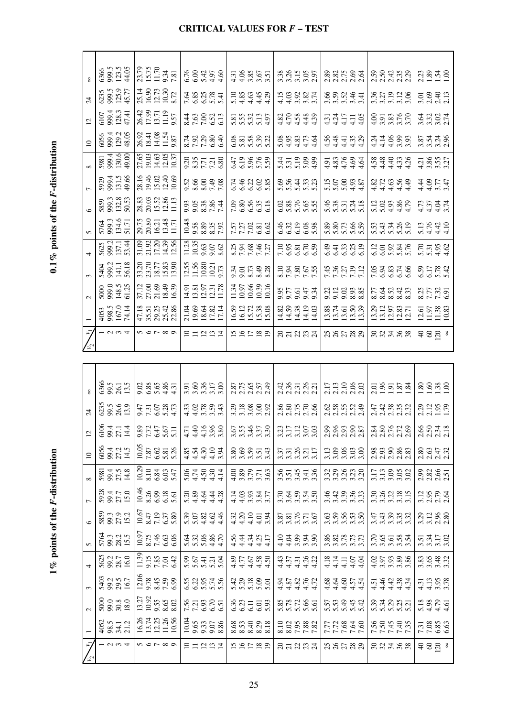|                 | 6366<br>995<br>123.5<br>44.05                                               | 23.79<br>15.75<br>11.70<br>7.81<br>7.81                                     | $6.3458$<br>$6.3458$                                                                                                                                     | $\frac{7}{4}$ $\frac{36}{4}$ $\frac{56}{4}$ $\frac{6}{4}$ $\frac{7}{4}$ $\frac{1}{2}$ $\frac{1}{6}$ | 33555<br>335555                                                             | 225621<br>2255                                           |                                                                                                   | $23.848$<br>$1.3848$                                            |
|-----------------|-----------------------------------------------------------------------------|-----------------------------------------------------------------------------|----------------------------------------------------------------------------------------------------------------------------------------------------------|-----------------------------------------------------------------------------------------------------|-----------------------------------------------------------------------------|----------------------------------------------------------|---------------------------------------------------------------------------------------------------|-----------------------------------------------------------------|
| $\overline{24}$ | 6235<br>999.5<br>125.77<br>45.77                                            | 25.14<br>16.90<br>12.73<br>10.30<br>8.72                                    | 7.63.78<br>6.85<br>7.69.75                                                                                                                               | $188940$<br>$189440$                                                                                | $15887$<br>$15887$                                                          | 5.5747                                                   | 33328<br>33328                                                                                    | 5.69<br>2.43<br>2.13                                            |
| $\overline{5}$  | 6107<br>993.3<br>1741<br>4741                                               | 26.42<br>17.99<br>13.71<br>11.19<br>9.57                                    | 8160013<br>460022                                                                                                                                        | 5553357                                                                                             | $370880$<br>$44444$                                                         | $4417$<br>$4417$<br>$441$                                | $\frac{3}{3}$ $\frac{3}{3}$ $\frac{3}{5}$ $\frac{5}{5}$ $\frac{6}{5}$ $\frac{7}{5}$ $\frac{6}{5}$ | 3335<br>3355                                                    |
| $\overline{10}$ | 6994<br>999.2<br>48.05                                                      | 26.92<br>18.41<br>14.08<br>11.54<br>9.87                                    | $\begin{array}{c} 24.7888 \\ 22.7888 \\ 25.7888 \\ \end{array}$                                                                                          | 833832                                                                                              |                                                                             | 444444                                                   | $34 + 69$<br>$34 + 69$<br>$44 + 69$<br>$56$                                                       | 534<br>354<br>36                                                |
|                 | 5981<br>999.4<br>130.6<br>49.00                                             | 27.65<br>19.03<br>14.63<br>10.37                                            | 335738<br>835738                                                                                                                                         | $6.3888$<br>$6.3888$                                                                                | $\begin{array}{c} 48.788 \\ 48.788 \\ \hline \end{array}$                   | $3.38894$<br>$4.4444$                                    | 444444                                                                                            | 4.21<br>3.85<br>3.37                                            |
|                 | 5929<br>999.4<br>131.5<br>49.66                                             | 28.16<br>19.46<br>15.02<br>10.69                                            | 3.36<br>8.89<br>7.78                                                                                                                                     | 54838<br>64838                                                                                      | <b>864333</b><br>66433                                                      |                                                          | य से देख से<br>अंदर से दे                                                                         | 440.41<br>40.41                                                 |
|                 | 5859<br>999.3<br>132.8                                                      | 28.83<br>20.03<br>15.52<br>11.13<br>11.13                                   | 998884                                                                                                                                                   | 58553<br>58553                                                                                      | 0385655                                                                     | $\begin{array}{c} 48 \\ 53 \\ 73 \\ 74 \\ 8 \end{array}$ | $123388$<br>$53388$                                                                               | 4448<br>4448                                                    |
|                 | 5764<br>999.3<br>134.6<br>51.71                                             | 29.75<br>20.80<br>16.21<br>11.71<br>11.71                                   | 10.48<br>9.58<br>8.35<br>7.92                                                                                                                            | 7.57<br>7.27<br>6.62<br>6.62                                                                        | $6.3288$<br>$6.3288$                                                        | 88<br>886566<br>58656                                    | 53338<br>53385<br>53485                                                                           | $5.13$<br>$5.410$<br>$4.10$                                     |
|                 | 5625<br>999.2<br>137.14                                                     | 31.09<br>21.92<br>17.20<br>14.39<br>12.56                                   | $\begin{array}{c} 11.28 \\ 10.35 \\ 9.63 \\ 9.07 \\ 8.62 \end{array}$                                                                                    | 8238457<br>728457                                                                                   | 7.983<br>6.81<br>6.59                                                       | 44333<br>44335                                           | 6.12<br>6.03<br>5.84<br>5.76                                                                      | $5.358$<br>$5.358$                                              |
|                 | 5404<br>990.2<br>56.13<br>56.18                                             | $\begin{array}{c} 33.20 \\ 23.70 \\ 18.77 \\ 15.83 \\ 13.90 \\ \end{array}$ | $\begin{array}{c} 12.55 \\ 11.56 \\ 10.80 \\ 10.21 \\ 9.73 \end{array}$                                                                                  | $3,5,7,9,8$<br>$9,8,38$<br>$8,8,8$                                                                  | 25<br>2525<br>2525<br>2535                                                  | 7.36<br>7.37<br>7.19<br>7.12                             | 53374<br>53374<br>79377                                                                           | 6.59<br>6.17<br>5.78                                            |
|                 | 5000<br>99.13<br>148.125                                                    | 37.12<br>27.00<br>21.69<br>16.39                                            | $\begin{array}{c} 14.91 \\ 13.81 \\ 12.97 \\ 11.78 \\ 11.78 \end{array}$                                                                                 | $\begin{array}{c} 11.34 \\ 10.97 \\ 10.66 \\ 10.39 \\ 10.16 \end{array}$                            | 955474<br>95666                                                             | 32333<br>9333                                            | 22233<br>23233                                                                                    | 8.27<br>7.32<br>6.91                                            |
|                 | 4053<br>998.5<br>167.14<br>74.14                                            | 47.18<br>35.51<br>29.342<br>22.86                                           | 21.04<br>19.63<br>17.82<br>17.14                                                                                                                         | $\begin{array}{c} 16.59 \\ 16.12 \\ 15.72 \\ 15.38 \\ 15.08 \end{array}$                            | $\begin{array}{c} 14.82 \\ 14.59 \\ 14.38 \\ 14.19 \\ 14.19 \\ \end{array}$ | $\frac{13.88}{13.74}$<br>13.74<br>13.50                  | 13.29<br>13.12<br>12.83<br>12.71                                                                  | $\begin{array}{c} 12.61 \\ 11.97 \\ 11.38 \\ 10.83 \end{array}$ |
| $\bar{z}$       |                                                                             | 5<br>6<br>5<br>6<br>7<br>$\infty$                                           | 21221                                                                                                                                                    | 121220                                                                                              | នគននគ                                                                       | 58588                                                    | 88488                                                                                             | $980$ 8                                                         |
|                 |                                                                             |                                                                             |                                                                                                                                                          |                                                                                                     |                                                                             |                                                          |                                                                                                   |                                                                 |
|                 |                                                                             |                                                                             |                                                                                                                                                          |                                                                                                     |                                                                             |                                                          |                                                                                                   |                                                                 |
|                 |                                                                             |                                                                             |                                                                                                                                                          |                                                                                                     |                                                                             |                                                          |                                                                                                   |                                                                 |
|                 | 6855<br>8855<br>135                                                         | 0.88685.1<br>0.88685.1                                                      | 5,8858<br> 5,8858                                                                                                                                        | s<br>SCSS<br>SCSS                                                                                   | 48535<br>48535                                                              | 2.13<br>2.13<br>2.10<br>2.03                             | $23524$<br>$13524$                                                                                | $80.88$<br>$-3.8$                                               |
| $\mathbb{Z}$    | 625<br>89. S<br>13. 9                                                       | 5750873<br>1750877<br>1750                                                  | 33883<br>44000                                                                                                                                           | 3.28<br>3.38<br>3.392                                                                               | 880526<br>20222                                                             | 038588<br>038588                                         | 44 36 36<br>44 36 36<br>4                                                                         | 2.19<br>2.195<br>2.19                                           |
| $\overline{5}$  |                                                                             |                                                                             |                                                                                                                                                          |                                                                                                     |                                                                             |                                                          |                                                                                                   |                                                                 |
|                 | 63, 4, 7, 7, 4, 6                                                           |                                                                             | $0.7777$<br>$0.7777$<br>$0.7777$<br>$0.7777$<br>$0.7777$<br>$0.7777$<br>$0.7777$<br>$0.7777$<br>$0.7777$<br>$0.7777$<br>$0.7777$<br>$0.7777$<br>$0.7777$ | $rac{55}{334}$                                                                                      | 3.31<br>3.11<br>3.56<br>3.68                                                | 38385<br>238385                                          | 38678<br>28678                                                                                    | 8833<br>2021<br>2022                                            |
| $\supseteq$     | 654<br>8942<br>145<br>593.14.8<br>27.5<br>14.8                              |                                                                             | $1005$<br>$750$<br>$750$<br>$-650$<br>$-650$<br>$-650$<br>$-650$<br>$-650$<br>$-650$<br>$-650$<br>$-650$<br>$-650$<br>$-650$                             |                                                                                                     |                                                                             | $3.3880$<br>$3.3880$                                     | 8 3 8 8 8 3<br>2 3 8 9 3 9<br>17.1388<br>3.3888                                                   | 286552<br>2020                                                  |
|                 |                                                                             |                                                                             |                                                                                                                                                          | 388778                                                                                              | 5.547.5                                                                     | $49.883$<br>$0.0000$                                     |                                                                                                   | 23865<br>23865<br>1562<br>1563                                  |
| $\overline{a}$  | 5925<br>994<br>150<br>5859<br>99.3<br>15.2                                  | 10.46<br>8.26<br>6.38<br>5.61                                               | $23343$<br>$2444$                                                                                                                                        | $18835$<br>$19835$                                                                                  | ក្តីដូច្និង<br>កូចក្តី                                                      |                                                          | 288822                                                                                            | 3.12<br>3.13.80<br>3.13.80                                      |
|                 |                                                                             | $\begin{array}{c} 10.67 \\ 8.47 \\ 7.19 \\ 6.37 \\ 5.80 \end{array}$        | $302804$<br>$52004$                                                                                                                                      |                                                                                                     | 3.87<br>3.81<br>3.55<br>3.67                                                | ន្លង កូន កូន<br>តតតតតត                                   | <del>អ៊ី ជ</del> ុំ ឆ្លឹង<br>តួ ឆ្នាំ ឆ្នាំ ឆ្នាំ                                                 |                                                                 |
|                 | 5764<br>99.3<br>15.5                                                        | $\begin{array}{c} 10.97 \\ 8.75 \\ 7.46 \\ 6.63 \\ \end{array}$             | 53388F<br>53388F                                                                                                                                         | 44444444444                                                                                         | $1040400$<br>$1040400$                                                      | 3.82<br>3.875<br>3.773                                   | 222234                                                                                            | $3.34$<br>$3.35$<br>$3.58$                                      |
|                 | 5625<br>99.2<br>16.0                                                        | $\begin{array}{c} 11.39 \\ 9.15 \\ 7.85 \\ 7.01 \\ 6.42 \end{array}$        | 5.5773                                                                                                                                                   | $37580$<br>$44444$                                                                                  | र्युलय<br>संलेख देश<br>संलेख                                                | 44444                                                    | $\frac{255388}{353386}$                                                                           | 386332                                                          |
|                 | 5403<br>99.2<br>16.7                                                        | $\begin{array}{c} 12.06 \\ 9.78 \\ 8.45 \\ 7.59 \\ 6.99 \end{array}$        | 533575<br>63575                                                                                                                                          | 3,38,80                                                                                             | 444444<br>44444                                                             | 44444<br>इद्धानम                                         | 4444444                                                                                           | $4.31$<br>$4.13$<br>$3.78$<br>$3.78$                            |
|                 | $\begin{array}{c} 5000 \\ 30.8 \\ 18.0 \end{array}$                         | $\begin{array}{c} 13.27 \\ 10.92 \\ 9.55 \\ 8.65 \\ 8.02 \end{array}$       | $7.338$<br>$7.338$<br>$6.51$                                                                                                                             | 333553                                                                                              | 5.2256                                                                      | 553442                                                   | 333855<br>235855                                                                                  | 5.18<br>4.98<br>4.4.51                                          |
| $\bar{7}$       | $4052$<br>$98.5$<br>$71.2$<br>$\frac{1}{2}$ $\alpha$ $\alpha$ $\frac{4}{2}$ | 16.26<br>13.74<br>11.26<br>10.56<br>$n \circ r \circ \circ$                 | $\begin{array}{c c}\n 10.04 \\  9.65 \\  9.33 \\  9.07 \\  8.86\n \end{array}$<br>21221                                                                  | 8532318<br>191299                                                                                   | 8.10<br>8.02<br>7.88<br>7.82<br>នគននគ                                       | 7.78800<br>88588                                         | 22442.<br>225772<br>$-8.8788$                                                                     | 7.31<br>7.08<br>6.63<br>4898                                    |

 $0.1\,\%$  points of the  $F$  -distribution **1% points of the** *F***-distribution 0.1% points of the** *F***-distribution**

1% points of the  $F$ -distribution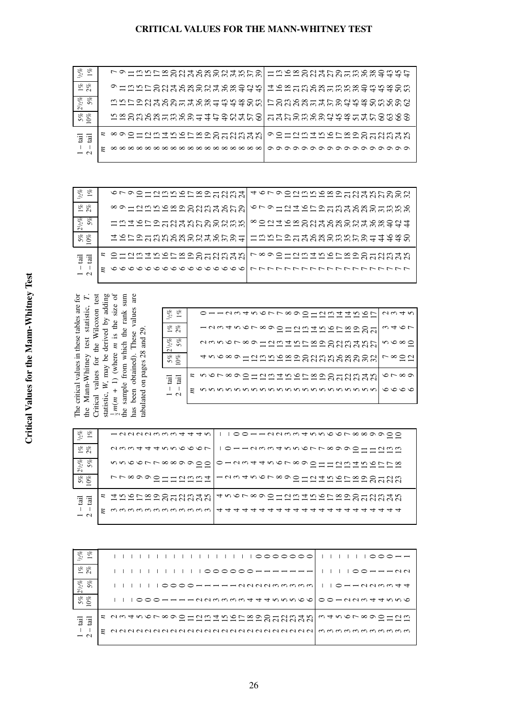|                                                                                                                                                                                                                                                                                                                                                 | $1\%$                                                      |
|-------------------------------------------------------------------------------------------------------------------------------------------------------------------------------------------------------------------------------------------------------------------------------------------------------------------------------------------------|------------------------------------------------------------|
|                                                                                                                                                                                                                                                                                                                                                 |                                                            |
|                                                                                                                                                                                                                                                                                                                                                 | 5% 21/2% 1% 1/2%<br>10% 5% 2%                              |
|                                                                                                                                                                                                                                                                                                                                                 |                                                            |
|                                                                                                                                                                                                                                                                                                                                                 | $\overline{a}$                                             |
| Critical values for the Wilcoxon test<br>$\frac{1}{2}m(m + 1)$ (where <i>m</i> is the size of<br>has been obtained). These values are<br>statistic, $W$ , may be derived by adding<br>The critical values in these tables are for<br>the Mann-Whitney test statistic, T.<br>the sample from which the rank sum<br>tabulated on pages 28 and 29. | $2 - \text{tail}$<br>$1 - \text{tail}$<br>$\overline{\mu}$ |
|                                                                                                                                                                                                                                                                                                                                                 |                                                            |

vrophnnnnnnnnn

\*9125422922333252

HARRANANANANA

ISDARKRRRRRRRRF

SHQQHASLEARRRRR

*m n*

1 – tail 2 – tail

5% 10%  $2^{1}/2\%$ 5% 1% 2%  $^{1/2\%}_{1\%}$ 

 10 14 11 8 6 11 16 13 9 7 12 17 14 11 9 13 19 16 12 10 14 21 17 13 11 23 19 15 12 16 21 16 13 17 26 22 18 18 28 24 19 16 19 30 20 17 20 32 27 22 18 21 34 29 23 19 22 36 30 24 21 23 37 32 26 22 24 39 33 27 23 41 35 29 24 7 11 8 4 8 13 10 7 9 12 9 7 17 14 11 9 11 19 12 10 21 18 14 12 13 24 20 13 14 26 22 17 28 24 19 16 30 26 21 18 33 28 23 19 18 30 24 21 19 37 32 22 39 34 28 24 21 41 36 30 44 38 31 27 23 40 33 29 24 48 42 30 50 44 36 32

| 72 R<br>$ \sim$<br>-------------                                     | $\omega + \infty$              |
|----------------------------------------------------------------------|--------------------------------|
| $2^{1}/2\%$<br>oz<br>dangroomdat nrooodat nr<br>n<br>--------------- | $n \circ \infty$               |
| SS.<br>o<br>40000-NM00000NM00000N<br>------------------<br>$\Omega$  | $R^{\infty}$                   |
| s norxoochund norxoochund n<br>'ਰੂ 'ਰੂ                               | $\circ$ $\sim$ $\circ$ $\circ$ |
| $\boldsymbol{z}$<br>$\overline{\phantom{0}}$                         | $\circ \circ \circ \circ$      |

«SZIPSARRRRRRRRRRPH

HAALAARRARARAT4930

r ∞ • 2 = 2 m = n 2 m = 2 m = 2 m = 2 m = 2 m

| o                        |                                                                                  |
|--------------------------|----------------------------------------------------------------------------------|
| $\omega_{c}$             | <u>-aaddacad 44 a</u><br>$1100$ $-100$ $-100$ $-100$ $-100$ $-100$ $-100$ $-100$ |
| S &                      | $10 - 100004000$                                                                 |
| $\overline{\phantom{0}}$ | awwaaannooor                                                                     |
| o                        | nnoorrxxxaadoolo-dattnorxxaad-omdahorrx                                          |
| $2^{1}/2\%$<br>$\Omega$  |                                                                                  |
|                          | $-$<br>rr∞ggo--dww4                                                              |
| Se 20<br>$\circ$         | ニーーーーーーーへへへく                                                                     |
|                          |                                                                                  |
|                          | 4000x800-datoorx000-dato<br>E INALARRANAN<br>ニーニーニーーーーついいいい                      |
| 'ਰੂ 'ਰੂ                  |                                                                                  |
|                          |                                                                                  |
| $\overline{\phantom{0}}$ |                                                                                  |
|                          |                                                                                  |

| $1\%$<br>$\eta_{0}$  |                                                | $000 - 1$   |
|----------------------|------------------------------------------------|-------------|
| $\frac{1}{2}$ %      |                                                |             |
| $2^{1/2}\%$<br>$5\%$ |                                                | o--annwat   |
| $5\%$<br>0%          |                                                |             |
| 'ਰੂ 'ਰੂ              | 2 NA4NOL∞GO−NA4NOL∞GO−NA4N<br>2-222-22-2200000 | mtnor∞oo-nm |
| $\overline{z}$       |                                                |             |
|                      |                                                |             |

**CRITICAL VALUES FOR THE MANN-WHITNEY TEST**

| $\frac{1}{2}$ $\frac{1}{6}$<br>S &       | LOHWAL 8004 C 8004 4 4 LOI<br>0-00LOU4000U4000UM |  |  |  |  |  |  |  |  |                 |  |  |  |  |  |  | <u>4000 - 000 - 000 - 000 000 000 </u>                                           |  |
|------------------------------------------|--------------------------------------------------|--|--|--|--|--|--|--|--|-----------------|--|--|--|--|--|--|----------------------------------------------------------------------------------|--|
| $ \sim$<br>212%<br>5%<br>5%              | mnrodtvo-tvx-mnxomlromvx-trodnxomvod             |  |  |  |  |  |  |  |  |                 |  |  |  |  |  |  | ---NNNNMMMH444WW                                                                 |  |
| $5%$<br>0%                               | nggagagwayad dang uniong dagagag dan 2000        |  |  |  |  |  |  |  |  |                 |  |  |  |  |  |  |                                                                                  |  |
| :ਭੂ 'ਭੂ                                  | s ∞のO-NM4NOL∞のO-NM4N                             |  |  |  |  |  |  |  |  | ニーニニニニニーー ついいいい |  |  |  |  |  |  | oo-datrorxoo-datr<br>$-$ - - - - - - - - - - $\alpha$ $\alpha$ $\alpha$ $\alpha$ |  |
| $\mathbf{I}$<br>$\overline{\phantom{1}}$ |                                                  |  |  |  |  |  |  |  |  |                 |  |  |  |  |  |  | _____________________                                                            |  |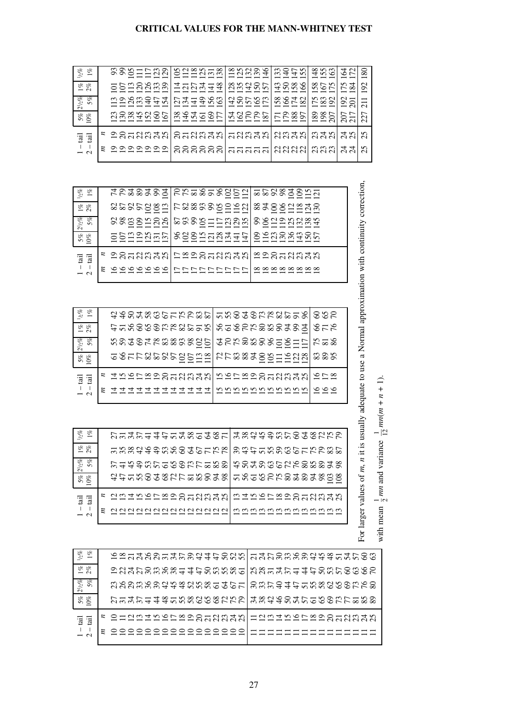### **CRITICAL VALUES FOR THE MANN-WHITNEY TEST**

| $h_2\%$<br>S,<br>$\overline{\phantom{0}}$ | montrwol<br>$000 - 001$<br>------                                                                         | $n \approx n - \infty$<br>$0 - -$ Nmm<br>------ | $\infty$ ndo<br>$ \sim$ $\sim$ $+$<br>-----                                                                                                                                                                                                                                                                                                                                                                                                                                                       | mornichi<br>$\omega$ 44 $\omega$  4 $\omega$ 6<br>$- - - -$ | $- - -$             | 4 U<br>○<br>$\sim$ $\sim$<br>$\infty$<br>$ -$<br>$\overline{\phantom{0}}$                                            |
|-------------------------------------------|-----------------------------------------------------------------------------------------------------------|-------------------------------------------------|---------------------------------------------------------------------------------------------------------------------------------------------------------------------------------------------------------------------------------------------------------------------------------------------------------------------------------------------------------------------------------------------------------------------------------------------------------------------------------------------------|-------------------------------------------------------------|---------------------|----------------------------------------------------------------------------------------------------------------------|
| S &<br>$\sim$ $\sim$                      | $00 - N N$<br>-------                                                                                     | $-00044$<br>_ _ _ _ _ _                         | 80000<br>awan<br>-----                                                                                                                                                                                                                                                                                                                                                                                                                                                                            | moxumn<br>4559<br>- - - -                                   | 992<br>$- - -$      | $\sim$<br>$\sim 4$<br>$\sim \infty$<br>⌒<br>$\overline{\phantom{0}}$                                                 |
| $2^{1}/2\%$<br>S.<br>Ŵ.                   | MQQQQQL41<br>$  \sim$ $\sim$ $+$ $+$ $\sim$<br>-------                                                    | $P4-000$<br>994400<br>------                    | aorna<br>45561<br>$\overline{\phantom{a}}$ $\overline{\phantom{a}}$ $\overline{\phantom{a}}$ $\overline{\phantom{a}}$ $\overline{\phantom{a}}$ $\overline{\phantom{a}}$ $\overline{\phantom{a}}$ $\overline{\phantom{a}}$ $\overline{\phantom{a}}$ $\overline{\phantom{a}}$ $\overline{\phantom{a}}$ $\overline{\phantom{a}}$ $\overline{\phantom{a}}$ $\overline{\phantom{a}}$ $\overline{\phantom{a}}$ $\overline{\phantom{a}}$ $\overline{\phantom{a}}$ $\overline{\phantom{a}}$ $\overline{\$ | $8040$ $1000$<br>5000<br>--------                           | $\sim \infty$       | $\sim$ $-1$<br>$\overline{\phantom{0}}$<br>$\circ$<br>$\overline{\phantom{0}}$<br>$\sim$<br>$\overline{\sim}$ $\sim$ |
| S &<br>$\Omega$                           | woxwaorlxvt-arl<br>0.00400<br>_______                                                                     | 949901<br>------                                | 4 U O O L I<br>いんへん<br>-----                                                                                                                                                                                                                                                                                                                                                                                                                                                                      | $-98F$<br>$P$ $\sim$ $\infty$<br>--------                   | $\circ$<br>$\infty$ | $\overline{r}$<br>$\overline{ }$<br>$\circ$ $\overline{\phantom{0}}$<br>$\sim$<br>NNI<br>$\sim$                      |
| <b>Fail</b><br>ā                          | s oo-dwan o-dwan -dwan dwan wan                                                                           |                                                 |                                                                                                                                                                                                                                                                                                                                                                                                                                                                                                   |                                                             |                     | 4N<br>n<br>N<br>$\sim$                                                                                               |
| $\overline{\phantom{0}}$                  | $\boldsymbol{\varepsilon}$<br>$\circ$ $\circ$ $\circ$ $\circ$ $\circ$ $\circ$ $\circ$ $\circ$<br>-------- | 000000  - - - - - -<br>aaaaaal                  | aaaaal                                                                                                                                                                                                                                                                                                                                                                                                                                                                                            | aaaalmmm<br>aaaal                                           | NNNI                | 4 4<br>n<br>$\sim$<br>U U                                                                                            |
|                                           |                                                                                                           |                                                 |                                                                                                                                                                                                                                                                                                                                                                                                                                                                                                   |                                                             |                     |                                                                                                                      |

| $^{1/2}_{1/2}$ of $1\,$           | 4949494 OW-9-90NNI-N8849W-<br>FF 8800000-1<br>rr∞∞aaó<br> ∞∞のの○○──<br>$- - - -$<br>- - -                                                            |
|-----------------------------------|-----------------------------------------------------------------------------------------------------------------------------------------------------|
| S &<br>$\overline{z}$             | araraxmiraxmonovalxtovaxto<br>$\infty$ 000 $  \sim$<br>------<br>$\overline{\phantom{a}}$ $\overline{\phantom{a}}$ $\overline{\phantom{a}}$<br>---- |
| $2\frac{1}{2}\frac{9}{2}\%$<br>5% | d∞manovlrman-rmanlavdand∞n<br>aaoo-nn<br>------- -------<br>-----                                                                                   |
| 8 E<br>ທ ⊂                        | - Lagau - Lagau - 84 - Lagau 06 50 L<br>00---0001000-0004410-000400<br>--------- -----------------                                                  |
| '글 '글                             | g の 0 -- N m 4 v   L x 9 0 -- N m 4 v   x 9 0 -- N m 4 v                                                                                            |
| $\overline{\phantom{0}}$          | $\boldsymbol{\varepsilon}$<br>_________________<br>_________                                                                                        |
|                                   |                                                                                                                                                     |

| $v_2$<br>S,<br>$\overline{\phantom{0}}$ | acodxwr-nowrl-nodowxar-c<br>4400000111000                                                                                                           | nnooorrxaann                                                                                           | ono<br>$\sim$ $\sim$                   |
|-----------------------------------------|-----------------------------------------------------------------------------------------------------------------------------------------------------|--------------------------------------------------------------------------------------------------------|----------------------------------------|
| 8 E<br>$ \sim$                          | L-00000000L-000-000000004<br>400000NN0000                                                                                                           | noorrooonno                                                                                            | $\circ$ $\rightarrow$ $\circ$<br>ロレレ   |
| S,<br>S,<br>$2^{1/2}$<br>n              | notot∞n∞n∞nr<br>nnó o Frææaaoo                                                                                                                      | 4000000000<br>0000000000                                                                               | $\sim -\infty$<br>$\sim \infty \infty$ |
| & &<br>ທ ⊂                              | $-0$ $  \sim$ $\sim$ $\sim$ $\sim$ $\sim$ $\sim$ $\sim$<br>$\circ\circ\circ\circ\circ\circ\circ\circ\circ\circ\circ\circ\circ\circ\circ$<br>- - - - | $N \wedge M$ $\otimes$ $\uparrow$ $\circ$ $\circ$ $\circ$ $\rightarrow$ $\circ$ $\circ$<br>rr∞∞ãoo–ãna | ოთო<br>$\infty \infty$                 |
| $\overline{a}$                          | 400rx900-0040<br>$\boldsymbol{z}$                                                                                                                   | norxoo-nntn                                                                                            | $\infty$ $\sim$ $\infty$<br>$- - -$    |
| $\overline{\phantom{0}}$                | n<br>44444444444                                                                                                                                    | nnnnnnnnnnn                                                                                            | 000                                    |

| $^{1/2}_{2/2}$ of $1\%$               | トー4トー4トー4∞ー4∞ー 4∞いいのmト○4∞いいの<br>0.00004440000000             | mutttunoonrrr                      |
|---------------------------------------|--------------------------------------------------------------|------------------------------------|
| 8 E<br>$\overline{z}$                 | mmm <del>ddd</del> nnocochhhlmddonnochhhox                   |                                    |
| $\mathscr{E}$<br>o<br>$\frac{5}{2}$ 5 | トーいのミトーいのミトーいの                                               | notawranonatx<br>せんかんゆうてんめあめの      |
| S &<br>$\overline{D}$                 | ar-wotxar-wotxl-v-wowotatxwx<br>ttnnööörrxxoonnnoorrxxxoonoo |                                    |
| $\overline{a}$                        | E UW4NOL∞OO—UW4NI<br>eeeeeeaaaaaa                            | wangroop-uwan<br>$- - - - - - - -$ |
| $\overline{\phantom{0}}$              | aaaaaaaaaaaaaa                                               | mmmmmmmmmmmm                       |

| <br>ca q                           |                              |
|------------------------------------|------------------------------|
| $\sim$ $\sim$ $\sim$ $\sim$ $\sim$ | $mn   m + n +  $<br>1        |
| Ī<br>rd.                           | へんかい<br>$-$ nm $-$<br>j<br>J |
| i<br>I<br>I                        | n mean<br>.                  |

| & &<br>$\sim$ $-$                     | 0x-400-41004100M -41000000x0x-410                                                                                         |  |  |  |  |  |  |  |  |  |                                    |                                                                |
|---------------------------------------|---------------------------------------------------------------------------------------------------------------------------|--|--|--|--|--|--|--|--|--|------------------------------------|----------------------------------------------------------------|
| S &<br>$\overline{\phantom{0}}$       | oudrowow-drownw-lnw-dr-drowroweo<br>= ผลผลตดดต่ <del>ง 4 นั้น</del> ดีต์ตัดต่อย ผลตดต่อ <del>4 นั้น</del> ดีต์ตัด 6 6 6 F |  |  |  |  |  |  |  |  |  |                                    |                                                                |
| $\frac{1}{2}$ $\frac{8}{2}$<br>$\sim$ | moomoonnxonnxo-th-<br><u>NNNMMM<del>TTT</del>WWWOOO</u>                                                                   |  |  |  |  |  |  |  |  |  |                                    | omrodr-nxannamvo<br>mmm <del>ddy</del> nnoocorro               |
| S. S.<br>$\Omega$                     | $P = 4P = 4 \times 10 \times 10 \times 100$                                                                               |  |  |  |  |  |  |  |  |  |                                    | 4 8 8 9 9 9 4 6 4 6 7 6 7 6 7 6 7 6<br>$m + 40000000000000000$ |
| $\overline{a}$ $\overline{a}$         | E OHNM T N O N 80 O H N M T N<br>$-$ - - - - - - - - - - $\sim$ $\sim$ $\sim$ $\sim$ $\sim$                               |  |  |  |  |  |  |  |  |  |                                    |                                                                |
| $\overline{\phantom{0}}$              | -----------------                                                                                                         |  |  |  |  |  |  |  |  |  | --------------<br>________________ |                                                                |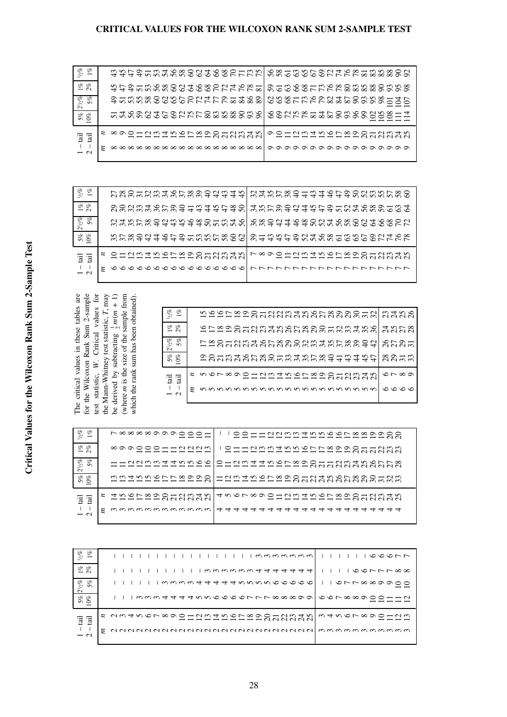### **CRITICAL VALUES FOR THE WILCOXON RANK SUM 2-SAMPLE TEST**

| $1/2\%$<br>g,<br>$\overline{\phantom{0}}$ | 4444553888848885555                             | 00000000FFFF8888800                                                              |
|-------------------------------------------|-------------------------------------------------|----------------------------------------------------------------------------------|
| S &<br>$ \sim$                            | nro-moxoa4oxoa4ox-<br><b>すすすいいいいてんしゅうしんトトトト</b> | ___________________<br>000000FFFF888880000                                       |
| ge<br>$2^{1}/2\%$<br>$\Omega$             | o-mnxocuntoa4to-460<br>きゅぁぁっっちょうしゅしゅうぶんんかん      | ©©©PLLLX00000000000<br>$ -$                                                      |
| oz<br>S,<br>$\sim$                        | -40004500050000000<br>000000000FFF88888000      | counx-4romcounx-4<br>00NNN888000000000                                           |
| $\overline{a}$ $\overline{a}$             | ニーニニュニニーニーひつつつつつ                                | oo-aatrorxoo-aatr<br>$-$ - - - - - - - - - - $\alpha$ $\alpha$ $\alpha$ $\alpha$ |
| $\overline{\phantom{0}}$                  |                                                 | _____________________                                                            |

| $\sqrt{6}$<br>E<br>$\overline{\phantom{0}}$ | <u>r∞o-dw4 or∞oodw4 wl</u><br>aannonnonnonno <del>titt</del> | a4nrxo-m40roonmnrxo<br><u>MMMMM++++++++++MMMMMMM</u>                                                                                                              |
|---------------------------------------------|--------------------------------------------------------------|-------------------------------------------------------------------------------------------------------------------------------------------------------------------|
| & &<br>$ \sim$                              |                                                              | $3883335853344444881335344444235334444355835335$                                                                                                                  |
| B.<br>o<br>$2^{1/2}$<br>$\Omega$            |                                                              | 555858984998855858889894488685888888888                                                                                                                           |
| Se 26<br>$\sim$                             |                                                              | nrxontoro-mnrxonjo-mnrontox-mnrontox<br>mm <del>mdddddd yr yn yn y cyfrifiad a gan yn y cyfrifiad a gan y cyfrifiad a gan y cyfrifiad a gan y cyfrifiad a g</del> |
| $\overline{a}$                              | 2 O HAM THO COOO HAM TH<br>ニーニーニーニーニーひつうひつつ                  | sochuntuorsochuntu<br>$\overline{\phantom{0}}$<br>$-$ - - - - - - - - - - $\alpha$ $\alpha$ $\alpha$ $\alpha$                                                     |
| $\overline{\phantom{0}}$                    |                                                              |                                                                                                                                                                   |
|                                             |                                                              |                                                                                                                                                                   |

| obtained       | $\delta \tilde{\epsilon}$<br>oz | noorxaaraamtnorxaaaral                                                                   | 9456<br><b>ANNA</b>                       |
|----------------|---------------------------------|------------------------------------------------------------------------------------------|-------------------------------------------|
| been           | S.<br>S,<br>$\overline{z}$      | cr∞oo-dw4ncr∞oo-dw4ncl4nr∞                                                               | <b>ANNA</b>                               |
|                | ge<br>$2^{1}/2\%$<br>Ň.         | rxo-datorxoodatarxood<br>--NNNNNNNNMMMMMMMM <del>H+</del>                                | $O \cap R$<br>aaan                        |
| sum has        | S.<br>o<br>$\circ$<br>$\sim$    | oo-w40rxo-w4wrxo-w4wr<br><u> — NNNNNNMMMMMMMM <del>d d d d d d</del></u>                 | $\infty$ $\infty$ $\sim$ $\infty$<br>anno |
|                | $\overline{a}$                  | 2 NOLXOOO—NM4NOLXOOO—NM4NI<br>$-$ - - - - - - - - - - $\sim$ $\sim$ $\sim$ $\sim$ $\sim$ | $\circ$ $\sim$ $\circ$ $\circ$            |
| which the rank | $\overline{\phantom{0}}$        |                                                                                          | a a a a                                   |
|                |                                 |                                                                                          |                                           |

| $\varphi_{\mathcal{O}}$<br>E<br>$\overline{\phantom{0}}$ | r ∞ ∞ ∞ ∞ ೂ ⊙ ○ ○ ─<br>----------------------<br>----                                      |
|----------------------------------------------------------|--------------------------------------------------------------------------------------------|
| 8 S<br>$ \sim$                                           | ∞∞∞∞∞∞−−∾∾<br>ופחת ממשפח המציאות ה<br>---------                                            |
| $2^{1}/2\%$<br>g,<br>$\overline{v}$                      | --000011000<br>------------                                                                |
| S &<br>$\Omega$                                          | mmtnnorrxoooo<br>------------                                                              |
| $\overline{a}$                                           | 4000x800x00400rx000x0040<br>≈ 4 0 0 0 0 0 0 0 0 0 0 4 0<br>ニーニーニーのいいいいい<br>ニーニーニーニーーついいいいい |
| $\overline{\phantom{0}}$                                 | mmmmmmmmmmm                                                                                |

| $\frac{1}{2}\%$               |                                                      | 00000       |
|-------------------------------|------------------------------------------------------|-------------|
| $\frac{1}{2}$ %               |                                                      | 10077788    |
| $\frac{2^{1}/2\%}{5\%}$       |                                                      |             |
| $5\%$ 0%                      |                                                      |             |
| $\overline{a}$ $\overline{a}$ | n aw 4 w 6 L w 9 5 H 5 4 5 7 5 5 5 6 5 6 7 6 7 6 7 6 | mtnor∞oo-nm |
| $\overline{a}$                |                                                      |             |

The critical values in these tables are for the Wilcoxon Rank Sum 2-sample

The critical values in these tables are

test statistic,

the Mann-Whitney test statistic,

be derived by subtracting

(where *m*

m is the size of the sample from

*T*, may *m*(*m* + 1)

 $\frac{1}{2}$ 

*W*. Critical values for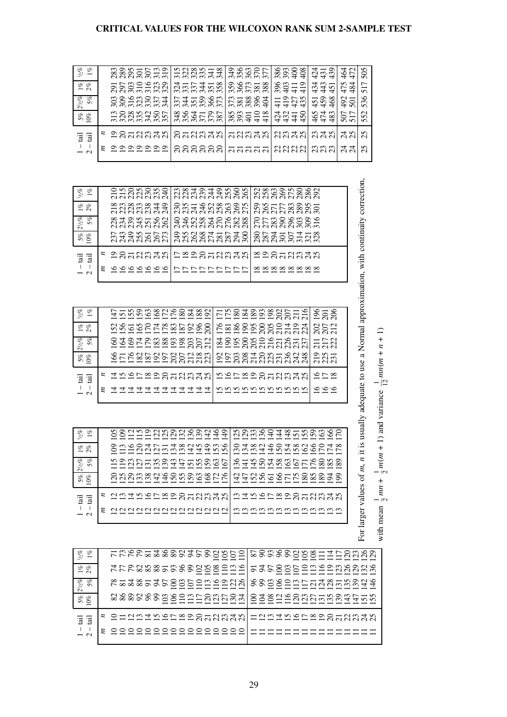### **CRITICAL VALUES FOR THE WILCOXON RANK SUM 2-SAMPLE TEST**

| 'ਰੂ 'ਰੂ<br>$\mathbf{I}$<br>- I<br>$\frac{1}{2}$ | $h_2\%$<br>$1\%$ 2%<br>$2^{1}/2\%$<br>5%<br>$\frac{5\%}{10\%}$                   | $1\%$                   | $\overline{a}$<br>$\mathbf{I}$<br>$\Box$<br>$\frac{1}{2}$                                                                                                                                                                           | $\eta_{0}$<br>$1\%$<br>$\frac{1}{2}$ %<br>$\frac{2^{1}h\%}{5\%}$<br>$5\%$ 10% |                 | iail<br>iail<br>$\overline{\phantom{a}}$<br>$\mathbf{I}$<br>$\frac{1}{2}$ | $\frac{2}{2}$<br>$\frac{2}{2}$ | 1/2%<br>$1\%$<br>$1\%$ 2%<br>$2^{1}/2\%$<br>$5\%$   | iail<br>iail<br>$\mathbf I$<br>$\overline{\phantom{a}}$<br>$\frac{1}{2}$ | $5\%$ 10%            | $\frac{1}{2}$<br>$1\%$<br>$1\%$ 2%<br>$2^{1/2}\%$<br>5%                                                            | iail<br>iail<br>$\begin{array}{c} \hline \end{array}$<br>$\mathbf{I}$<br>$\frac{1}{2}$ $\alpha$ | $5\%$ 10%         | $1\%$ 2%<br>$2^{1}/2\%$<br>$5\%$ | $\omega_{\sigma}$<br>$1\%$ |
|-------------------------------------------------|----------------------------------------------------------------------------------|-------------------------|-------------------------------------------------------------------------------------------------------------------------------------------------------------------------------------------------------------------------------------|-------------------------------------------------------------------------------|-----------------|---------------------------------------------------------------------------|--------------------------------|-----------------------------------------------------|--------------------------------------------------------------------------|----------------------|--------------------------------------------------------------------------------------------------------------------|-------------------------------------------------------------------------------------------------|-------------------|----------------------------------|----------------------------|
|                                                 |                                                                                  |                         |                                                                                                                                                                                                                                     |                                                                               |                 | $\boldsymbol{z}$<br>E,                                                    |                                |                                                     | $\boldsymbol{z}$<br>Ξ                                                    |                      |                                                                                                                    | $\boldsymbol{z}$<br>z                                                                           |                   |                                  |                            |
| <u>g Suguang Sagagga</u>                        |                                                                                  |                         | $\left  \begin{smallmatrix} \Delta & \Delta & \Delta & \Delta & \Delta \\ \Delta & \Delta & \Delta & \Delta & \Delta & \Delta \\ \Delta & \Delta & \Delta & \Delta & \Delta & \Delta \end{smallmatrix} \right $<br>≅ 일일일일일일일일일일일일일일 |                                                                               |                 |                                                                           |                                |                                                     | <b>១</b> ឧដងឧងង<br>9999999                                               | naanggan<br>Saanggan | saasasada<br>2000 201<br>23335582                                                                                  | <b>2858838</b><br>222222                                                                        | 338838655         | ន្ត្រីន្តដឹងនឹង<br>88888854      | 88855538                   |
|                                                 |                                                                                  |                         |                                                                                                                                                                                                                                     |                                                                               |                 |                                                                           |                                |                                                     |                                                                          |                      |                                                                                                                    |                                                                                                 |                   |                                  |                            |
|                                                 |                                                                                  |                         |                                                                                                                                                                                                                                     |                                                                               |                 |                                                                           |                                |                                                     |                                                                          |                      |                                                                                                                    |                                                                                                 |                   |                                  |                            |
|                                                 |                                                                                  |                         |                                                                                                                                                                                                                                     |                                                                               |                 |                                                                           |                                |                                                     |                                                                          |                      |                                                                                                                    |                                                                                                 |                   |                                  |                            |
|                                                 |                                                                                  |                         |                                                                                                                                                                                                                                     |                                                                               |                 |                                                                           |                                |                                                     |                                                                          |                      |                                                                                                                    |                                                                                                 |                   |                                  |                            |
|                                                 |                                                                                  |                         |                                                                                                                                                                                                                                     |                                                                               |                 |                                                                           |                                |                                                     |                                                                          |                      |                                                                                                                    |                                                                                                 |                   |                                  |                            |
|                                                 |                                                                                  |                         |                                                                                                                                                                                                                                     |                                                                               |                 |                                                                           |                                |                                                     |                                                                          |                      |                                                                                                                    |                                                                                                 |                   |                                  |                            |
|                                                 | FFF&& \$ \$ 5 \$ \$ \$ 9 9 9 9 9 9 1 1 9<br>sssssssggennannam                    | FFFFB&\$\$\$\$\$\$89501 |                                                                                                                                                                                                                                     | 9888886888888888888888888<br><u>HAQQAASAAAAQQQQ A4AQAQQGFK8888</u>            |                 | <b>HAALAARRARA</b>                                                        | 9022235222333                  | 555699258380<br>555627285988<br>Szoznaganaga        |                                                                          |                      |                                                                                                                    |                                                                                                 |                   |                                  | 315                        |
|                                                 |                                                                                  |                         |                                                                                                                                                                                                                                     |                                                                               |                 |                                                                           |                                |                                                     |                                                                          |                      |                                                                                                                    |                                                                                                 |                   |                                  |                            |
|                                                 |                                                                                  |                         |                                                                                                                                                                                                                                     |                                                                               |                 |                                                                           |                                |                                                     |                                                                          |                      |                                                                                                                    |                                                                                                 |                   |                                  |                            |
|                                                 |                                                                                  |                         |                                                                                                                                                                                                                                     |                                                                               |                 |                                                                           |                                |                                                     | <b>haagaadaa</b><br>ロロロロロロロロロ                                            | 3588758888           | na 191919686<br>ទី២ មិនមាន<br>ក្នុង អ្នក មិនមាន<br>0 9 0 % 4 0 0 0 0 %<br>4 4 0 0 0 0 0 0 %<br>0 0 0 0 0 0 0 0 0 % | ន៑ដននិង<br>ສສສສສ                                                                                | 32255287          | 352458<br>3452865<br>245886      | $2889 - 8$<br>$2899 - 8$   |
|                                                 |                                                                                  |                         |                                                                                                                                                                                                                                     |                                                                               |                 |                                                                           |                                |                                                     |                                                                          |                      |                                                                                                                    |                                                                                                 |                   |                                  |                            |
|                                                 |                                                                                  |                         |                                                                                                                                                                                                                                     |                                                                               |                 |                                                                           |                                |                                                     |                                                                          |                      |                                                                                                                    |                                                                                                 |                   |                                  |                            |
|                                                 |                                                                                  |                         |                                                                                                                                                                                                                                     |                                                                               |                 |                                                                           |                                |                                                     |                                                                          |                      |                                                                                                                    |                                                                                                 |                   |                                  |                            |
|                                                 |                                                                                  |                         |                                                                                                                                                                                                                                     |                                                                               |                 |                                                                           |                                |                                                     |                                                                          |                      |                                                                                                                    |                                                                                                 |                   |                                  |                            |
|                                                 |                                                                                  |                         |                                                                                                                                                                                                                                     |                                                                               |                 | <b>h 2522853333</b><br>nnnnnnnnnnnn                                       | shaganangan                    | EESESSSSS555<br>rassessaaraa<br><b>ESSESSE ERES</b> |                                                                          |                      |                                                                                                                    | តតតតត                                                                                           | 889447            | 3867388<br>228824                | 32225<br>32255             |
|                                                 |                                                                                  |                         |                                                                                                                                                                                                                                     |                                                                               |                 |                                                                           |                                |                                                     |                                                                          |                      |                                                                                                                    |                                                                                                 |                   |                                  |                            |
|                                                 |                                                                                  |                         |                                                                                                                                                                                                                                     |                                                                               |                 |                                                                           |                                |                                                     |                                                                          |                      |                                                                                                                    |                                                                                                 |                   |                                  |                            |
|                                                 |                                                                                  |                         |                                                                                                                                                                                                                                     |                                                                               |                 |                                                                           |                                |                                                     |                                                                          |                      |                                                                                                                    |                                                                                                 |                   |                                  |                            |
|                                                 |                                                                                  |                         |                                                                                                                                                                                                                                     |                                                                               |                 |                                                                           |                                |                                                     | ≌⊇ສ¤ສສ¤ສ<br><u>∞∞∞∞∞∞∞∞</u>                                              | 2222224128           | nguraanga<br>2528883825                                                                                            | <u>ដូង។</u>                                                                                     | $\frac{434}{441}$ | $893 + 11$<br>11975<br>11975     | ****                       |
|                                                 |                                                                                  |                         |                                                                                                                                                                                                                                     |                                                                               |                 |                                                                           |                                |                                                     |                                                                          |                      |                                                                                                                    |                                                                                                 |                   |                                  |                            |
|                                                 |                                                                                  |                         |                                                                                                                                                                                                                                     |                                                                               |                 |                                                                           |                                |                                                     |                                                                          |                      |                                                                                                                    |                                                                                                 |                   |                                  |                            |
|                                                 |                                                                                  |                         |                                                                                                                                                                                                                                     |                                                                               |                 |                                                                           |                                |                                                     |                                                                          |                      |                                                                                                                    |                                                                                                 | 450               | 419                              |                            |
|                                                 |                                                                                  |                         |                                                                                                                                                                                                                                     |                                                                               |                 |                                                                           |                                |                                                     |                                                                          |                      |                                                                                                                    | ದಿನದ<br>ສສສ                                                                                     |                   | 434<br>459                       |                            |
|                                                 |                                                                                  |                         |                                                                                                                                                                                                                                     |                                                                               |                 |                                                                           |                                |                                                     |                                                                          |                      |                                                                                                                    |                                                                                                 | 4423<br>442       | 443                              | 작금유<br>4금유                 |
|                                                 |                                                                                  |                         | nanghagaanaan<br><u>mmmmmmmmmmm</u>                                                                                                                                                                                                 | 335534355895<br>3522955588999                                                 |                 | 258<br><u>७ ० ७</u>                                                       | <u>្តិ</u><br>ភូមិ             | 528<br><u>252</u><br>217<br>222                     |                                                                          |                      |                                                                                                                    |                                                                                                 |                   | 451<br>468                       |                            |
|                                                 |                                                                                  |                         |                                                                                                                                                                                                                                     |                                                                               |                 |                                                                           |                                |                                                     |                                                                          |                      |                                                                                                                    |                                                                                                 |                   | 475                              |                            |
|                                                 |                                                                                  |                         |                                                                                                                                                                                                                                     |                                                                               |                 |                                                                           |                                |                                                     |                                                                          |                      |                                                                                                                    | ನೆ ನ<br>ನನ                                                                                      | 507               | 484<br>$rac{492}{501}$           | 452                        |
| <b>HARRADERRARAK</b><br>===========             | sssssgggdddadag<br>으와얻음등등등등등등등등등<br>88gggdhinagangay<br><u>Sasarangnanggangn</u> |                         |                                                                                                                                                                                                                                     | For larger values of m, n it                                                  |                 |                                                                           |                                |                                                     |                                                                          |                      | usually adequate to use a Normal approximation, with continuity correction,                                        | 25<br>25                                                                                        | 552               | 517<br>536                       | 505                        |
|                                                 |                                                                                  |                         |                                                                                                                                                                                                                                     |                                                                               |                 |                                                                           |                                |                                                     |                                                                          |                      |                                                                                                                    |                                                                                                 |                   |                                  |                            |
|                                                 |                                                                                  | with mean               | $\frac{1}{2}$                                                                                                                                                                                                                       | $\,^+$<br>m(m<br>$\frac{1}{2}$<br>$mn +$                                      | 1) and variance |                                                                           | $\frac{1}{12}$ mn(m + n + 1)   |                                                     |                                                                          |                      |                                                                                                                    |                                                                                                 |                   |                                  |                            |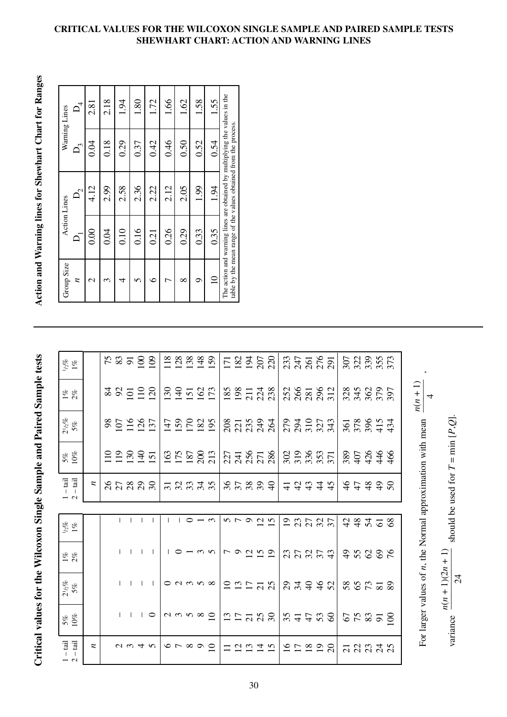# Critical values for the Wilcoxon Single Sample and Paired Sample tests **Action and Warning lines for Shewhart Chart for Ranges** Critical values for the Wilcoxon Single Sample and Paired Sample tests

| $\frac{1/2}{6}$                                                                                                   |                  |  |                 |                     |  | 112888                          |                                                  |                                                                                                                         |                                                     |  | IZ 25<br>1945<br>207                                    |                          | 2317<br>2451<br>2501<br>291 |       |                     | 307<br>323<br>3355<br>373 |           |                                                                  |
|-------------------------------------------------------------------------------------------------------------------|------------------|--|-----------------|---------------------|--|---------------------------------|--------------------------------------------------|-------------------------------------------------------------------------------------------------------------------------|-----------------------------------------------------|--|---------------------------------------------------------|--------------------------|-----------------------------|-------|---------------------|---------------------------|-----------|------------------------------------------------------------------|
| $1\%$ 2%                                                                                                          |                  |  |                 | 380000              |  |                                 | 399522                                           | $ $ $\frac{8}{2}$ $\frac{8}{2}$ $\frac{7}{2}$ $\frac{4}{2}$ $\frac{8}{2}$                                               |                                                     |  |                                                         | 258<br>281<br>295<br>212 |                             |       | 3350<br>3462<br>397 |                           |           | $\frac{n(n+1)}{n}$                                               |
| $\frac{2^{1}h\%}{5\%}$                                                                                            |                  |  |                 | 80190               |  |                                 | 158289                                           | 873334                                                                                                                  |                                                     |  |                                                         |                          | 232233                      |       | 361<br>3786<br>434  |                           |           |                                                                  |
| $5\%$ 10%                                                                                                         |                  |  |                 | 2222                |  |                                 |                                                  | $\begin{array}{c c c c c c} \hline c & c & c & c \\ \hline c & c & c & c \\ \hline c & d & d & d \\ \hline \end{array}$ |                                                     |  |                                                         | 302<br>336<br>355<br>371 |                             |       | 38078466            |                           |           |                                                                  |
| $\overline{\rm d}$ $\overline{\rm d}$<br>$\mathbf{L}$<br>$\Box$<br>$\overline{a}$                                 | $\boldsymbol{z}$ |  |                 | 85888               |  |                                 | 38348                                            |                                                                                                                         |                                                     |  | 85899                                                   |                          |                             | 43442 | 47490               |                           |           |                                                                  |
|                                                                                                                   |                  |  |                 |                     |  |                                 |                                                  |                                                                                                                         |                                                     |  |                                                         |                          |                             |       |                     |                           |           |                                                                  |
| $\frac{1}{2}\%$                                                                                                   |                  |  | $1 - 1 - 1$     |                     |  | $10 - 5$                        |                                                  |                                                                                                                         |                                                     |  | $\begin{array}{c}\n0 \\ \sim \\ \sim \\ 0\n\end{array}$ |                          | 23727                       |       |                     | 743708                    |           |                                                                  |
| $1\%$ 2%                                                                                                          |                  |  | $1 - 1 - 1$     | $\Box$              |  |                                 | $10 - 0$                                         |                                                                                                                         |                                                     |  | $\sim$ 0 $\sim$ 19 $\sim$                               |                          |                             | 37277 | 758888              |                           |           |                                                                  |
| $2^{1/2}\%$ 5%                                                                                                    |                  |  | $1 - 1 - 1 - 1$ |                     |  |                                 | $\circ$ $\circ$ $\circ$ $\circ$ $\circ$          |                                                                                                                         |                                                     |  | $227772$                                                |                          |                             | 2722  | 888258              |                           |           |                                                                  |
| $5\%$ 10%                                                                                                         |                  |  |                 | $1 \quad 1 \quad 0$ |  |                                 | $\mid$ $\sim$ $\sim$ $\sim$ $\sim$ $\sim$ $\mid$ |                                                                                                                         |                                                     |  | 127788                                                  | 377700                   |                             |       | 55358               |                           |           | For larger values of <i>n</i> the Normal approximation with mean |
| $-\overline{\phantom{a}}\overline{\phantom{a}}\overline{\phantom{a}}\overline{\phantom{a}}\overline{\phantom{a}}$ | z                |  |                 | $U \omega 4$        |  | $\circ \circ \circ \circ \circ$ |                                                  |                                                                                                                         | $\begin{array}{c}\n 25 \\  25 \\  36\n \end{array}$ |  |                                                         |                          | 197898                      |       |                     |                           | ដ ដ ដ ដ ដ |                                                                  |

Action and Warning lines for Shewhart Chart for Ranges

| Warning Lines       | $O_4$                   | 2.81          | 2.18 | 1.94 | 1.80 | 1.72 | 1.66 | 1.62        | 1.58 | 1.55        |                                                                                                                                                |
|---------------------|-------------------------|---------------|------|------|------|------|------|-------------|------|-------------|------------------------------------------------------------------------------------------------------------------------------------------------|
|                     | $\overline{D}_{\gamma}$ | 0.04          | 0.18 | 0.29 | 0.37 | 0.42 | 0.46 | 0.50        | 0.52 | 0.54        |                                                                                                                                                |
|                     | $\mathsf{D}_2$          | 4.12          | 2.99 | 2.58 | 2.36 | 2.22 | 2.12 | 2.05        | 1.99 | 1.94        | The action and warning lines are obtained by multiplying the values in the<br>table by the mean range of the values obtained from the process. |
| <b>Action Lines</b> |                         | 0.00          | 0.04 | 0.10 | 0.16 | 0.21 | 0.26 | 0.29        | 0.33 | 0.35        |                                                                                                                                                |
| Group Size          | z                       | $\mathcal{C}$ | ᠭ    | 4    |      | ¢    |      | $_{\infty}$ | σ    | $\subseteq$ |                                                                                                                                                |

### **CRITICAL VALUES FOR THE WILCOXON SINGLE SAMPLE AND PAIRED SAMPLE TESTS SHEWHART CHART: ACTION AND WARNING LINES**

For larger values of

variance  $\frac{1}{\sqrt{2}}$  should be used for

variance

 $n(n+1)(2n+1)$ –––––––––––––  $\vert$   $\frac{5}{4}$ 

 $T = \min$ 

*P*,*Q*].

*n*, the Normal approximation with mean  $\frac{N}{N}$ ,

For larger values of *n*, the Normal approximation with mean

 $\overline{4}$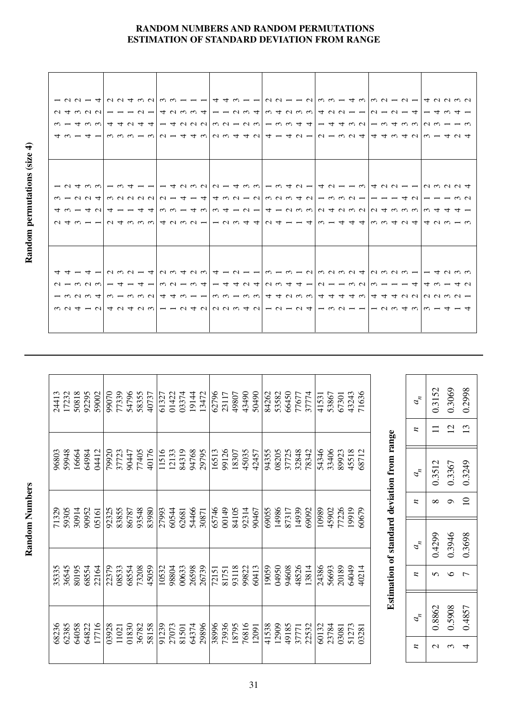### **RANDOM NUMBERS AND RANDOM PERMUTATIONS ESTIMATION OF STANDARD DEVIATION FROM RANGE**

|  |  |  |  |  |  |  |  |  |  |  |  |  |  |  |  |  |  |  | 4 w - 4 - w w w - w   w - 4 4 w   u w 4 4 u   4 - 4 u -   u - w u 4   4 4 w 4 u   w - 4 u 4 |  |
|--|--|--|--|--|--|--|--|--|--|--|--|--|--|--|--|--|--|--|---------------------------------------------------------------------------------------------|--|
|  |  |  |  |  |  |  |  |  |  |  |  |  |  |  |  |  |  |  |                                                                                             |  |
|  |  |  |  |  |  |  |  |  |  |  |  |  |  |  |  |  |  |  |                                                                                             |  |
|  |  |  |  |  |  |  |  |  |  |  |  |  |  |  |  |  |  |  |                                                                                             |  |
|  |  |  |  |  |  |  |  |  |  |  |  |  |  |  |  |  |  |  |                                                                                             |  |
|  |  |  |  |  |  |  |  |  |  |  |  |  |  |  |  |  |  |  |                                                                                             |  |
|  |  |  |  |  |  |  |  |  |  |  |  |  |  |  |  |  |  |  |                                                                                             |  |
|  |  |  |  |  |  |  |  |  |  |  |  |  |  |  |  |  |  |  | 4 w ー 4 0 4 ー ー 4 4 w w ー 4 w w 4 ー 0 ー 4 ー 0 w w 0 4 0 w o 0 4 w w w w 4 4 4 ー             |  |
|  |  |  |  |  |  |  |  |  |  |  |  |  |  |  |  |  |  |  |                                                                                             |  |
|  |  |  |  |  |  |  |  |  |  |  |  |  |  |  |  |  |  |  |                                                                                             |  |
|  |  |  |  |  |  |  |  |  |  |  |  |  |  |  |  |  |  |  |                                                                                             |  |
|  |  |  |  |  |  |  |  |  |  |  |  |  |  |  |  |  |  |  |                                                                                             |  |
|  |  |  |  |  |  |  |  |  |  |  |  |  |  |  |  |  |  |  |                                                                                             |  |
|  |  |  |  |  |  |  |  |  |  |  |  |  |  |  |  |  |  |  |                                                                                             |  |
|  |  |  |  |  |  |  |  |  |  |  |  |  |  |  |  |  |  |  |                                                                                             |  |
|  |  |  |  |  |  |  |  |  |  |  |  |  |  |  |  |  |  |  |                                                                                             |  |
|  |  |  |  |  |  |  |  |  |  |  |  |  |  |  |  |  |  |  |                                                                                             |  |
|  |  |  |  |  |  |  |  |  |  |  |  |  |  |  |  |  |  |  |                                                                                             |  |
|  |  |  |  |  |  |  |  |  |  |  |  |  |  |  |  |  |  |  |                                                                                             |  |

| 50818<br>92295<br>17232<br>24413 | 54796<br>77339<br>58355<br>99070<br>59002<br>40737 | 03374<br>19144<br>61327<br>01422<br>13472 | 43490<br>50490<br>62796<br>49807<br>23117 | 66450<br>71636<br>53582<br>43243<br>37774<br>84262<br>77677<br>53867<br>41531<br>67301 | $a_{\scriptscriptstyle\kappa}^{\vphantom{\dagger}}$                                               | 0.3069<br>0.2998<br>0.3152              |
|----------------------------------|----------------------------------------------------|-------------------------------------------|-------------------------------------------|----------------------------------------------------------------------------------------|---------------------------------------------------------------------------------------------------|-----------------------------------------|
|                                  |                                                    |                                           |                                           |                                                                                        | z                                                                                                 | 13<br>$\overline{c}$<br>$\equiv$        |
| 16664<br>64984<br>59948<br>96803 | 40176<br>79920<br>77405<br>04412<br>37723<br>90447 | 11516<br>84319<br>12133<br>94768<br>29795 | 99126<br>16513<br>45035<br>18307<br>42457 | 54346<br>33406<br>45518<br>08205<br>37725<br>32848<br>78342<br>89923<br>68712<br>94355 | Estimation of standard deviation from range<br>$a_{\scriptscriptstyle\kappa}^{\phantom{\dagger}}$ | 0.3367<br>0.3249<br>0.3512              |
| 30914<br>59305<br>90952<br>71329 | 83855<br>92325<br>93548<br>83980<br>86787<br>05161 | 54466<br>27993<br>60544<br>62681<br>30871 | 00149<br>84105<br>65746<br>92314<br>90467 | 14986<br>14939<br>77226<br>19919<br>10989<br>45902<br>60679<br>69055<br>87317<br>69092 | z                                                                                                 | $\overline{10}$<br>$\sigma$<br>$\infty$ |
|                                  |                                                    |                                           |                                           |                                                                                        | $a_{\scriptscriptstyle\kappa}^{\vphantom{\dagger}}$                                               | 0.3946<br>0.3698<br>0.4299              |
| 68554<br>36545<br>80195<br>35335 | 68554<br>22164<br>22379<br>73208<br>45059<br>08533 | 00633<br>26598<br>26739<br>10532<br>98804 | 93118<br>60413<br>99822<br>72151<br>81751 | 48526<br>64049<br>04950<br>94608<br>24386<br>56693<br>20189<br>13814<br>19059<br>40214 | z                                                                                                 | $\circ$<br>$\sigma$<br>$\overline{ }$   |
| 62385<br>64058<br>64822          | 17716<br>01830<br>03928<br>58158<br>36782<br>11021 | 29896<br>91239<br>27073<br>64374<br>81501 | 73936<br>76816<br>38996<br>18795<br>12091 | 41538<br>12909<br>49185<br>23784<br>22532<br>60132<br>51273<br>37771<br>03081<br>03281 | $a_{\scriptscriptstyle\kappa}^{\vphantom{\dagger}}$                                               | 0.5908<br>0.8862<br>0.4857              |
| 68236                            |                                                    |                                           |                                           |                                                                                        | z                                                                                                 | $\mathcal{L}$<br>$\mathfrak{g}$<br>4    |

Random permutations (size 4) **Random permutations (size 4)**

Random Numbers **Random Numbers**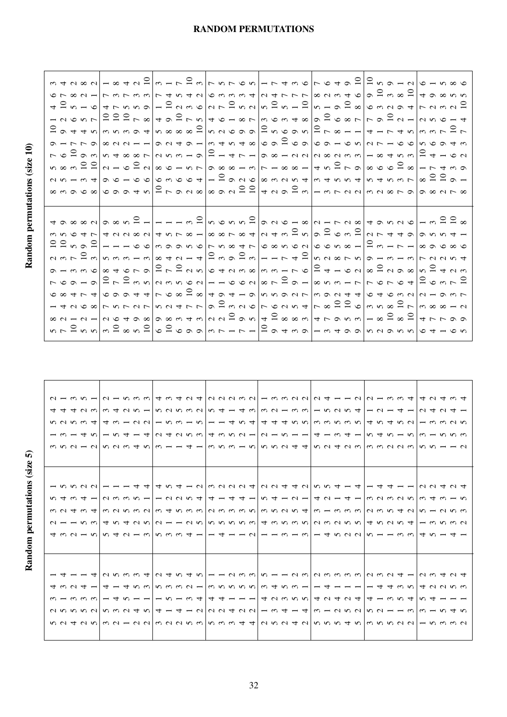# Random permutations (size 10) **Random permutations (size 5) Random permutations (size 10)**

Random permutations (size 5)

|  |  | $\circ \sim \circ \sim  -\rangle \circ \sim \circ \sim  \circ  \circ \sim \circ \sim  \circ  \circ \sim  \circ  \circ \sim  \circ  \circ \sim  \circ  \circ \sim  \circ  \circ \sim  \circ  \circ \sim  \circ  \circ \sim  \circ  \circ \sim  \circ  \circ \sim  \circ  \circ \sim  \circ  \circ \sim  \circ  \circ \sim  \circ  \circ \sim  \circ  \circ \sim  \circ  \circ \sim  \circ  \circ \sim  \circ  \circ \sim  \circ  \circ \sim  \circ  \circ \sim  \circ  \circ \sim  \circ  \circ \sim  \circ  \circ \sim  \circ  \circ \sim  \circ  \circ \sim  \circ  \circ \sim  \circ  \circ \sim  \circ  \circ \sim  \$                                                                                                                                                                                                                                                                                                                                                                             |  |
|--|--|-------------------------------------------------------------------------------------------------------------------------------------------------------------------------------------------------------------------------------------------------------------------------------------------------------------------------------------------------------------------------------------------------------------------------------------------------------------------------------------------------------------------------------------------------------------------------------------------------------------------------------------------------------------------------------------------------------------------------------------------------------------------------------------------------------------------------------------------------------------------------------------------------------------------------------------------------------------------------------------------------------|--|
|  |  | $\begin{array}{c}\n 4 \supseteq n - \log  a - a  + \log  a - a  + \supseteq n, \quad \text{and} \quad \text{and} \quad \text{and} \quad \text{and} \quad \text{and} \quad \text{and} \quad \text{and} \quad \text{and} \quad \text{and} \quad \text{and} \quad \text{and} \quad \text{and} \quad \text{and} \quad \text{and} \quad \text{and} \quad \text{and} \quad \text{and} \quad \text{and} \quad \text{and} \quad \text{and} \quad \text{and} \quad \text{and} \quad \text{and} \quad \text{and} \quad \text{and} \quad \text{and}$                                                                                                                                                                                                                                                                                                                                                                                                                                                             |  |
|  |  |                                                                                                                                                                                                                                                                                                                                                                                                                                                                                                                                                                                                                                                                                                                                                                                                                                                                                                                                                                                                       |  |
|  |  |                                                                                                                                                                                                                                                                                                                                                                                                                                                                                                                                                                                                                                                                                                                                                                                                                                                                                                                                                                                                       |  |
|  |  | $\sigma$ - $\sigma$ - $\sigma$ $\sim$ $\sigma$ $\sim$ $\sigma$ $\sim$ $\sigma$ $\sim$ $\sim$ $\sigma$ $\sim$ $\sigma$ $\sim$ $\sigma$ $\sim$ $\sigma$ $\sim$ $\sigma$                                                                                                                                                                                                                                                                                                                                                                                                                                                                                                                                                                                                                                                                                                                                                                                                                                 |  |
|  |  |                                                                                                                                                                                                                                                                                                                                                                                                                                                                                                                                                                                                                                                                                                                                                                                                                                                                                                                                                                                                       |  |
|  |  | $\begin{array}{c} \mathbf{1} & \mathbf{1} & \mathbf{1} & \mathbf{1} & \mathbf{1} & \mathbf{1} & \mathbf{1} & \mathbf{1} & \mathbf{1} & \mathbf{1} & \mathbf{1} & \mathbf{1} & \mathbf{1} & \mathbf{1} & \mathbf{1} & \mathbf{1} & \mathbf{1} & \mathbf{1} & \mathbf{1} & \mathbf{1} & \mathbf{1} & \mathbf{1} & \mathbf{1} & \mathbf{1} & \mathbf{1} & \mathbf{1} & \mathbf{1} & \mathbf{1} & \mathbf{1} & \mathbf{1} & \mathbf$                                                                                                                                                                                                                                                                                                                                                                                                                                                                                                                                                                      |  |
|  |  |                                                                                                                                                                                                                                                                                                                                                                                                                                                                                                                                                                                                                                                                                                                                                                                                                                                                                                                                                                                                       |  |
|  |  |                                                                                                                                                                                                                                                                                                                                                                                                                                                                                                                                                                                                                                                                                                                                                                                                                                                                                                                                                                                                       |  |
|  |  |                                                                                                                                                                                                                                                                                                                                                                                                                                                                                                                                                                                                                                                                                                                                                                                                                                                                                                                                                                                                       |  |
|  |  |                                                                                                                                                                                                                                                                                                                                                                                                                                                                                                                                                                                                                                                                                                                                                                                                                                                                                                                                                                                                       |  |
|  |  |                                                                                                                                                                                                                                                                                                                                                                                                                                                                                                                                                                                                                                                                                                                                                                                                                                                                                                                                                                                                       |  |
|  |  | $\frac{1}{2}$                                                                                                                                                                                                                                                                                                                                                                                                                                                                                                                                                                                                                                                                                                                                                                                                                                                                                                                                                                                         |  |
|  |  | $\begin{array}{l} \mathfrak{a} \mathfrak{a} \mathfrak{a} \mathfrak{a} \mathfrak{a} \mathfrak{a} \mathfrak{a} \mathfrak{a} \mathfrak{a} \mathfrak{a} \mathfrak{a} \mathfrak{a} \mathfrak{a} \mathfrak{a} \mathfrak{a} \mathfrak{a} \mathfrak{a} \mathfrak{a} \mathfrak{a} \mathfrak{a} \mathfrak{a} \mathfrak{a} \mathfrak{a} \mathfrak{a} \mathfrak{a} \mathfrak{a} \mathfrak{a} \mathfrak{a} \mathfrak{a} \mathfrak{a} \mathfr$                                                                                                                                                                                                                                                                                                                                                                                                                                                                                                                                                                      |  |
|  |  |                                                                                                                                                                                                                                                                                                                                                                                                                                                                                                                                                                                                                                                                                                                                                                                                                                                                                                                                                                                                       |  |
|  |  | $\alpha \circ r \circ \alpha   u \circ r \circ r - u   \infty$                                                                                                                                                                                                                                                                                                                                                                                                                                                                                                                                                                                                                                                                                                                                                                                                                                                                                                                                        |  |
|  |  |                                                                                                                                                                                                                                                                                                                                                                                                                                                                                                                                                                                                                                                                                                                                                                                                                                                                                                                                                                                                       |  |
|  |  |                                                                                                                                                                                                                                                                                                                                                                                                                                                                                                                                                                                                                                                                                                                                                                                                                                                                                                                                                                                                       |  |
|  |  |                                                                                                                                                                                                                                                                                                                                                                                                                                                                                                                                                                                                                                                                                                                                                                                                                                                                                                                                                                                                       |  |
|  |  |                                                                                                                                                                                                                                                                                                                                                                                                                                                                                                                                                                                                                                                                                                                                                                                                                                                                                                                                                                                                       |  |
|  |  |                                                                                                                                                                                                                                                                                                                                                                                                                                                                                                                                                                                                                                                                                                                                                                                                                                                                                                                                                                                                       |  |
|  |  | $\infty \text{ and } \frac{1}{2} \text{ and } \frac{1}{2} \text{ and } \frac{1}{2} \text{ and } \frac{1}{2} \text{ and } \frac{1}{2} \text{ and } \frac{1}{2} \text{ and } \frac{1}{2} \text{ and } \frac{1}{2} \text{ and } \frac{1}{2} \text{ and } \frac{1}{2} \text{ and } \frac{1}{2} \text{ and } \frac{1}{2} \text{ and } \frac{1}{2} \text{ and } \frac{1}{2} \text{ and } \frac{1}{2} \text{ and } \frac{1}{2} \text{ and } \frac{1}{2} \text{ and } \frac{1}{2} \$<br>$\mathcal{L}_{\mathcal{A}} \subset \mathcal{L}_{\mathcal{A}} \cup \mathcal{L}_{\mathcal{A}} \subset \mathcal{L}_{\mathcal{A}} \cup \mathcal{L}_{\mathcal{A}} \subset \mathcal{L}_{\mathcal{A}} \cup \mathcal{L}_{\mathcal{A}} \subset \mathcal{L}_{\mathcal{A}} \cup \mathcal{L}_{\mathcal{A}} \cup \mathcal{L}_{\mathcal{A}} \cup \mathcal{L}_{\mathcal{A}} \cup \mathcal{L}_{\mathcal{A}} \cup \mathcal{L}_{\mathcal{A}} \cup \mathcal{L}_{\mathcal{A}} \cup \mathcal{L}_{\mathcal{A}} \cup \mathcal{L}_{\mathcal{$ |  |

|  | a — w w —   a — w w w   d w 4 a 4   a a a w a    — w w a a   a 4 — a   a — w w 4   4 a 4 w 4                                                                                                                                                                       |  |
|--|--------------------------------------------------------------------------------------------------------------------------------------------------------------------------------------------------------------------------------------------------------------------|--|
|  |                                                                                                                                                                                                                                                                    |  |
|  | n d n w 4   4 w - d d   - n w - n   - - 4 w 4   4 4 4 n n   w w w w M   4 w 4 n d   - w w d n                                                                                                                                                                      |  |
|  | $ \omega$ $-$ 4 $\omega$ $-$ 4 $\omega$ 4 $-$ 4 $\omega$ $\omega$ $\omega$ $+$ $\omega$ $ \omega$ $ \omega$ $  \omega$ $ \omega$ $ \omega$ $ \omega$ $ \omega$ $ \omega$ $ \omega$ $ \omega$ $ \omega$ $ \omega$ $ \omega$ $ \omega$ $ \omega$ $ \omega$ $ \omega$ |  |
|  | cond - dindw4 niw - - 4 - jo nw - nin na 4 4 jn a 4 a wiw wa a min n - - a                                                                                                                                                                                         |  |
|  |                                                                                                                                                                                                                                                                    |  |
|  |                                                                                                                                                                                                                                                                    |  |
|  | n 4 w 4 -   0 w w n -   - 0 0 w 4   4 - 4 4 -   n 4 - 0 -   4 0 - 4 -   w 0 w 0 w   w 4 w - n                                                                                                                                                                      |  |
|  |                                                                                                                                                                                                                                                                    |  |
|  |                                                                                                                                                                                                                                                                    |  |
|  |                                                                                                                                                                                                                                                                    |  |
|  |                                                                                                                                                                                                                                                                    |  |
|  |                                                                                                                                                                                                                                                                    |  |
|  |                                                                                                                                                                                                                                                                    |  |
|  | w - w w w   - 4 w - -   - w - w 4   4 + - - -  4 y w w w   4 y 4 y 4 j 4 - w w 4   w 4 - - -                                                                                                                                                                       |  |
|  |                                                                                                                                                                                                                                                                    |  |
|  | n a 4 a n w a - a a w a a n w ln w w 4 4  a n a 4 a n w n 4 a w n n a a  - n w w a a                                                                                                                                                                               |  |

### **RANDOM PERMUTATIONS**